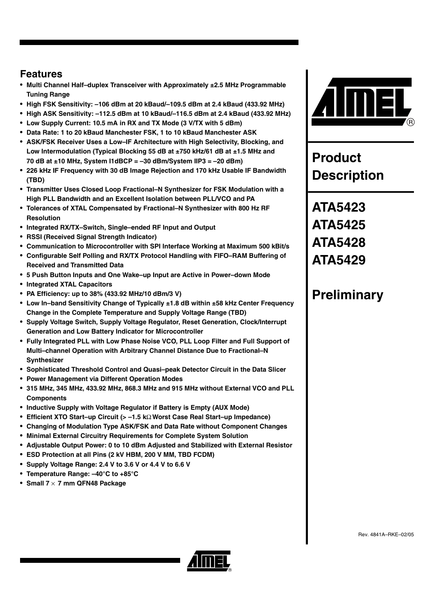### **Features**

- **Multi Channel Half–duplex Transceiver with Approximately ±2.5 MHz Programmable Tuning Range**
- **High FSK Sensitivity: –106 dBm at 20 kBaud/–109.5 dBm at 2.4 kBaud (433.92 MHz)**
- **High ASK Sensitivity: –112.5 dBm at 10 kBaud/–116.5 dBm at 2.4 kBaud (433.92 MHz)**
- **Low Supply Current: 10.5 mA in RX and TX Mode (3 V/TX with 5 dBm)**
- **Data Rate: 1 to 20 kBaud Manchester FSK, 1 to 10 kBaud Manchester ASK**
- **ASK/FSK Receiver Uses a Low–IF Architecture with High Selectivity, Blocking, and Low Intermodulation (Typical Blocking 55 dB at ±750 kHz/61 dB at ±1.5 MHz and 70 dB at ±10 MHz, System I1dBCP = –30 dBm/System IIP3 = –20 dBm)**
- **226 kHz IF Frequency with 30 dB Image Rejection and 170 kHz Usable IF Bandwidth (TBD)**
- **Transmitter Uses Closed Loop Fractional–N Synthesizer for FSK Modulation with a High PLL Bandwidth and an Excellent Isolation between PLL/VCO and PA**
- **Tolerances of XTAL Compensated by Fractional–N Synthesizer with 800 Hz RF Resolution**
- **Integrated RX/TX–Switch, Single–ended RF Input and Output**
- **RSSI (Received Signal Strength Indicator)**
- **Communication to Microcontroller with SPI Interface Working at Maximum 500 kBit/s**
- **Configurable Self Polling and RX/TX Protocol Handling with FIFO–RAM Buffering of Received and Transmitted Data**
- **5 Push Button Inputs and One Wake–up Input are Active in Power–down Mode**
- **Integrated XTAL Capacitors**
- **PA Efficiency: up to 38% (433.92 MHz/10 dBm/3 V)**
- **Low In–band Sensitivity Change of Typically ±1.8 dB within ±58 kHz Center Frequency Change in the Complete Temperature and Supply Voltage Range (TBD)**
- **Supply Voltage Switch, Supply Voltage Regulator, Reset Generation, Clock/Interrupt Generation and Low Battery Indicator for Microcontroller**
- **Fully Integrated PLL with Low Phase Noise VCO, PLL Loop Filter and Full Support of Multi–channel Operation with Arbitrary Channel Distance Due to Fractional–N Synthesizer**
- **Sophisticated Threshold Control and Quasi–peak Detector Circuit in the Data Slicer**
- **Power Management via Different Operation Modes**
- **315 MHz, 345 MHz, 433.92 MHz, 868.3 MHz and 915 MHz without External VCO and PLL Components**
- **Inductive Supply with Voltage Regulator if Battery is Empty (AUX Mode)**
- **Efficient XTO Start–up Circuit (> –1.5 k**Ω **Worst Case Real Start–up Impedance)**
- **Changing of Modulation Type ASK/FSK and Data Rate without Component Changes**
- **Minimal External Circuitry Requirements for Complete System Solution**
- **Adjustable Output Power: 0 to 10 dBm Adjusted and Stabilized with External Resistor**
- **ESD Protection at all Pins (2 kV HBM, 200 V MM, TBD FCDM)**
- **Supply Voltage Range: 2.4 V to 3.6 V or 4.4 V to 6.6 V**
- **Temperature Range: –40°C to +85°C**
- **Small 7** × **7 mm QFN48 Package**



**Product Description**

**ATA5423 ATA5425 ATA5428 ATA5429**

## **Preliminary**



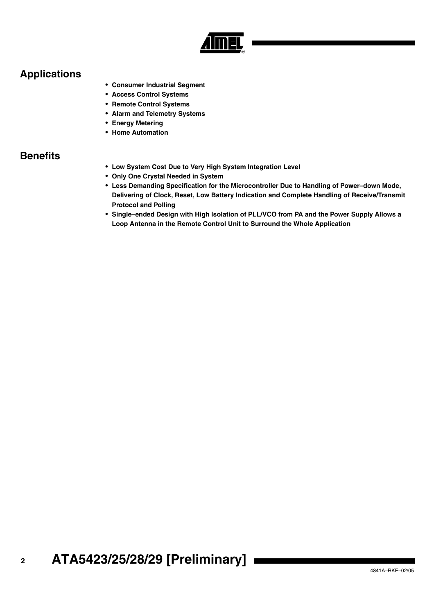

### **Applications**

- **Consumer Industrial Segment**
- **Access Control Systems**
- **Remote Control Systems**
- **Alarm and Telemetry Systems**
- **Energy Metering**
- **Home Automation**

### **Benefits**

- **Low System Cost Due to Very High System Integration Level**
- **Only One Crystal Needed in System**
- **Less Demanding Specification for the Microcontroller Due to Handling of Power–down Mode, Delivering of Clock, Reset, Low Battery Indication and Complete Handling of Receive/Transmit Protocol and Polling**
- **Single–ended Design with High Isolation of PLL/VCO from PA and the Power Supply Allows a Loop Antenna in the Remote Control Unit to Surround the Whole Application**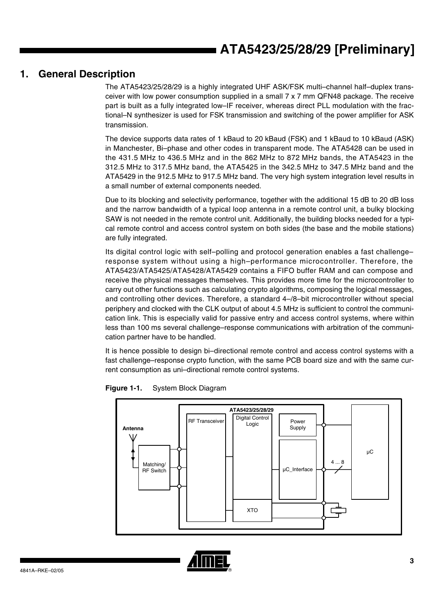### **1. General Description**

The ATA5423/25/28/29 is a highly integrated UHF ASK/FSK multi–channel half–duplex transceiver with low power consumption supplied in a small 7 x 7 mm QFN48 package. The receive part is built as a fully integrated low–IF receiver, whereas direct PLL modulation with the fractional–N synthesizer is used for FSK transmission and switching of the power amplifier for ASK transmission.

The device supports data rates of 1 kBaud to 20 kBaud (FSK) and 1 kBaud to 10 kBaud (ASK) in Manchester, Bi–phase and other codes in transparent mode. The ATA5428 can be used in the 431.5 MHz to 436.5 MHz and in the 862 MHz to 872 MHz bands, the ATA5423 in the 312.5 MHz to 317.5 MHz band, the ATA5425 in the 342.5 MHz to 347.5 MHz band and the ATA5429 in the 912.5 MHz to 917.5 MHz band. The very high system integration level results in a small number of external components needed.

Due to its blocking and selectivity performance, together with the additional 15 dB to 20 dB loss and the narrow bandwidth of a typical loop antenna in a remote control unit, a bulky blocking SAW is not needed in the remote control unit. Additionally, the building blocks needed for a typical remote control and access control system on both sides (the base and the mobile stations) are fully integrated.

Its digital control logic with self–polling and protocol generation enables a fast challenge– response system without using a high–performance microcontroller. Therefore, the ATA5423/ATA5425/ATA5428/ATA5429 contains a FIFO buffer RAM and can compose and receive the physical messages themselves. This provides more time for the microcontroller to carry out other functions such as calculating crypto algorithms, composing the logical messages, and controlling other devices. Therefore, a standard 4–/8–bit microcontroller without special periphery and clocked with the CLK output of about 4.5 MHz is sufficient to control the communication link. This is especially valid for passive entry and access control systems, where within less than 100 ms several challenge–response communications with arbitration of the communication partner have to be handled.

It is hence possible to design bi–directional remote control and access control systems with a fast challenge–response crypto function, with the same PCB board size and with the same current consumption as uni–directional remote control systems.



**Figure 1-1.** System Block Diagram

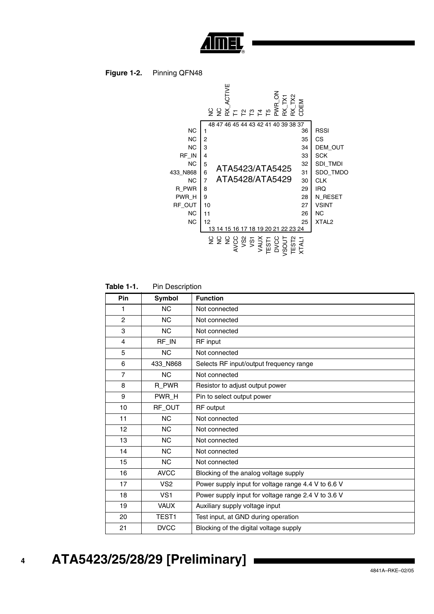

#### **Figure 1-2.** Pinning QFN48



**Table 1-1.** Pin Description

| Pin            | Symbol          | <b>Function</b>                                     |
|----------------|-----------------|-----------------------------------------------------|
| 1              | <b>NC</b>       | Not connected                                       |
| $\overline{2}$ | <b>NC</b>       | Not connected                                       |
| 3              | <b>NC</b>       | Not connected                                       |
| 4              | RF_IN           | RF input                                            |
| 5              | <b>NC</b>       | Not connected                                       |
| 6              | 433_N868        | Selects RF input/output frequency range             |
| $\overline{7}$ | <b>NC</b>       | Not connected                                       |
| 8              | R_PWR           | Resistor to adjust output power                     |
| 9              | PWR_H           | Pin to select output power                          |
| 10             | RF_OUT          | <b>RF</b> output                                    |
| 11             | <b>NC</b>       | Not connected                                       |
| 12             | <b>NC</b>       | Not connected                                       |
| 13             | NC.             | Not connected                                       |
| 14             | <b>NC</b>       | Not connected                                       |
| 15             | NC.             | Not connected                                       |
| 16             | <b>AVCC</b>     | Blocking of the analog voltage supply               |
| 17             | VS <sub>2</sub> | Power supply input for voltage range 4.4 V to 6.6 V |
| 18             | VS <sub>1</sub> | Power supply input for voltage range 2.4 V to 3.6 V |
| 19             | <b>VAUX</b>     | Auxiliary supply voltage input                      |
| 20             | TEST1           | Test input, at GND during operation                 |
| 21             | <b>DVCC</b>     | Blocking of the digital voltage supply              |

## **ATA5423/25/28/29 [Preliminary]**

 **4**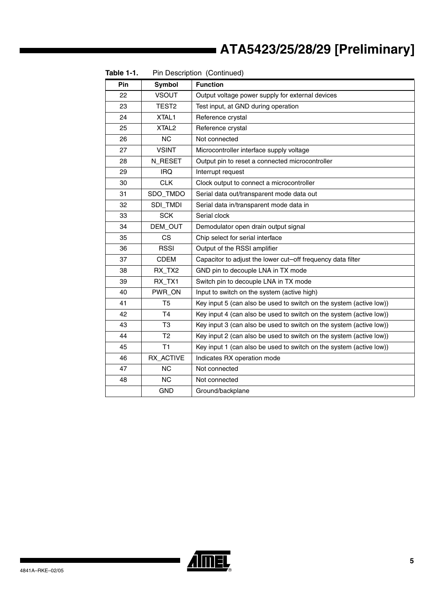| Pin | Symbol            | <b>Function</b>                                                     |
|-----|-------------------|---------------------------------------------------------------------|
| 22  | <b>VSOUT</b>      | Output voltage power supply for external devices                    |
| 23  | TEST <sub>2</sub> | Test input, at GND during operation                                 |
| 24  | XTAL1             | Reference crystal                                                   |
| 25  | XTAL <sub>2</sub> | Reference crystal                                                   |
| 26  | <b>NC</b>         | Not connected                                                       |
| 27  | <b>VSINT</b>      | Microcontroller interface supply voltage                            |
| 28  | N_RESET           | Output pin to reset a connected microcontroller                     |
| 29  | <b>IRQ</b>        | Interrupt request                                                   |
| 30  | <b>CLK</b>        | Clock output to connect a microcontroller                           |
| 31  | SDO_TMDO          | Serial data out/transparent mode data out                           |
| 32  | SDI_TMDI          | Serial data in/transparent mode data in                             |
| 33  | <b>SCK</b>        | Serial clock                                                        |
| 34  | DEM_OUT           | Demodulator open drain output signal                                |
| 35  | CS.               | Chip select for serial interface                                    |
| 36  | <b>RSSI</b>       | Output of the RSSI amplifier                                        |
| 37  | <b>CDEM</b>       | Capacitor to adjust the lower cut-off frequency data filter         |
| 38  | RX_TX2            | GND pin to decouple LNA in TX mode                                  |
| 39  | RX_TX1            | Switch pin to decouple LNA in TX mode                               |
| 40  | PWR_ON            | Input to switch on the system (active high)                         |
| 41  | T <sub>5</sub>    | Key input 5 (can also be used to switch on the system (active low)) |
| 42  | T4                | Key input 4 (can also be used to switch on the system (active low)) |
| 43  | T <sub>3</sub>    | Key input 3 (can also be used to switch on the system (active low)) |
| 44  | T <sub>2</sub>    | Key input 2 (can also be used to switch on the system (active low)) |
| 45  | T1                | Key input 1 (can also be used to switch on the system (active low)) |
| 46  | RX ACTIVE         | Indicates RX operation mode                                         |
| 47  | <b>NC</b>         | Not connected                                                       |
| 48  | <b>NC</b>         | Not connected                                                       |
|     | <b>GND</b>        | Ground/backplane                                                    |

**Table 1-1.** Pin Description (Continued)

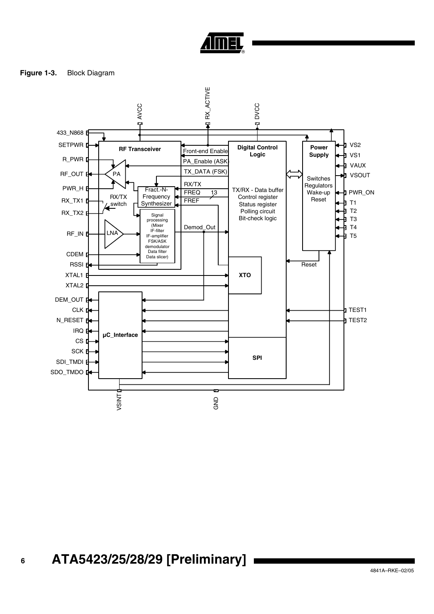

<span id="page-5-0"></span>**Figure 1-3.** Block Diagram

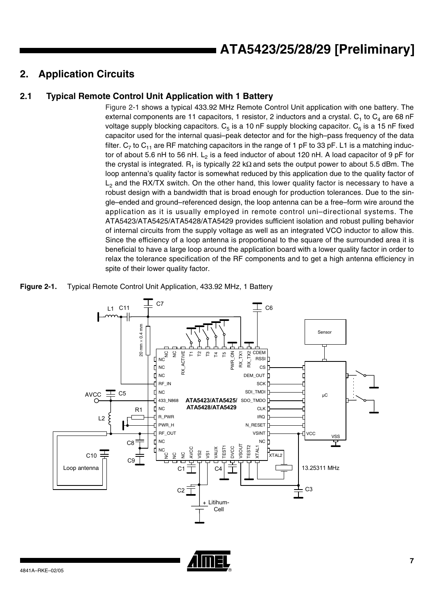## **2. Application Circuits**

### **2.1 Typical Remote Control Unit Application with 1 Battery**

[Figure 2-1](#page-6-0) shows a typical 433.92 MHz Remote Control Unit application with one battery. The external components are 11 capacitors, 1 resistor, 2 inductors and a crystal.  $C_1$  to  $C_4$  are 68 nF voltage supply blocking capacitors.  $C_5$  is a 10 nF supply blocking capacitor.  $C_6$  is a 15 nF fixed capacitor used for the internal quasi–peak detector and for the high–pass frequency of the data filter.  $C_7$  to  $C_{11}$  are RF matching capacitors in the range of 1 pF to 33 pF. L1 is a matching inductor of about 5.6 nH to 56 nH. L<sub>2</sub> is a feed inductor of about 120 nH. A load capacitor of 9 pF for the crystal is integrated.  $R_1$  is typically 22 kΩ and sets the output power to about 5.5 dBm. The loop antenna's quality factor is somewhat reduced by this application due to the quality factor of  $L<sub>2</sub>$  and the RX/TX switch. On the other hand, this lower quality factor is necessary to have a robust design with a bandwidth that is broad enough for production tolerances. Due to the single–ended and ground–referenced design, the loop antenna can be a free–form wire around the application as it is usually employed in remote control uni–directional systems. The ATA5423/ATA5425/ATA5428/ATA5429 provides sufficient isolation and robust pulling behavior of internal circuits from the supply voltage as well as an integrated VCO inductor to allow this. Since the efficiency of a loop antenna is proportional to the square of the surrounded area it is beneficial to have a large loop around the application board with a lower quality factor in order to relax the tolerance specification of the RF components and to get a high antenna efficiency in spite of their lower quality factor.

<span id="page-6-0"></span>**Figure 2-1.** Typical Remote Control Unit Application, 433.92 MHz, 1 Battery



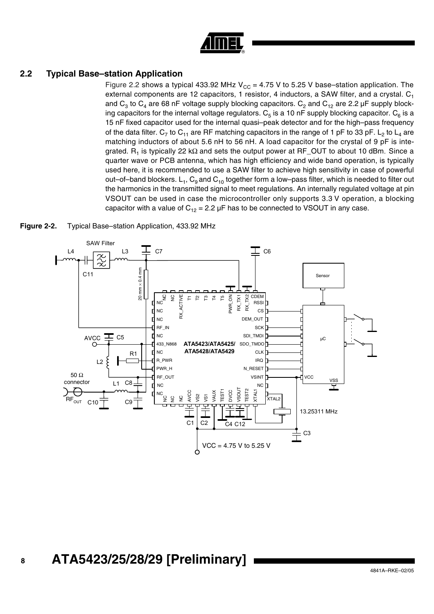| ιn, |
|-----|

#### <span id="page-7-0"></span>**2.2 Typical Base–station Application**

[Figure 2.2](#page-7-0) shows a typical 433.92 MHz  $V_{CC}$  = 4.75 V to 5.25 V base–station application. The external components are 12 capacitors, 1 resistor, 4 inductors, a SAW filter, and a crystal.  $C_1$ and  $C_3$  to  $C_4$  are 68 nF voltage supply blocking capacitors.  $C_2$  and  $C_{12}$  are 2.2 µF supply blocking capacitors for the internal voltage regulators.  $C_5$  is a 10 nF supply blocking capacitor.  $C_6$  is a 15 nF fixed capacitor used for the internal quasi–peak detector and for the high–pass frequency of the data filter. C<sub>7</sub> to C<sub>11</sub> are RF matching capacitors in the range of 1 pF to 33 pF. L<sub>2</sub> to L<sub>4</sub> are matching inductors of about 5.6 nH to 56 nH. A load capacitor for the crystal of 9 pF is integrated. R<sub>1</sub> is typically 22 kΩ and sets the output power at RF\_OUT to about 10 dBm. Since a quarter wave or PCB antenna, which has high efficiency and wide band operation, is typically used here, it is recommended to use a SAW filter to achieve high sensitivity in case of powerful out–of–band blockers.  $L_1$ ,  $C_9$  and  $C_{10}$  together form a low–pass filter, which is needed to filter out the harmonics in the transmitted signal to meet regulations. An internally regulated voltage at pin VSOUT can be used in case the microcontroller only supports 3.3 V operation, a blocking capacitor with a value of  $C_{12} = 2.2 \mu$ F has to be connected to VSOUT in any case.



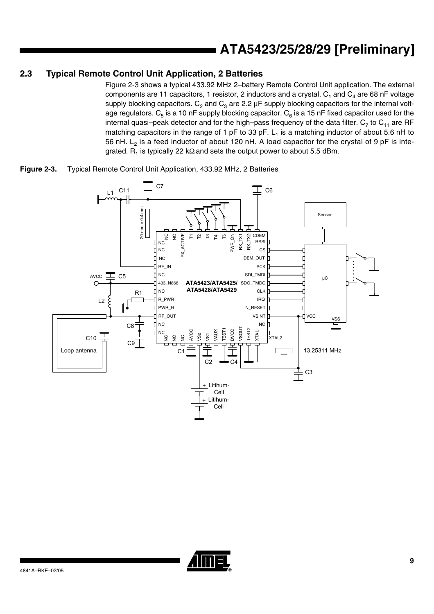#### **2.3 Typical Remote Control Unit Application, 2 Batteries**

[Figure 2-3](#page-8-0) shows a typical 433.92 MHz 2–battery Remote Control Unit application. The external components are 11 capacitors, 1 resistor, 2 inductors and a crystal.  $C_1$  and  $C_4$  are 68 nF voltage supply blocking capacitors.  $C_2$  and  $C_3$  are 2.2  $\mu$ F supply blocking capacitors for the internal voltage regulators.  $C_5$  is a 10 nF supply blocking capacitor.  $C_6$  is a 15 nF fixed capacitor used for the internal quasi-peak detector and for the high-pass frequency of the data filter.  $C_7$  to  $C_{11}$  are RF matching capacitors in the range of 1 pF to 33 pF.  $L_1$  is a matching inductor of about 5.6 nH to 56 nH.  $L_2$  is a feed inductor of about 120 nH. A load capacitor for the crystal of 9 pF is integrated. R<sub>1</sub> is typically 22 kΩ and sets the output power to about 5.5 dBm.

<span id="page-8-0"></span>



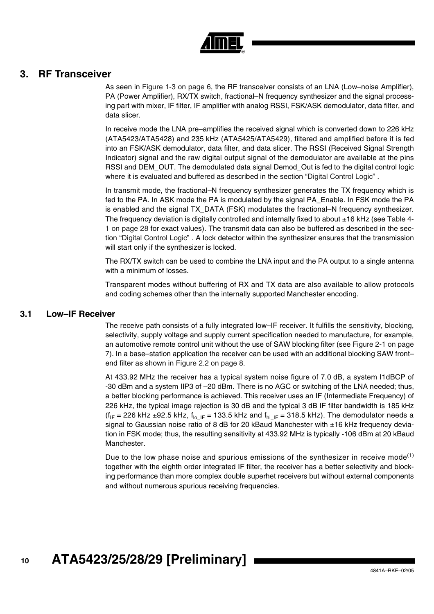

### **3. RF Transceiver**

As seen in [Figure 1-3 on page 6](#page-5-0), the RF transceiver consists of an LNA (Low–noise Amplifier), PA (Power Amplifier), RX/TX switch, fractional–N frequency synthesizer and the signal processing part with mixer, IF filter, IF amplifier with analog RSSI, FSK/ASK demodulator, data filter, and data slicer.

In receive mode the LNA pre–amplifies the received signal which is converted down to 226 kHz (ATA5423/ATA5428) and 235 kHz (ATA5425/ATA5429), filtered and amplified before it is fed into an FSK/ASK demodulator, data filter, and data slicer. The RSSI (Received Signal Strength Indicator) signal and the raw digital output signal of the demodulator are available at the pins RSSI and DEM\_OUT. The demodulated data signal Demod\_Out is fed to the digital control logic where it is evaluated and buffered as described in the section ["Digital Control Logic"](#page-35-0) .

In transmit mode, the fractional–N frequency synthesizer generates the TX frequency which is fed to the PA. In ASK mode the PA is modulated by the signal PA\_Enable. In FSK mode the PA is enabled and the signal TX\_DATA (FSK) modulates the fractional–N frequency synthesizer. The frequency deviation is digitally controlled and internally fixed to about ±16 kHz (see [Table 4-](#page-27-0) [1 on page 28](#page-27-0) for exact values). The transmit data can also be buffered as described in the section ["Digital Control Logic" .](#page-35-0) A lock detector within the synthesizer ensures that the transmission will start only if the synthesizer is locked.

The RX/TX switch can be used to combine the LNA input and the PA output to a single antenna with a minimum of losses.

Transparent modes without buffering of RX and TX data are also available to allow protocols and coding schemes other than the internally supported Manchester encoding.

#### **3.1 Low–IF Receiver**

The receive path consists of a fully integrated low–IF receiver. It fulfills the sensitivity, blocking, selectivity, supply voltage and supply current specification needed to manufacture, for example, an automotive remote control unit without the use of SAW blocking filter (see [Figure 2-1 on page](#page-6-0) [7\)](#page-6-0). In a base–station application the receiver can be used with an additional blocking SAW front– end filter as shown in [Figure 2.2 on page 8](#page-7-0).

At 433.92 MHz the receiver has a typical system noise figure of 7.0 dB, a system I1dBCP of -30 dBm and a system IIP3 of –20 dBm. There is no AGC or switching of the LNA needed; thus, a better blocking performance is achieved. This receiver uses an IF (Intermediate Frequency) of 226 kHz, the typical image rejection is 30 dB and the typical 3 dB IF filter bandwidth is 185 kHz (f<sub>IF</sub> = 226 kHz ±92.5 kHz, f<sub>lo\_IF</sub> = 133.5 kHz and f<sub>hi\_IF</sub> = 318.5 kHz). The demodulator needs a signal to Gaussian noise ratio of 8 dB for 20 kBaud Manchester with ±16 kHz frequency deviation in FSK mode; thus, the resulting sensitivity at 433.92 MHz is typically -106 dBm at 20 kBaud Manchester.

Due to the low phase noise and spurious emissions of the synthesizer in receive mode<sup>(1)</sup> together with the eighth order integrated IF filter, the receiver has a better selectivity and blocking performance than more complex double superhet receivers but without external components and without numerous spurious receiving frequencies.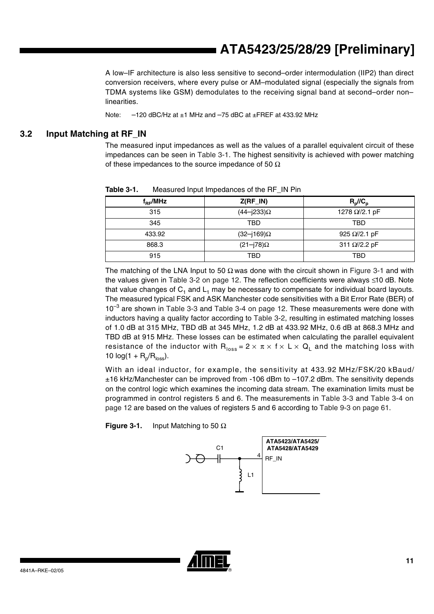A low–IF architecture is also less sensitive to second–order intermodulation (IIP2) than direct conversion receivers, where every pulse or AM–modulated signal (especially the signals from TDMA systems like GSM) demodulates to the receiving signal band at second–order non– linearities.

Note:  $-120$  dBC/Hz at  $\pm$ 1 MHz and  $-75$  dBC at  $\pm$ FREF at 433.92 MHz

#### **3.2 Input Matching at RF\_IN**

The measured input impedances as well as the values of a parallel equivalent circuit of these impedances can be seen in [Table 3-1.](#page-10-0) The highest sensitivity is achieved with power matching of these impedances to the source impedance of 50  $\Omega$ 

| $Z(RF_N)$              | $R_p/\!/\!C_p$        |
|------------------------|-----------------------|
| $(44 - j233)$ $\Omega$ | 1278 Ω//2.1 pF        |
| TBD                    | TBD                   |
| (32–j169)Ω             | 925 $\Omega$ //2.1 pF |
| $(21-j78)\Omega$       | 311 Ω//2.2 pF         |
| TBD                    | TBD                   |
|                        |                       |

<span id="page-10-0"></span>**Table 3-1.** Measured Input Impedances of the RF IN Pin

The matching of the LNA Input to 50  $\Omega$  was done with the circuit shown in [Figure 3-1](#page-10-1) and with the values given in [Table 3-2 on page 12.](#page-11-0) The reflection coefficients were always ≤ 10 dB. Note that value changes of  $C_1$  and  $L_1$  may be necessary to compensate for individual board layouts. The measured typical FSK and ASK Manchester code sensitivities with a Bit Error Rate (BER) of  $10^{-3}$  are shown in [Table 3-3](#page-11-1) and [Table 3-4 on page 12](#page-11-2). These measurements were done with inductors having a quality factor according to [Table 3-2,](#page-11-0) resulting in estimated matching losses of 1.0 dB at 315 MHz, TBD dB at 345 MHz, 1.2 dB at 433.92 MHz, 0.6 dB at 868.3 MHz and TBD dB at 915 MHz. These losses can be estimated when calculating the parallel equivalent resistance of the inductor with  $R_{loss} = 2 \times \pi \times f \times L \times Q_L$  and the matching loss with 10  $log(1 + R_p/R_{loss})$ .

With an ideal inductor, for example, the sensitivity at 433.92 MHz/FSK/20 kBaud/ ±16 kHz/Manchester can be improved from -106 dBm to –107.2 dBm. The sensitivity depends on the control logic which examines the incoming data stream. The examination limits must be programmed in control registers 5 and 6. The measurements in [Table 3-3](#page-11-1) and [Table 3-4 on](#page-11-2) [page 12](#page-11-2) are based on the values of registers 5 and 6 according to [Table 9-3 on page 61](#page-60-0).

<span id="page-10-1"></span>**Figure 3-1.** Input Matching to 50 Ω

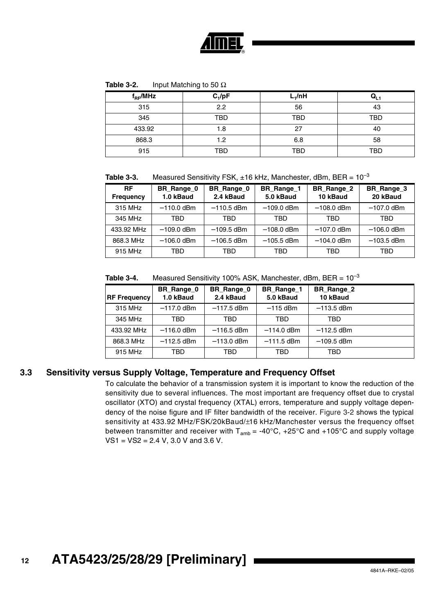

<span id="page-11-0"></span>

| Table 3-2. | Input Matching to 50 $\Omega$ |
|------------|-------------------------------|
|------------|-------------------------------|

| $f_{RF}$ /MHz | $C_1/pF$   | L <sub>1</sub> /nH | עני        |
|---------------|------------|--------------------|------------|
| 315           | 2.2        | 56                 | 43         |
| 345           | <b>TBD</b> | <b>TBD</b>         | TBD        |
| 433.92        | 1.8        | 27                 | 40         |
| 868.3         | 1.2        | 6.8                | 58         |
| 915           | TBD        | <b>TBD</b>         | <b>TBD</b> |

<span id="page-11-1"></span>**Table 3-3.** Measured Sensitivity FSK,  $\pm$ 16 kHz, Manchester, dBm, BER =  $10^{-3}$ 

| <b>RF</b><br><b>Frequency</b> | BR_Range_0<br>1.0 kBaud | BR_Range_0<br>2.4 kBaud | BR_Range_1<br>5.0 kBaud | BR_Range_2<br>10 kBaud | BR_Range_3<br>20 kBaud |
|-------------------------------|-------------------------|-------------------------|-------------------------|------------------------|------------------------|
| 315 MHz                       | $-110.0$ dBm            | $-110.5$ dBm            | $-109.0$ dBm            | $-108.0$ dBm           | $-107.0$ dBm           |
| 345 MHz                       | TBD                     | TBD                     | TBD                     | TBD                    | TBD                    |
| 433.92 MHz                    | $-109.0$ dBm            | $-109.5$ dBm            | $-108.0$ dBm            | $-107.0$ dBm           | $-106.0$ dBm           |
| 868.3 MHz                     | $-106.0$ dBm            | $-106.5$ dBm            | $-105.5$ dBm            | $-104.0$ dBm           | $-103.5$ dBm           |
| 915 MHz                       | TBD                     | TBD                     | TBD                     | TBD                    | TBD                    |

<span id="page-11-2"></span>

| <b>RF Frequency</b> | BR_Range_0<br>1.0 kBaud | BR_Range_0<br>2.4 kBaud | BR_Range_1<br>5.0 kBaud | BR_Range_2<br>10 kBaud |  |
|---------------------|-------------------------|-------------------------|-------------------------|------------------------|--|
| 315 MHz             | $-117.0$ dBm            | $-117.5$ dBm            | $-115$ dBm              | $-113.5$ dBm           |  |
| 345 MHz             | TBD                     | TBD                     | TBD                     | TBD                    |  |
| 433.92 MHz          | $-116.0$ dBm            | $-116.5$ dBm            | $-114.0$ dBm            | $-112.5$ dBm           |  |
| 868.3 MHz           | $-112.5$ dBm            | $-113.0$ dBm            | $-111.5$ dBm            | $-109.5$ dBm           |  |
| 915 MHz             | TBD                     | TBD                     | TBD                     | TBD                    |  |

### **3.3 Sensitivity versus Supply Voltage, Temperature and Frequency Offset**

To calculate the behavior of a transmission system it is important to know the reduction of the sensitivity due to several influences. The most important are frequency offset due to crystal oscillator (XTO) and crystal frequency (XTAL) errors, temperature and supply voltage dependency of the noise figure and IF filter bandwidth of the receiver. [Figure 3-2](#page-12-0) shows the typical sensitivity at 433.92 MHz/FSK/20kBaud/±16 kHz/Manchester versus the frequency offset between transmitter and receiver with  $T_{amb} = -40^{\circ}C$ ,  $+25^{\circ}C$  and  $+105^{\circ}C$  and supply voltage VS1 = VS2 = 2.4 V, 3.0 V and 3.6 V.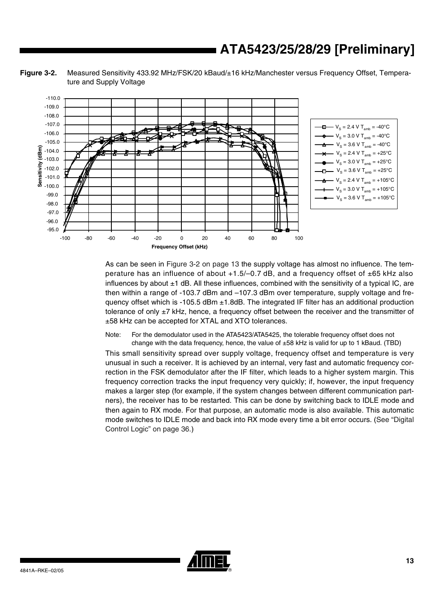<span id="page-12-0"></span>**Figure 3-2.** Measured Sensitivity 433.92 MHz/FSK/20 kBaud/±16 kHz/Manchester versus Frequency Offset, Temperature and Supply Voltage



As can be seen in [Figure 3-2 on page 13](#page-12-0) the supply voltage has almost no influence. The temperature has an influence of about  $+1.5/-0.7$  dB, and a frequency offset of  $\pm 65$  kHz also influences by about  $\pm 1$  dB. All these influences, combined with the sensitivity of a typical IC, are then within a range of -103.7 dBm and –107.3 dBm over temperature, supply voltage and frequency offset which is -105.5 dBm  $\pm$ 1.8dB. The integrated IF filter has an additional production tolerance of only ±7 kHz, hence, a frequency offset between the receiver and the transmitter of ±58 kHz can be accepted for XTAL and XTO tolerances.

Note: For the demodulator used in the ATA5423/ATA5425, the tolerable frequency offset does not change with the data frequency, hence, the value of  $\pm 58$  kHz is valid for up to 1 kBaud. (TBD)

This small sensitivity spread over supply voltage, frequency offset and temperature is very unusual in such a receiver. It is achieved by an internal, very fast and automatic frequency correction in the FSK demodulator after the IF filter, which leads to a higher system margin. This frequency correction tracks the input frequency very quickly; if, however, the input frequency makes a larger step (for example, if the system changes between different communication partners), the receiver has to be restarted. This can be done by switching back to IDLE mode and then again to RX mode. For that purpose, an automatic mode is also available. This automatic mode switches to IDLE mode and back into RX mode every time a bit error occurs. ([See "Digital](#page-35-0) [Control Logic" on page 36.](#page-35-0))

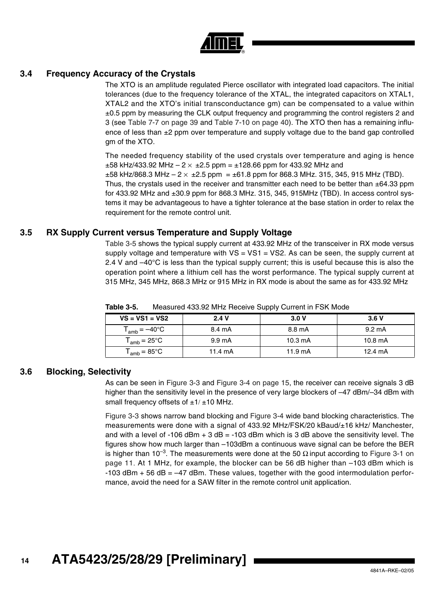

#### **3.4 Frequency Accuracy of the Crystals**

The XTO is an amplitude regulated Pierce oscillator with integrated load capacitors. The initial tolerances (due to the frequency tolerance of the XTAL, the integrated capacitors on XTAL1, XTAL2 and the XTO's initial transconductance gm) can be compensated to a value within  $\pm 0.5$  ppm by measuring the CLK output frequency and programming the control registers 2 and 3 (see [Table 7-7 on page 39](#page-38-0) and [Table 7-10 on page 40\)](#page-39-0). The XTO then has a remaining influence of less than  $\pm 2$  ppm over temperature and supply voltage due to the band gap controlled gm of the XTO.

The needed frequency stability of the used crystals over temperature and aging is hence  $\pm 58$  kHz/433.92 MHz – 2  $\times$   $\pm 2.5$  ppm =  $\pm 128.66$  ppm for 433.92 MHz and

 $\pm 58$  kHz/868.3 MHz – 2  $\times$   $\pm 2.5$  ppm =  $\pm 61.8$  ppm for 868.3 MHz. 315, 345, 915 MHz (TBD). Thus, the crystals used in the receiver and transmitter each need to be better than  $\pm$ 64.33 ppm for 433.92 MHz and  $\pm 30.9$  ppm for 868.3 MHz. 315, 345, 915MHz (TBD). In access control systems it may be advantageous to have a tighter tolerance at the base station in order to relax the requirement for the remote control unit.

#### **3.5 RX Supply Current versus Temperature and Supply Voltage**

[Table 3-5](#page-13-0) shows the typical supply current at 433.92 MHz of the transceiver in RX mode versus supply voltage and temperature with  $VS = VS1 = VS2$ . As can be seen, the supply current at 2.4 V and  $-40^{\circ}$ C is less than the typical supply current; this is useful because this is also the operation point where a lithium cell has the worst performance. The typical supply current at 315 MHz, 345 MHz, 868.3 MHz or 915 MHz in RX mode is about the same as for 433.92 MHz

| $VS = VS1 = VS2$           | 2.4V             | 3.0V              | 3.6V              |
|----------------------------|------------------|-------------------|-------------------|
| $T_{amb} = -40^{\circ}C$   | 8.4 mA           | 8.8 mA            | $9.2 \text{ mA}$  |
| $T_{amb}$ = 25°C           | $9.9 \text{ mA}$ | $10.3 \text{ mA}$ | $10.8 \text{ mA}$ |
| ${\sf T}_{\sf amb}$ = 85°C | 11.4 $mA$        | $11.9 \text{ mA}$ | $12.4 \text{ mA}$ |

<span id="page-13-0"></span>**Table 3-5.** Measured 433.92 MHz Receive Supply Current in FSK Mode

#### **3.6 Blocking, Selectivity**

As can be seen in [Figure 3-3](#page-14-0) and [Figure 3-4 on page 15,](#page-14-1) the receiver can receive signals 3 dB higher than the sensitivity level in the presence of very large blockers of –47 dBm/–34 dBm with small frequency offsets of  $\pm 1/\pm 10$  MHz.

[Figure 3-3](#page-14-0) shows narrow band blocking and [Figure 3-4](#page-14-1) wide band blocking characteristics. The measurements were done with a signal of 433.92 MHz/FSK/20 kBaud/±16 kHz/ Manchester, and with a level of -106 dBm  $+$  3 dB = -103 dBm which is 3 dB above the sensitivity level. The figures show how much larger than –103dBm a continuous wave signal can be before the BER is higher than 10<sup>-3</sup>. The measurements were done at the 50  $\Omega$  input according to [Figure 3-1 on](#page-10-1) [page 11](#page-10-1). At 1 MHz, for example, the blocker can be 56 dB higher than –103 dBm which is  $-103$  dBm  $+56$  dB  $=-47$  dBm. These values, together with the good intermodulation performance, avoid the need for a SAW filter in the remote control unit application.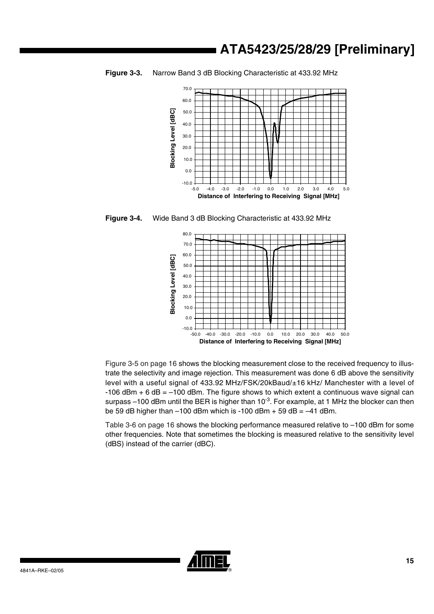

<span id="page-14-0"></span>**Figure 3-3.** Narrow Band 3 dB Blocking Characteristic at 433.92 MHz

<span id="page-14-1"></span>**Figure 3-4.** Wide Band 3 dB Blocking Characteristic at 433.92 MHz



[Figure 3-5 on page 16](#page-15-0) shows the blocking measurement close to the received frequency to illustrate the selectivity and image rejection. This measurement was done 6 dB above the sensitivity level with a useful signal of 433.92 MHz/FSK/20kBaud/±16 kHz/ Manchester with a level of  $-106$  dBm  $+ 6$  dB =  $-100$  dBm. The figure shows to which extent a continuous wave signal can surpass –100 dBm until the BER is higher than  $10^{-3}$ . For example, at 1 MHz the blocker can then be 59 dB higher than  $-100$  dBm which is  $-100$  dBm + 59 dB =  $-41$  dBm.

[Table 3-6 on page 16](#page-15-1) shows the blocking performance measured relative to –100 dBm for some other frequencies. Note that sometimes the blocking is measured relative to the sensitivity level (dBS) instead of the carrier (dBC).

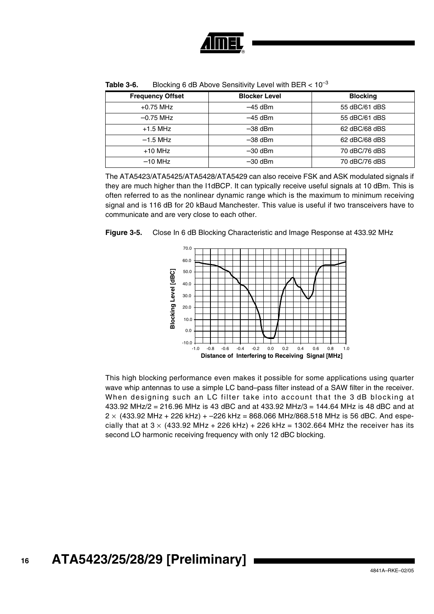

| <b>Frequency Offset</b> | <b>Blocker Level</b> | <b>Blocking</b> |
|-------------------------|----------------------|-----------------|
| $+0.75$ MHz             | $-45$ dBm            | 55 dBC/61 dBS   |
| $-0.75$ MHz             | $-45$ dBm            | 55 dBC/61 dBS   |
| $+1.5$ MHz              | $-38$ dBm            | 62 dBC/68 dBS   |
| $-1.5$ MHz              | $-38$ dBm            | 62 dBC/68 dBS   |
| $+10$ MHz               | $-30$ dBm            | 70 dBC/76 dBS   |
| $-10$ MHz               | $-30$ dBm            | 70 dBC/76 dBS   |

<span id="page-15-1"></span>**Table 3-6.** Blocking 6 dB Above Sensitivity Level with BER <  $10^{-3}$ 

The ATA5423/ATA5425/ATA5428/ATA5429 can also receive FSK and ASK modulated signals if they are much higher than the I1dBCP. It can typically receive useful signals at 10 dBm. This is often referred to as the nonlinear dynamic range which is the maximum to minimum receiving signal and is 116 dB for 20 kBaud Manchester. This value is useful if two transceivers have to communicate and are very close to each other.

<span id="page-15-0"></span>



This high blocking performance even makes it possible for some applications using quarter wave whip antennas to use a simple LC band–pass filter instead of a SAW filter in the receiver. When designing such an LC filter take into account that the 3 dB blocking at 433.92 MHz/2 = 216.96 MHz is 43 dBC and at 433.92 MHz/3 = 144.64 MHz is 48 dBC and at  $2 \times$  (433.92 MHz + 226 kHz) + -226 kHz = 868.066 MHz/868.518 MHz is 56 dBC. And especially that at  $3 \times (433.92 \text{ MHz} + 226 \text{ kHz}) + 226 \text{ kHz} = 1302.664 \text{ MHz}$  the receiver has its second LO harmonic receiving frequency with only 12 dBC blocking.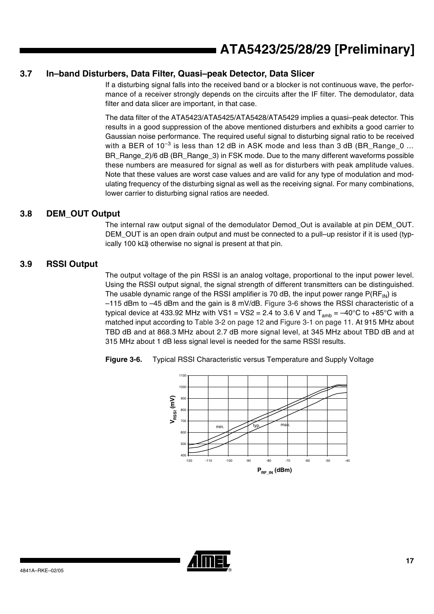#### **3.7 In–band Disturbers, Data Filter, Quasi–peak Detector, Data Slicer**

If a disturbing signal falls into the received band or a blocker is not continuous wave, the performance of a receiver strongly depends on the circuits after the IF filter. The demodulator, data filter and data slicer are important, in that case.

The data filter of the ATA5423/ATA5425/ATA5428/ATA5429 implies a quasi–peak detector. This results in a good suppression of the above mentioned disturbers and exhibits a good carrier to Gaussian noise performance. The required useful signal to disturbing signal ratio to be received with a BER of  $10^{-3}$  is less than 12 dB in ASK mode and less than 3 dB (BR\_Range\_0  $\ldots$ BR\_Range\_2)/6 dB (BR\_Range\_3) in FSK mode. Due to the many different waveforms possible these numbers are measured for signal as well as for disturbers with peak amplitude values. Note that these values are worst case values and are valid for any type of modulation and modulating frequency of the disturbing signal as well as the receiving signal. For many combinations, lower carrier to disturbing signal ratios are needed.

#### **3.8 DEM\_OUT Output**

The internal raw output signal of the demodulator Demod\_Out is available at pin DEM\_OUT. DEM\_OUT is an open drain output and must be connected to a pull–up resistor if it is used (typically 100 kΩ) otherwise no signal is present at that pin.

#### **3.9 RSSI Output**

The output voltage of the pin RSSI is an analog voltage, proportional to the input power level. Using the RSSI output signal, the signal strength of different transmitters can be distinguished. The usable dynamic range of the RSSI amplifier is 70 dB, the input power range  $P(RF_{IN})$  is –115 dBm to –45 dBm and the gain is 8 mV/dB. [Figure 3-6](#page-16-0) shows the RSSI characteristic of a typical device at 433.92 MHz with VS1 = VS2 = 2.4 to 3.6 V and  $T_{amb} = -40^{\circ}$ C to +85°C with a matched input according to [Table 3-2 on page 12](#page-11-0) and [Figure 3-1 on page 11](#page-10-1). At 915 MHz about TBD dB and at 868.3 MHz about 2.7 dB more signal level, at 345 MHz about TBD dB and at 315 MHz about 1 dB less signal level is needed for the same RSSI results.



<span id="page-16-0"></span>

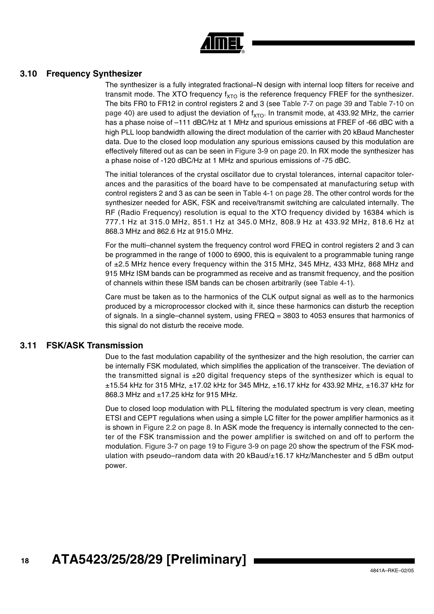

#### **3.10 Frequency Synthesizer**

The synthesizer is a fully integrated fractional–N design with internal loop filters for receive and transmit mode. The XTO frequency  $f_{XTO}$  is the reference frequency FREF for the synthesizer. The bits FR0 to FR12 in control registers 2 and 3 (see [Table 7-7 on page 39](#page-38-0) and [Table 7-10 on](#page-39-0) [page 40](#page-39-0)) are used to adjust the deviation of  $f_{XTO}$ . In transmit mode, at 433.92 MHz, the carrier has a phase noise of -111 dBC/Hz at 1 MHz and spurious emissions at FREF of -66 dBC with a high PLL loop bandwidth allowing the direct modulation of the carrier with 20 kBaud Manchester data. Due to the closed loop modulation any spurious emissions caused by this modulation are effectively filtered out as can be seen in [Figure 3-9 on page 20](#page-19-0). In RX mode the synthesizer has a phase noise of -120 dBC/Hz at 1 MHz and spurious emissions of -75 dBC.

The initial tolerances of the crystal oscillator due to crystal tolerances, internal capacitor tolerances and the parasitics of the board have to be compensated at manufacturing setup with control registers 2 and 3 as can be seen in [Table 4-1 on page 28](#page-27-0). The other control words for the synthesizer needed for ASK, FSK and receive/transmit switching are calculated internally. The RF (Radio Frequency) resolution is equal to the XTO frequency divided by 16384 which is 777.1 Hz at 315.0 MHz, 851.1 Hz at 345.0 MHz, 808.9 Hz at 433.92 MHz, 818.6 Hz at 868.3 MHz and 862.6 Hz at 915.0 MHz.

For the multi–channel system the frequency control word FREQ in control registers 2 and 3 can be programmed in the range of 1000 to 6900, this is equivalent to a programmable tuning range of ±2.5 MHz hence every frequency within the 315 MHz, 345 MHz, 433 MHz, 868 MHz and 915 MHz ISM bands can be programmed as receive and as transmit frequency, and the position of channels within these ISM bands can be chosen arbitrarily (see [Table 4-1\)](#page-27-0).

Care must be taken as to the harmonics of the CLK output signal as well as to the harmonics produced by a microprocessor clocked with it, since these harmonics can disturb the reception of signals. In a single–channel system, using FREQ = 3803 to 4053 ensures that harmonics of this signal do not disturb the receive mode.

#### **3.11 FSK/ASK Transmission**

Due to the fast modulation capability of the synthesizer and the high resolution, the carrier can be internally FSK modulated, which simplifies the application of the transceiver. The deviation of the transmitted signal is  $\pm 20$  digital frequency steps of the synthesizer which is equal to ±15.54 kHz for 315 MHz, ±17.02 kHz for 345 MHz, ±16.17 kHz for 433.92 MHz, ±16.37 kHz for 868.3 MHz and ±17.25 kHz for 915 MHz.

Due to closed loop modulation with PLL filtering the modulated spectrum is very clean, meeting ETSI and CEPT regulations when using a simple LC filter for the power amplifier harmonics as it is shown in [Figure 2.2 on page 8.](#page-7-0) In ASK mode the frequency is internally connected to the center of the FSK transmission and the power amplifier is switched on and off to perform the modulation. [Figure 3-7 on page 19](#page-18-0) to [Figure 3-9 on page 20](#page-19-0) show the spectrum of the FSK modulation with pseudo–random data with 20 kBaud/±16.17 kHz/Manchester and 5 dBm output power.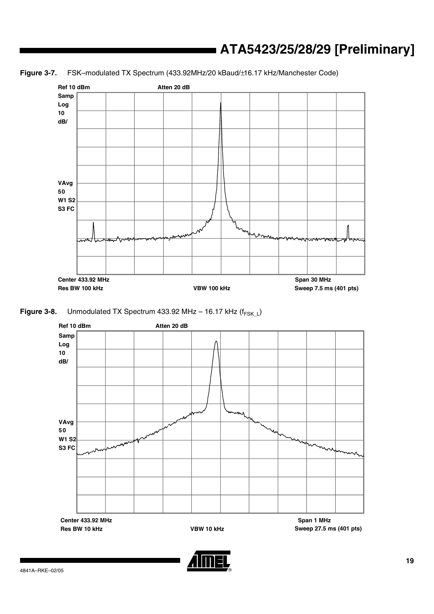<span id="page-18-0"></span>**Figure 3-7.** FSK–modulated TX Spectrum (433.92MHz/20 kBaud/±16.17 kHz/Manchester Code)



**Figure 3-8.** Unmodulated TX Spectrum 433.92 MHz – 16.17 kHz ( $f_{FSKL}$ )



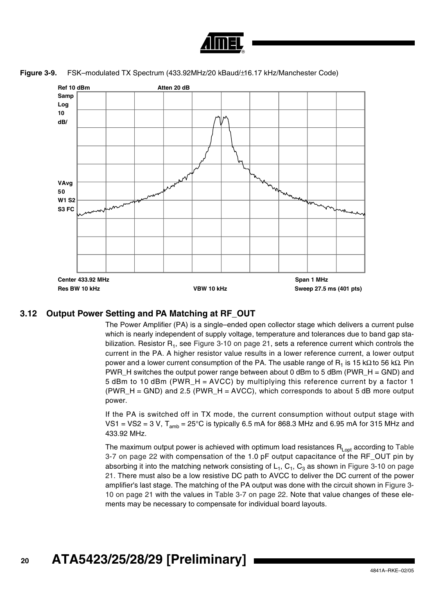

**Figure 3-9.** FSK–modulated TX Spectrum (433.92MHz/20 kBaud/±16.17 kHz/Manchester Code)

<span id="page-19-0"></span>

#### **3.12 Output Power Setting and PA Matching at RF\_OUT**

The Power Amplifier (PA) is a single–ended open collector stage which delivers a current pulse which is nearly independent of supply voltage, temperature and tolerances due to band gap stabilization. Resistor  $R_1$ , see [Figure 3-10 on page 21,](#page-20-0) sets a reference current which controls the current in the PA. A higher resistor value results in a lower reference current, a lower output power and a lower current consumption of the PA. The usable range of R<sub>1</sub> is 15 kΩ to 56 kΩ. Pin PWR H switches the output power range between about 0 dBm to 5 dBm (PWR  $H = GND$ ) and 5 dBm to 10 dBm (PWR  $H = AVCC$ ) by multiplying this reference current by a factor 1  $(PWR_H = GND)$  and 2.5 (PWR $_H = AVCC$ ), which corresponds to about 5 dB more output power.

If the PA is switched off in TX mode, the current consumption without output stage with VS1 = VS2 = 3 V,  $T_{amb}$  = 25°C is typically 6.5 mA for 868.3 MHz and 6.95 mA for 315 MHz and 433.92 MHz.

The maximum output power is achieved with optimum load resistances  $R_{\text{Lopt}}$  according to [Table](#page-21-0) [3-7 on page 22](#page-21-0) with compensation of the 1.0 pF output capacitance of the RF\_OUT pin by absorbing it into the matching network consisting of  $L_1$ ,  $C_3$ ,  $C_3$  as shown in [Figure 3-10 on page](#page-20-0) [21.](#page-20-0) There must also be a low resistive DC path to AVCC to deliver the DC current of the power amplifier's last stage. The matching of the PA output was done with the circuit shown in [Figure 3-](#page-20-0) [10 on page 21](#page-20-0) with the values in [Table 3-7 on page 22](#page-21-0). Note that value changes of these elements may be necessary to compensate for individual board layouts.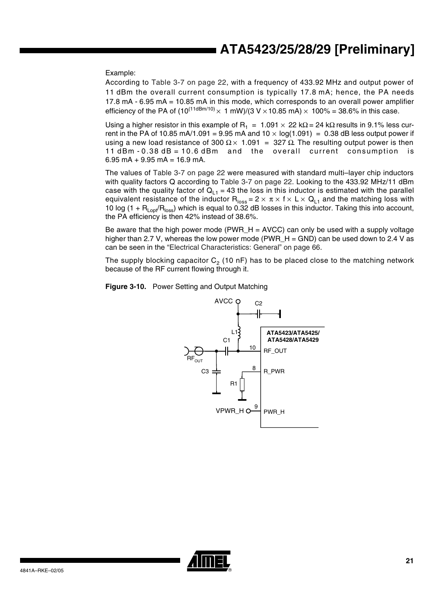Example:

According to [Table 3-7 on page 22](#page-21-0), with a frequency of 433.92 MHz and output power of 11 dBm the overall current consumption is typically 17.8 mA; hence, the PA needs 17.8 mA - 6.95 mA = 10.85 mA in this mode, which corresponds to an overall power amplifier efficiency of the PA of  $(10^{(11dBm/10)} \times 1 \text{ mW})/(3 \text{ V} \times 10.85 \text{ mA}) \times 100\% = 38.6\%$  in this case.

Using a higher resistor in this example of R<sub>1</sub> = 1.091 × 22 kΩ = 24 kΩ results in 9.1% less current in the PA of 10.85 mA/1.091 = 9.95 mA and  $10 \times log(1.091) = 0.38$  dB less output power if using a new load resistance of 300 Ω  $\times$  1.091 = 327 Ω. The resulting output power is then 11 dBm - 0.38 dB = 10.6 dBm and the overall current consumption is  $6.95$  mA +  $9.95$  mA = 16.9 mA.

The values of [Table 3-7 on page 22](#page-21-0) were measured with standard multi–layer chip inductors with quality factors Q according to [Table 3-7 on page 22](#page-21-0). Looking to the 433.92 MHz/11 dBm case with the quality factor of  $Q_{11} = 43$  the loss in this inductor is estimated with the parallel equivalent resistance of the inductor  $R_{loss} = 2 \times \pi \times f \times L \times Q_{L1}$  and the matching loss with 10 log (1 +  $R_{\text{Lopt}}/R_{\text{loss}}$ ) which is equal to 0.32 dB losses in this inductor. Taking this into account, the PA efficiency is then 42% instead of 38.6%.

Be aware that the high power mode (PWR $_H$  = AVCC) can only be used with a supply voltage higher than 2.7 V, whereas the low power mode (PWR\_H = GND) can be used down to 2.4 V as can be seen in the ["Electrical Characteristics: General" on page 66.](#page-65-0)

The supply blocking capacitor  $C_2$  (10 nF) has to be placed close to the matching network because of the RF current flowing through it.

<span id="page-20-0"></span>



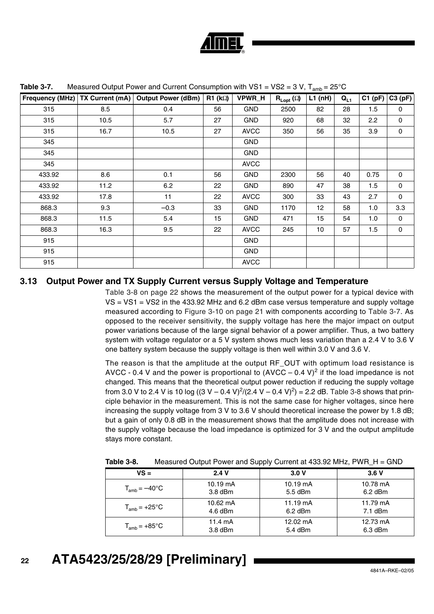

| <b>Frequency (MHz)</b> | TX Current (mA) | <b>Output Power (dBm)</b> | R1 (k) | VPWR_H      | $\mathsf{R}_{\mathsf{Lopt}}(\Omega)$ | L1(nH) | $Q_{L1}$ | C1(pF) | C3(pF)      |
|------------------------|-----------------|---------------------------|--------|-------------|--------------------------------------|--------|----------|--------|-------------|
| 315                    | 8.5             | 0.4                       | 56     | <b>GND</b>  | 2500                                 | 82     | 28       | 1.5    | $\mathbf 0$ |
| 315                    | 10.5            | 5.7                       | 27     | <b>GND</b>  | 920                                  | 68     | 32       | 2.2    | 0           |
| 315                    | 16.7            | 10.5                      | 27     | <b>AVCC</b> | 350                                  | 56     | 35       | 3.9    | 0           |
| 345                    |                 |                           |        | <b>GND</b>  |                                      |        |          |        |             |
| 345                    |                 |                           |        | <b>GND</b>  |                                      |        |          |        |             |
| 345                    |                 |                           |        | <b>AVCC</b> |                                      |        |          |        |             |
| 433.92                 | 8.6             | 0.1                       | 56     | <b>GND</b>  | 2300                                 | 56     | 40       | 0.75   | 0           |
| 433.92                 | 11.2            | 6.2                       | 22     | <b>GND</b>  | 890                                  | 47     | 38       | 1.5    | 0           |
| 433.92                 | 17.8            | 11                        | 22     | <b>AVCC</b> | 300                                  | 33     | 43       | 2.7    | 0           |
| 868.3                  | 9.3             | $-0.3$                    | 33     | <b>GND</b>  | 1170                                 | 12     | 58       | 1.0    | 3.3         |
| 868.3                  | 11.5            | 5.4                       | 15     | <b>GND</b>  | 471                                  | 15     | 54       | 1.0    | $\mathbf 0$ |
| 868.3                  | 16.3            | 9.5                       | 22     | <b>AVCC</b> | 245                                  | 10     | 57       | 1.5    | 0           |
| 915                    |                 |                           |        | <b>GND</b>  |                                      |        |          |        |             |
| 915                    |                 |                           |        | <b>GND</b>  |                                      |        |          |        |             |
| 915                    |                 |                           |        | <b>AVCC</b> |                                      |        |          |        |             |

<span id="page-21-0"></span>**Table 3-7.** Measured Output Power and Current Consumption with VS1 = VS2 =  $3$  V,  $T_{\text{max}} = 25^{\circ}$ C

#### **3.13 Output Power and TX Supply Current versus Supply Voltage and Temperature**

[Table 3-8 on page 22](#page-21-1) shows the measurement of the output power for a typical device with VS = VS1 = VS2 in the 433.92 MHz and 6.2 dBm case versus temperature and supply voltage measured according to [Figure 3-10 on page 21](#page-20-0) with components according to [Table 3-7.](#page-21-0) As opposed to the receiver sensitivity, the supply voltage has here the major impact on output power variations because of the large signal behavior of a power amplifier. Thus, a two battery system with voltage regulator or a 5 V system shows much less variation than a 2.4 V to 3.6 V one battery system because the supply voltage is then well within 3.0 V and 3.6 V.

The reason is that the amplitude at the output RF\_OUT with optimum load resistance is AVCC - 0.4 V and the power is proportional to  $(AVCC - 0.4 V)^2$  if the load impedance is not changed. This means that the theoretical output power reduction if reducing the supply voltage from 3.0 V to 2.4 V is 10 log ((3 V – 0.4 V)<sup>2</sup>/(2.4 V – 0.4 V)<sup>2</sup>) = 2.2 dB. [Table 3-8](#page-21-1) shows that principle behavior in the measurement. This is not the same case for higher voltages, since here increasing the supply voltage from 3 V to 3.6 V should theoretical increase the power by 1.8 dB; but a gain of only 0.8 dB in the measurement shows that the amplitude does not increase with the supply voltage because the load impedance is optimized for 3 V and the output amplitude stays more constant.

| $VS =$                    | 2.4V               | 3.0V               | 3.6V      |
|---------------------------|--------------------|--------------------|-----------|
| $T_{amb} = -40^{\circ}$ C | $10.19 \text{ mA}$ | $10.19 \text{ mA}$ | 10.78 mA  |
|                           | $3.8$ dBm          | 5.5 dBm            | $6.2$ dBm |
| $T_{amb}$ = +25°C         | 10.62 mA           | $11.19 \text{ mA}$ | 11.79 mA  |
|                           | $4.6$ dBm          | $6.2$ dBm          | $7.1$ dBm |
| $T_{amb}$ = +85°C         | $11.4 \text{ mA}$  | 12.02 mA           | 12.73 mA  |
|                           | $3.8$ dBm          | 5.4 dBm            | $6.3$ dBm |

<span id="page-21-1"></span>**Table 3-8.** Measured Output Power and Supply Current at 433.92 MHz, PWR H = GND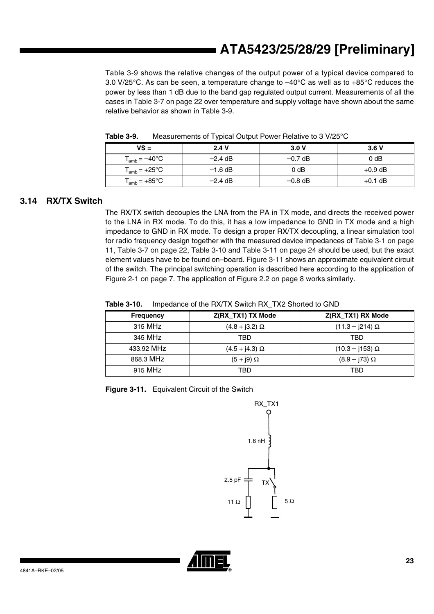[Table 3-9](#page-22-0) shows the relative changes of the output power of a typical device compared to 3.0 V/25°C. As can be seen, a temperature change to –40°C as well as to +85°C reduces the power by less than 1 dB due to the band gap regulated output current. Measurements of all the cases in [Table 3-7 on page 22](#page-21-0) over temperature and supply voltage have shown about the same relative behavior as shown in [Table 3-9](#page-22-0).

| $VS =$                    | 2.4V      | 3.0V      | 3.6V             |
|---------------------------|-----------|-----------|------------------|
| $T_{amb} = -40^{\circ}$ C | $-2.4$ dB | $-0.7$ dB | 0 <sub>d</sub> B |
| $T_{amb} = +25^{\circ}C$  | $-1.6$ dB | 0 dB      | $+0.9$ dB        |
| $T_{amb} = +85^{\circ}C$  | $-2.4$ dB | $-0.8$ dB | $+0.1$ dB        |

<span id="page-22-0"></span>**Table 3-9.** Measurements of Typical Output Power Relative to 3 V/25°C

#### **3.14 RX/TX Switch**

The RX/TX switch decouples the LNA from the PA in TX mode, and directs the received power to the LNA in RX mode. To do this, it has a low impedance to GND in TX mode and a high impedance to GND in RX mode. To design a proper RX/TX decoupling, a linear simulation tool for radio frequency design together with the measured device impedances of [Table 3-1 on page](#page-10-0) [11,](#page-10-0) [Table 3-7 on page 22,](#page-21-0) [Table 3-10](#page-22-1) and [Table 3-11 on page 24](#page-23-0) should be used, but the exact element values have to be found on–board. [Figure 3-11](#page-22-2) shows an approximate equivalent circuit of the switch. The principal switching operation is described here according to the application of [Figure 2-1 on page 7](#page-6-0). The application of [Figure 2.2 on page 8](#page-7-0) works similarly.

<span id="page-22-1"></span>

| <b>Table 3-10.</b> | Impedance of the RX/TX Switch RX_TX2 Shorted to GND |
|--------------------|-----------------------------------------------------|
|--------------------|-----------------------------------------------------|

| <b>Frequency</b> | Z(RX_TX1) TX Mode       | Z(RX_TX1) RX Mode    |
|------------------|-------------------------|----------------------|
| 315 MHz          | $(4.8 + 3.2) \Omega$    | $(11.3 - j214)$ Ω    |
| 345 MHz          | TBD                     | TBD                  |
| 433.92 MHz       | $(4.5 + j4.3)$ $\Omega$ | $(10.3 - j153)$ Ω    |
| 868.3 MHz        | $(5 + j9)$ $\Omega$     | $(8.9 - j73) \Omega$ |
| 915 MHz          | TBD                     | TBD                  |

<span id="page-22-2"></span>**Figure 3-11.** Equivalent Circuit of the Switch



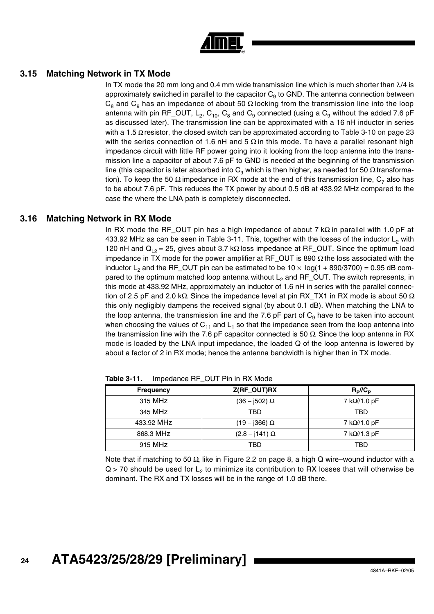| -<br>◉ |  |
|--------|--|

#### **3.15 Matching Network in TX Mode**

In TX mode the 20 mm long and 0.4 mm wide transmission line which is much shorter than  $\lambda/4$  is approximately switched in parallel to the capacitor  $C_9$  to GND. The antenna connection between  $C_8$  and  $C_9$  has an impedance of about 50  $\Omega$  locking from the transmission line into the loop antenna with pin RF\_OUT, L<sub>2</sub>, C<sub>10</sub>, C<sub>8</sub> and C<sub>9</sub> connected (using a C<sub>9</sub> without the added 7.6 pF as discussed later). The transmission line can be approximated with a 16 nH inductor in series with a 1.5  $\Omega$  resistor, the closed switch can be approximated according to [Table 3-10 on page 23](#page-22-1) with the series connection of 1.6 nH and 5  $\Omega$  in this mode. To have a parallel resonant high impedance circuit with little RF power going into it looking from the loop antenna into the transmission line a capacitor of about 7.6 pF to GND is needed at the beginning of the transmission line (this capacitor is later absorbed into C<sub>9</sub> which is then higher, as needed for 50 Ω transformation). To keep the 50  $\Omega$  impedance in RX mode at the end of this transmission line,  $C_7$  also has to be about 7.6 pF. This reduces the TX power by about 0.5 dB at 433.92 MHz compared to the case the where the LNA path is completely disconnected.

#### **3.16 Matching Network in RX Mode**

In RX mode the RF\_OUT pin has a high impedance of about 7 kΩ in parallel with 1.0 pF at 433.92 MHz as can be seen in [Table 3-11](#page-23-0). This, together with the losses of the inductor  $L_2$  with 120 nH and  $Q_{L2} = 25$ , gives about 3.7 kΩ loss impedance at RF\_OUT. Since the optimum load impedance in TX mode for the power amplifier at RF\_OUT is 890  $\Omega$  the loss associated with the inductor L<sub>2</sub> and the RF\_OUT pin can be estimated to be  $10 \times \log(1 + 890/3700) = 0.95$  dB compared to the optimum matched loop antenna without  $L_2$  and RF\_OUT. The switch represents, in this mode at 433.92 MHz, approximately an inductor of 1.6 nH in series with the parallel connection of 2.5 pF and 2.0 kΩ. Since the impedance level at pin RX TX1 in RX mode is about 50  $\Omega$ this only negligibly dampens the received signal (by about 0.1 dB). When matching the LNA to the loop antenna, the transmission line and the 7.6 pF part of  $C<sub>9</sub>$  have to be taken into account when choosing the values of  $C_{11}$  and  $L_1$  so that the impedance seen from the loop antenna into the transmission line with the 7.6 pF capacitor connected is 50  $\Omega$ . Since the loop antenna in RX mode is loaded by the LNA input impedance, the loaded Q of the loop antenna is lowered by about a factor of 2 in RX mode; hence the antenna bandwidth is higher than in TX mode.

Frequency **Z(RF\_OUT)RX** R<sub>P</sub>//C<sub>P</sub> 315 MHz  $(36 - j502) \Omega$  7 k $\Omega$ /1.0 pF 345 MHz TBD TBD 433.92 MHz (19 – j366) Ω 7 kΩ//1.0 pF 868.3 MHz  $(2.8 - j141) \Omega$  7 k $\Omega$ /1.3 pF 915 MHz TBD TBD

<span id="page-23-0"></span>**Table 3-11.** Impedance RF\_OUT Pin in RX Mode

Note that if matching to 50 Ω, like in [Figure 2.2 on page 8](#page-7-0), a high Q wire–wound inductor with a  $Q > 70$  should be used for  $L<sub>2</sub>$  to minimize its contribution to RX losses that will otherwise be dominant. The RX and TX losses will be in the range of 1.0 dB there.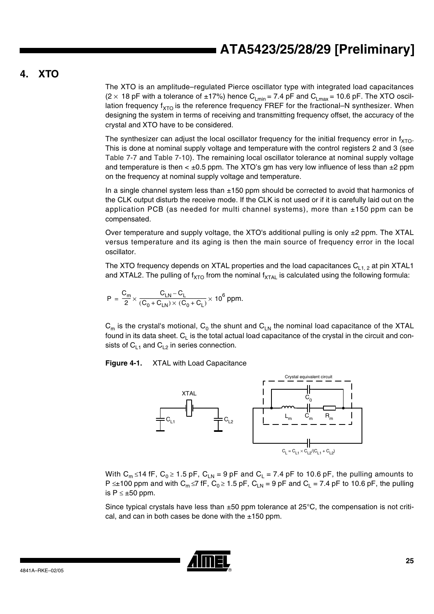### **4. XTO**

The XTO is an amplitude–regulated Pierce oscillator type with integrated load capacitances (2  $\times$  18 pF with a tolerance of ±17%) hence C<sub>Lmin</sub> = 7.4 pF and C<sub>Lmax</sub> = 10.6 pF. The XTO oscillation frequency  $f_{XTO}$  is the reference frequency FREF for the fractional–N synthesizer. When designing the system in terms of receiving and transmitting frequency offset, the accuracy of the crystal and XTO have to be considered.

The synthesizer can adjust the local oscillator frequency for the initial frequency error in  $f_{XTO}$ . This is done at nominal supply voltage and temperature with the control registers 2 and 3 (see [Table 7-7](#page-38-0) and [Table 7-10](#page-39-0)). The remaining local oscillator tolerance at nominal supply voltage and temperature is then  $\lt \pm 0.5$  ppm. The XTO's gm has very low influence of less than  $\pm 2$  ppm on the frequency at nominal supply voltage and temperature.

In a single channel system less than ±150 ppm should be corrected to avoid that harmonics of the CLK output disturb the receive mode. If the CLK is not used or if it is carefully laid out on the application PCB (as needed for multi channel systems), more than  $\pm$ 150 ppm can be compensated.

Over temperature and supply voltage, the XTO's additional pulling is only  $\pm 2$  ppm. The XTAL versus temperature and its aging is then the main source of frequency error in the local oscillator.

The XTO frequency depends on XTAL properties and the load capacitances  $C_{1, 2}$  at pin XTAL1 and XTAL2. The pulling of f<sub>XTO</sub> from the nominal f<sub>XTAL</sub> is calculated using the following formula:

$$
P = \frac{C_m}{2} \times \frac{C_{LN} - C_L}{(C_0 + C_{LN}) \times (C_0 + C_L)} \times 10^6 \text{ ppm}.
$$

 $C_m$  is the crystal's motional,  $C_0$  the shunt and  $C_{LN}$  the nominal load capacitance of the XTAL found in its data sheet.  $C_{L}$  is the total actual load capacitance of the crystal in the circuit and consists of  $C_{L1}$  and  $C_{L2}$  in series connection.

**Figure 4-1.** XTAL with Load Capacitance



With C<sub>m</sub> ≤14 fF, C<sub>0</sub> ≥ 1.5 pF, C<sub>LN</sub> = 9 pF and C<sub>L</sub> = 7.4 pF to 10.6 pF, the pulling amounts to P  $\leq$ ±100 ppm and with C<sub>m</sub> ≤7 fF, C<sub>0</sub> ≥ 1.5 pF, C<sub>LN</sub> = 9 pF and C<sub>L</sub> = 7.4 pF to 10.6 pF, the pulling is  $P \leq \pm 50$  ppm.

Since typical crystals have less than  $\pm 50$  ppm tolerance at 25 $\degree$ C, the compensation is not critical, and can in both cases be done with the  $\pm 150$  ppm.

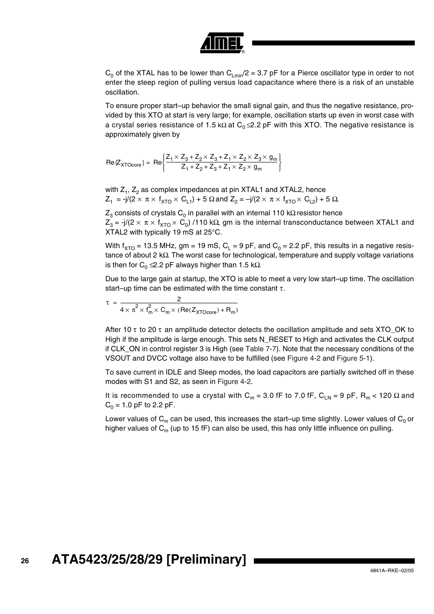

 $C_0$  of the XTAL has to be lower than  $C_{Lmin}/2 = 3.7$  pF for a Pierce oscillator type in order to not enter the steep region of pulling versus load capacitance where there is a risk of an unstable oscillation.

To ensure proper start–up behavior the small signal gain, and thus the negative resistance, provided by this XTO at start is very large; for example, oscillation starts up even in worst case with a crystal series resistance of 1.5 kΩ at  $C_0 \leq 2.2$  pF with this XTO. The negative resistance is approximately given by

 $\text{Re}\{Z_{\text{XTOcore}}\} = \text{Re}\left\{\frac{Z_1 \times Z_3 + Z_2 \times Z_3 + Z_1 \times Z_2 \times Z_3 \times g_{\text{max}}}{Z_1 + Z_2 + Z_1 + Z_2 \times Z_3 \times g_{\text{max}}} \right\}$ = Re  $\left\{\frac{Z_1 \times Z_3 + Z_2 \times Z_3 + Z_1 \times Z_2 \times Z_3 \times g_m}{Z_1 + Z_2 + Z_3 + Z_1 \times Z_2 \times g_m}\right\}$ 

with  $Z_1$ ,  $Z_2$  as complex impedances at pin XTAL1 and XTAL2, hence  $Z_1 = -j/(2 \times \pi \times f_{\text{XTO}} \times C_{L1}) + 5 \Omega$  and  $Z_2 = -j/(2 \times \pi \times f_{\text{XTO}} \times C_{L2}) + 5 \Omega$ .

 $Z_3$  consists of crystals C<sub>0</sub> in parallel with an internal 110 kΩ resistor hence  $Z_3$  = -j/(2 × π × f<sub>XTO</sub> × C<sub>0</sub>) /110 kΩ, gm is the internal transconductance between XTAL1 and XTAL2 with typically 19 mS at 25°C.

With  $f_{\text{XTO}}$  = 13.5 MHz, gm = 19 mS, C<sub>L</sub> = 9 pF, and C<sub>0</sub> = 2.2 pF, this results in a negative resistance of about 2 kΩ. The worst case for technological, temperature and supply voltage variations is then for  $C_0 \leq 2.2$  pF always higher than 1.5 k $\Omega$ .

Due to the large gain at startup, the XTO is able to meet a very low start–up time. The oscillation start–up time can be estimated with the time constant  $\tau$ .

 $\tau = \frac{2}{a^2 - a^2}$  $4 \times \pi^2 \times f_m^2$  $\times$  f<sub>m</sub> $\times$  C<sub>m</sub> $\times$  (Re(Z<sub>XTOcore</sub>) + R<sub>m</sub>) = -----------------------------------------------------------------------------------------------------------

After 10  $\tau$  to 20  $\tau$  an amplitude detector detects the oscillation amplitude and sets XTO OK to High if the amplitude is large enough. This sets N\_RESET to High and activates the CLK output if CLK\_ON in control register 3 is High (see [Table 7-7\)](#page-38-0). Note that the necessary conditions of the VSOUT and DVCC voltage also have to be fulfilled (see [Figure 4-2](#page-26-0) and [Figure 5-1](#page-29-0)).

To save current in IDLE and Sleep modes, the load capacitors are partially switched off in these modes with S1 and S2, as seen in [Figure 4-2.](#page-26-0)

It is recommended to use a crystal with C<sub>m</sub> = 3.0 fF to 7.0 fF, C<sub>LN</sub> = 9 pF, R<sub>m</sub> < 120  $\Omega$  and  $C_0 = 1.0$  pF to 2.2 pF.

Lower values of  $C_m$  can be used, this increases the start–up time slightly. Lower values of  $C_0$  or higher values of  $C_m$  (up to 15 fF) can also be used, this has only little influence on pulling.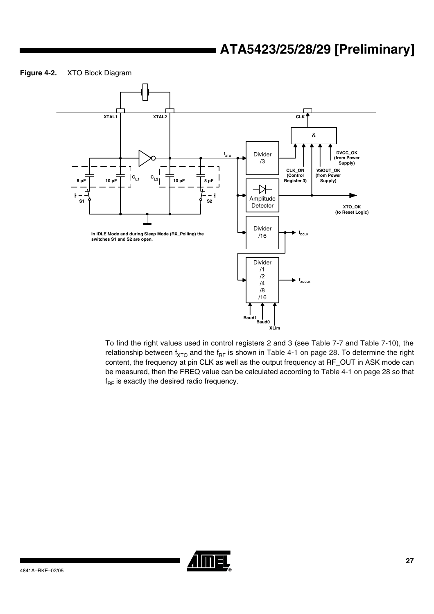#### <span id="page-26-0"></span>**Figure 4-2.** XTO Block Diagram



To find the right values used in control registers 2 and 3 (see [Table 7-7](#page-38-0) and [Table 7-10](#page-39-0)), the relationship between  $f_{\text{XTO}}$  and the  $f_{\text{RF}}$  is shown in [Table 4-1 on page 28](#page-27-0). To determine the right content, the frequency at pin CLK as well as the output frequency at RF\_OUT in ASK mode can be measured, then the FREQ value can be calculated according to [Table 4-1 on page 28](#page-27-0) so that  $f_{RF}$  is exactly the desired radio frequency.

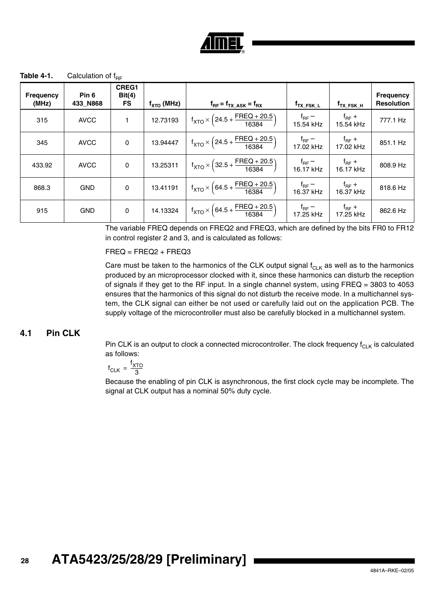

<span id="page-27-0"></span>**Table 4-1.** Calculation of  $f_{BE}$ 

| <b>Frequency</b><br>(MHz) | Pin <sub>6</sub><br>433 N868 | CREG1<br>Bit(4)<br><b>FS</b> | $f_{\text{XTO}}$ (MHz) | $f_{RF} = f_{TX\_ASK} = f_{RX}$                                                              | f <sub>TX_FSK_L</sub>          | f <sub>тх_FSK_H</sub>          | <b>Frequency</b><br><b>Resolution</b> |
|---------------------------|------------------------------|------------------------------|------------------------|----------------------------------------------------------------------------------------------|--------------------------------|--------------------------------|---------------------------------------|
| 315                       | <b>AVCC</b>                  | 1                            | 12.73193               | $f_{\text{XTO}} \times \left(24.5 + \frac{\text{FREG} + 20.5}{16384}\right)$                 | f <sub>RF</sub> –<br>15.54 kHz | $f_{\sf RF}$ +<br>15.54 kHz    | 777.1 Hz                              |
| 345                       | <b>AVCC</b>                  | 0                            | 13.94447               | $f_{\text{XTO}} \times \left(24.5 + \frac{\text{FREG} + 20.5}{16384}\right)$                 | $f_{\text{RF}}$ –<br>17.02 kHz | $f_{\text{RF}} +$<br>17.02 kHz | 851.1 Hz                              |
| 433.92                    | <b>AVCC</b>                  | $\mathbf 0$                  | 13.25311               | $f_{\text{XTO}} \times \left(32.5 + \frac{\text{FHEQ} + 20.5}{16384}\right)$                 | f <sub>RF</sub> –<br>16.17 kHz | $f_{\text{RF}} +$<br>16.17 kHz | 808.9 Hz                              |
| 868.3                     | <b>GND</b>                   | $\mathbf 0$                  | 13.41191               | $f_{\text{XTO}} \times \left(64.5 + \frac{\text{FREG} + 20.5}{16384}\right)$                 | $f_{\sf{RF}}$ –<br>$16.37$ kHz | $f_{\text{RF}} +$<br>16.37 kHz | 818.6 Hz                              |
| 915                       | <b>GND</b>                   | $\mathsf 0$                  | 14.13324               | $\left  f_{\text{XTO}} \times \left(64.5 + \frac{\text{FREG} + 20.5}{16384} \right) \right $ | $f_{\sf{RF}}$ –<br>17.25 kHz   | $t_{\sf RF}$ +<br>17.25 kHz    | 862.6 Hz                              |

The variable FREQ depends on FREQ2 and FREQ3, which are defined by the bits FR0 to FR12 in control register 2 and 3, and is calculated as follows:

FREQ = FREQ2 + FREQ3

Care must be taken to the harmonics of the CLK output signal  $f_{CLK}$  as well as to the harmonics produced by an microprocessor clocked with it, since these harmonics can disturb the reception of signals if they get to the RF input. In a single channel system, using  $FREQ = 3803$  to 4053 ensures that the harmonics of this signal do not disturb the receive mode. In a multichannel system, the CLK signal can either be not used or carefully laid out on the application PCB. The supply voltage of the microcontroller must also be carefully blocked in a multichannel system.

#### **4.1 Pin CLK**

Pin CLK is an output to clock a connected microcontroller. The clock frequency  $f_{CLK}$  is calculated as follows:

$$
f_{CLK} = \frac{f_{XTO}}{3}
$$

Because the enabling of pin CLK is asynchronous, the first clock cycle may be incomplete. The signal at CLK output has a nominal 50% duty cycle.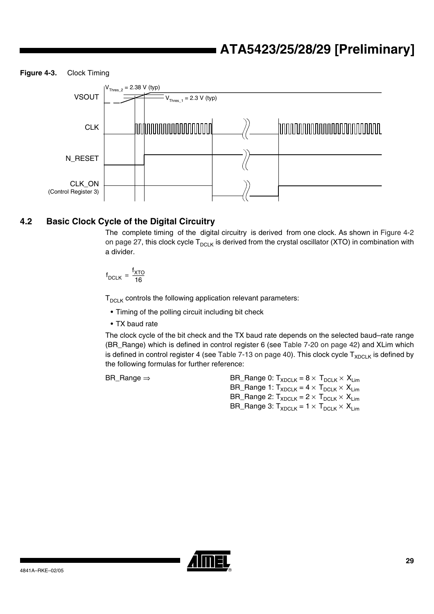**Figure 4-3.** Clock Timing



### **4.2 Basic Clock Cycle of the Digital Circuitry**

The complete timing of the digital circuitry is derived from one clock. As shown in [Figure 4-2](#page-26-0) [on page 27](#page-26-0), this clock cycle  $T_{DCLK}$  is derived from the crystal oscillator (XTO) in combination with a divider.

$$
f_{DCLK} = \frac{f_{XTO}}{16}
$$

 $T_{\text{DCLK}}$  controls the following application relevant parameters:

- Timing of the polling circuit including bit check
- TX baud rate

The clock cycle of the bit check and the TX baud rate depends on the selected baud–rate range (BR\_Range) which is defined in control register 6 (see [Table 7-20 on page 42](#page-41-0)) and XLim which is defined in control register 4 (see [Table 7-13 on page 40\)](#page-39-1). This clock cycle  $T_{XDCLK}$  is defined by the following formulas for further reference:

BR\_Range  $\Rightarrow$  BR\_Range 0:  $T_{XDCLK} = 8 \times T_{DCLK} \times X_{Lim}$ BR\_Range 1:  $T_{XDCLK} = 4 \times T_{DCLK} \times X_{Lim}$ BR\_Range 2:  $T_{XDCLK} = 2 \times T_{DCLK} \times X_{Lim}$ BR\_Range 3:  $T_{XDCLK} = 1 \times T_{DCLK} \times X_{Lim}$ 

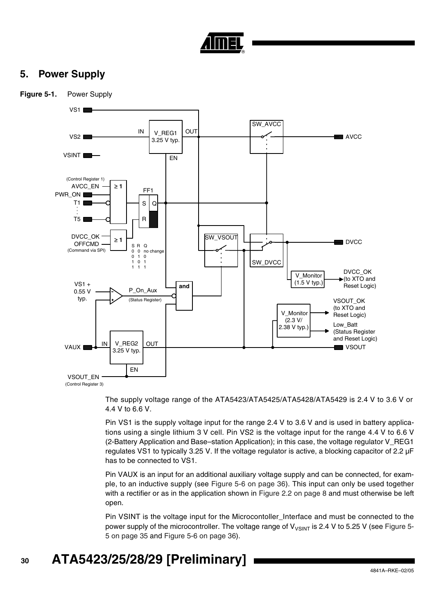

## **5. Power Supply**

<span id="page-29-0"></span>

The supply voltage range of the ATA5423/ATA5425/ATA5428/ATA5429 is 2.4 V to 3.6 V or 4.4 V to 6.6 V.

Pin VS1 is the supply voltage input for the range 2.4 V to 3.6 V and is used in battery applications using a single lithium 3 V cell. Pin VS2 is the voltage input for the range 4.4 V to 6.6 V (2-Battery Application and Base–station Application); in this case, the voltage regulator V\_REG1 regulates VS1 to typically 3.25 V. If the voltage regulator is active, a blocking capacitor of 2.2 µF has to be connected to VS1.

Pin VAUX is an input for an additional auxiliary voltage supply and can be connected, for example, to an inductive supply (see [Figure 5-6 on page 36](#page-35-1)). This input can only be used together with a rectifier or as in the application shown in [Figure 2.2 on page 8](#page-7-0) and must otherwise be left open.

Pin VSINT is the voltage input for the Microcontoller Interface and must be connected to the power supply of the microcontroller. The voltage range of  $V_{\text{VSINT}}$  is 2.4 V to 5.25 V (see [Figure 5-](#page-34-0) [5 on page 35](#page-34-0) and [Figure 5-6 on page 36](#page-35-1)).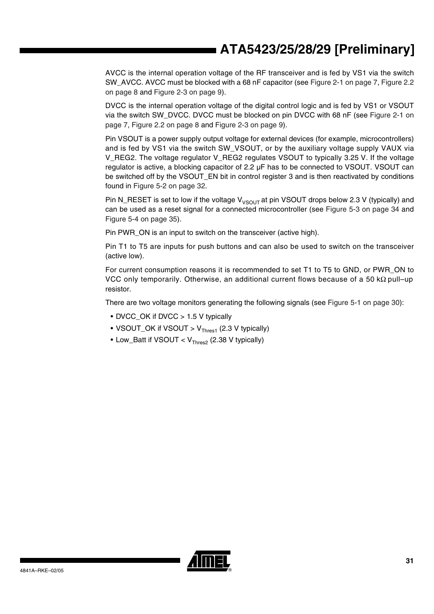AVCC is the internal operation voltage of the RF transceiver and is fed by VS1 via the switch SW\_AVCC. AVCC must be blocked with a 68 nF capacitor (see [Figure 2-1 on page 7](#page-6-0), [Figure 2.2](#page-7-0) [on page 8](#page-7-0) and [Figure 2-3 on page 9\)](#page-8-0).

DVCC is the internal operation voltage of the digital control logic and is fed by VS1 or VSOUT via the switch SW\_DVCC. DVCC must be blocked on pin DVCC with 68 nF (see [Figure 2-1 on](#page-6-0) [page 7](#page-6-0), [Figure 2.2 on page 8](#page-7-0) and [Figure 2-3 on page 9\)](#page-8-0).

Pin VSOUT is a power supply output voltage for external devices (for example, microcontrollers) and is fed by VS1 via the switch SW\_VSOUT, or by the auxiliary voltage supply VAUX via V\_REG2. The voltage regulator V\_REG2 regulates VSOUT to typically 3.25 V. If the voltage regulator is active, a blocking capacitor of 2.2 µF has to be connected to VSOUT. VSOUT can be switched off by the VSOUT\_EN bit in control register 3 and is then reactivated by conditions found in [Figure 5-2 on page 32](#page-31-0).

Pin N\_RESET is set to low if the voltage  $V_{VSOUT}$  at pin VSOUT drops below 2.3 V (typically) and can be used as a reset signal for a connected microcontroller (see [Figure 5-3 on page 34](#page-33-0) and [Figure 5-4 on page 35\)](#page-34-1).

Pin PWR\_ON is an input to switch on the transceiver (active high).

Pin T1 to T5 are inputs for push buttons and can also be used to switch on the transceiver (active low).

For current consumption reasons it is recommended to set T1 to T5 to GND, or PWR\_ON to VCC only temporarily. Otherwise, an additional current flows because of a 50 kΩ pull–up resistor.

There are two voltage monitors generating the following signals (see [Figure 5-1 on page 30\)](#page-29-0):

- DVCC OK if DVCC > 1.5 V typically
- VSOUT\_OK if VSOUT >  $V_{\text{Thres1}}$  (2.3 V typically)
- Low\_Batt if VSOUT <  $V_{\text{Thres2}}$  (2.38 V typically)

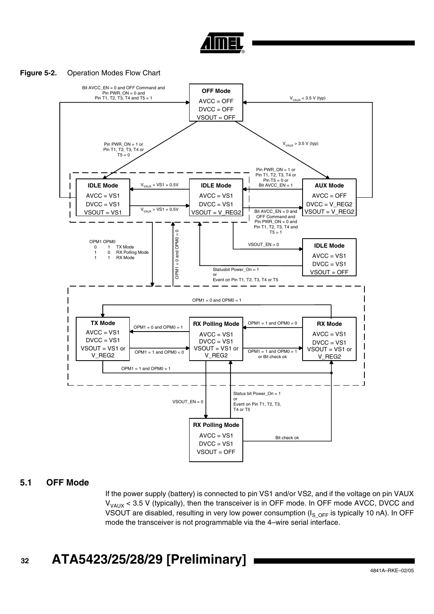

#### <span id="page-31-0"></span>**Figure 5-2.** Operation Modes Flow Chart



#### **5.1 OFF Mode**

If the power supply (battery) is connected to pin VS1 and/or VS2, and if the voltage on pin VAUX  $V_{\text{VAIX}}$  < 3.5 V (typically), then the transceiver is in OFF mode. In OFF mode AVCC, DVCC and VSOUT are disabled, resulting in very low power consumption ( $I_S$ <sub>OFF</sub> is typically 10 nA). In OFF mode the transceiver is not programmable via the 4–wire serial interface.

#### **32 ATA5423/25/28/29 [Preliminary]**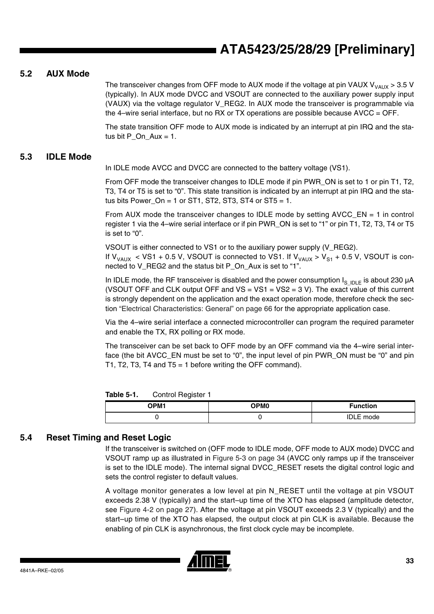#### **5.2 AUX Mode**

The transceiver changes from OFF mode to AUX mode if the voltage at pin VAUX  $V_{\text{VAUX}} > 3.5$  V (typically). In AUX mode DVCC and VSOUT are connected to the auxiliary power supply input (VAUX) via the voltage regulator V\_REG2. In AUX mode the transceiver is programmable via the 4–wire serial interface, but no RX or TX operations are possible because  $\text{AVCC} = \text{OFF}$ .

The state transition OFF mode to AUX mode is indicated by an interrupt at pin IRQ and the status bit P On  $Aux = 1$ .

#### **5.3 IDLE Mode**

In IDLE mode AVCC and DVCC are connected to the battery voltage (VS1).

From OFF mode the transceiver changes to IDLE mode if pin PWR\_ON is set to 1 or pin T1, T2, T3, T4 or T5 is set to "0". This state transition is indicated by an interrupt at pin IRQ and the status bits Power  $On = 1$  or ST1, ST2, ST3, ST4 or ST5 = 1.

From AUX mode the transceiver changes to IDLE mode by setting AVCC\_EN = 1 in control register 1 via the 4–wire serial interface or if pin PWR\_ON is set to "1" or pin T1, T2, T3, T4 or T5 is set to "0".

VSOUT is either connected to VS1 or to the auxiliary power supply (V\_REG2). If  $V_{VAUX}$  < VS1 + 0.5 V, VSOUT is connected to VS1. If  $V_{VAUX}$  >  $V_{S1}$  + 0.5 V, VSOUT is connected to V\_REG2 and the status bit P\_On\_Aux is set to "1".

In IDLE mode, the RF transceiver is disabled and the power consumption  $I_{S_1 DLE}$  is about 230  $\mu$ A (VSOUT OFF and CLK output OFF and  $VS = VS1 = VS2 = 3 V$ ). The exact value of this current is strongly dependent on the application and the exact operation mode, therefore check the section ["Electrical Characteristics: General" on page 66](#page-65-0) for the appropriate application case.

Via the 4–wire serial interface a connected microcontroller can program the required parameter and enable the TX, RX polling or RX mode.

The transceiver can be set back to OFF mode by an OFF command via the 4–wire serial interface (the bit AVCC\_EN must be set to "0", the input level of pin PWR\_ON must be "0" and pin T1, T2, T3, T4 and T5 = 1 before writing the OFF command).

| Table 5-1. | Control Register 1 |
|------------|--------------------|
|------------|--------------------|

| <b>OPM1</b> | OPM <sub>0</sub> | <b>Function</b>  |
|-------------|------------------|------------------|
|             |                  | <b>IDLE</b> mode |

#### **5.4 Reset Timing and Reset Logic**

If the transceiver is switched on (OFF mode to IDLE mode, OFF mode to AUX mode) DVCC and VSOUT ramp up as illustrated in [Figure 5-3 on page 34](#page-33-0) (AVCC only ramps up if the transceiver is set to the IDLE mode). The internal signal DVCC\_RESET resets the digital control logic and sets the control register to default values.

A voltage monitor generates a low level at pin N\_RESET until the voltage at pin VSOUT exceeds 2.38 V (typically) and the start–up time of the XTO has elapsed (amplitude detector, see [Figure 4-2 on page 27](#page-26-0)). After the voltage at pin VSOUT exceeds 2.3 V (typically) and the start–up time of the XTO has elapsed, the output clock at pin CLK is available. Because the enabling of pin CLK is asynchronous, the first clock cycle may be incomplete.

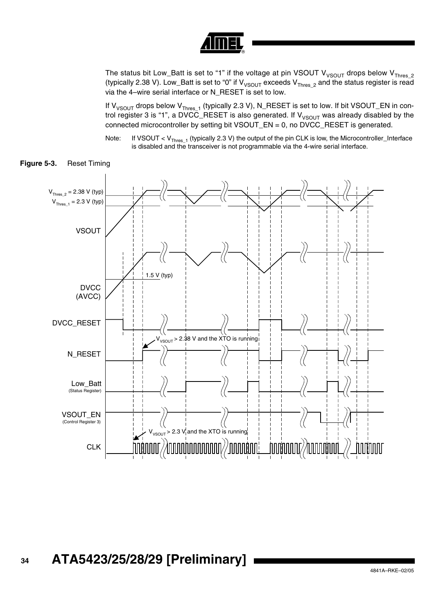

The status bit Low\_Batt is set to "1" if the voltage at pin VSOUT V<sub>VSOUT</sub> drops below V<sub>Thres 2</sub> (typically 2.38 V). Low\_Batt is set to "0" if  $V_{VSOUT}$  exceeds  $V_{Thres_2}$  and the status register is read via the 4–wire serial interface or N\_RESET is set to low.

If  $V_{VSOUT}$  drops below  $V_{Thres_1}$  (typically 2.3 V), N\_RESET is set to low. If bit VSOUT\_EN in control register 3 is "1", a DVCC\_RESET is also generated. If  $V_{VSOUT}$  was already disabled by the connected microcontroller by setting bit VSOUT\_EN = 0, no DVCC\_RESET is generated.

Note: If VSOUT <  $V_{\text{Thres }1}$  (typically 2.3 V) the output of the pin CLK is low, the Microcontroller\_Interface is disabled and the transceiver is not programmable via the 4-wire serial interface.



<span id="page-33-0"></span>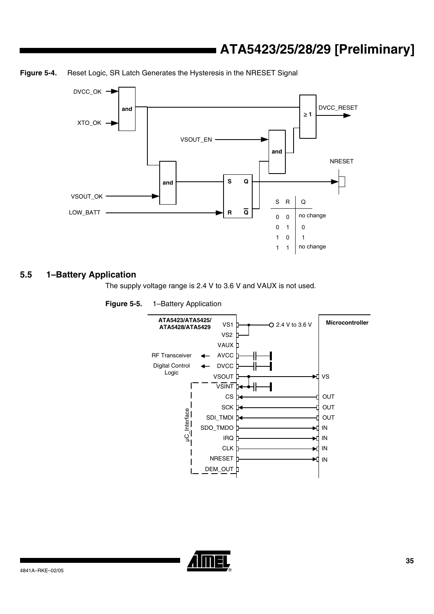

<span id="page-34-1"></span>**Figure 5-4.** Reset Logic, SR Latch Generates the Hysteresis in the NRESET Signal

#### **5.5 1–Battery Application**

The supply voltage range is 2.4 V to 3.6 V and VAUX is not used.

<span id="page-34-0"></span>



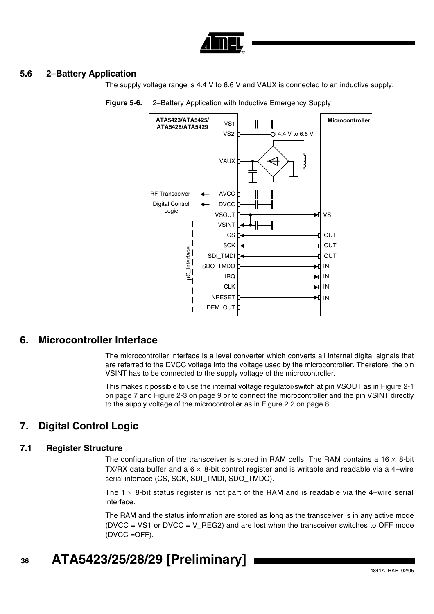

#### **5.6 2–Battery Application**

The supply voltage range is 4.4 V to 6.6 V and VAUX is connected to an inductive supply.



<span id="page-35-1"></span>**Figure 5-6.** 2–Battery Application with Inductive Emergency Supply

### **6. Microcontroller Interface**

The microcontroller interface is a level converter which converts all internal digital signals that are referred to the DVCC voltage into the voltage used by the microcontroller. Therefore, the pin VSINT has to be connected to the supply voltage of the microcontroller.

This makes it possible to use the internal voltage regulator/switch at pin VSOUT as in [Figure 2-1](#page-6-0) [on page 7](#page-6-0) and [Figure 2-3 on page 9](#page-8-0) or to connect the microcontroller and the pin VSINT directly to the supply voltage of the microcontroller as in [Figure 2.2 on page 8](#page-7-0).

### <span id="page-35-0"></span>**7. Digital Control Logic**

#### **7.1 Register Structure**

The configuration of the transceiver is stored in RAM cells. The RAM contains a 16  $\times$  8-bit TX/RX data buffer and a  $6 \times 8$ -bit control register and is writable and readable via a 4–wire serial interface (CS, SCK, SDI\_TMDI, SDO\_TMDO).

The  $1 \times 8$ -bit status register is not part of the RAM and is readable via the 4–wire serial interface.

The RAM and the status information are stored as long as the transceiver is in any active mode  $(DVCC = VS1$  or  $DVCC = V_REG2$  and are lost when the transceiver switches to OFF mode (DVCC =OFF).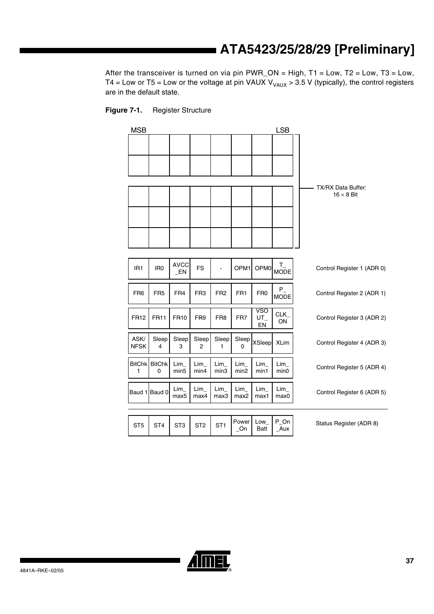After the transceiver is turned on via pin  $PWR\_ON = High$ ,  $T1 = Low$ ,  $T2 = Low$ ,  $T3 = Low$ , T4 = Low or T5 = Low or the voltage at pin VAUX  $V_{\text{VAUX}} > 3.5$  V (typically), the control registers are in the default state.



| <b>MSB</b>          |                    |                               |                 |                 |                         |                    | <b>LSB</b>             |                            |
|---------------------|--------------------|-------------------------------|-----------------|-----------------|-------------------------|--------------------|------------------------|----------------------------|
|                     |                    |                               |                 |                 |                         |                    |                        |                            |
|                     |                    |                               |                 |                 |                         |                    |                        |                            |
|                     |                    |                               |                 |                 |                         |                    |                        | TX/RX Data Buffer:         |
|                     |                    |                               |                 |                 |                         |                    |                        | $16 \times 8$ Bit          |
|                     |                    |                               |                 |                 |                         |                    |                        |                            |
|                     |                    |                               |                 |                 |                         |                    |                        |                            |
|                     |                    |                               |                 |                 |                         |                    |                        |                            |
| IR <sub>1</sub>     | IR <sub>0</sub>    | <b>AVCC</b><br>EN.            | <b>FS</b>       |                 | OPM <sub>1</sub>        | OPM <sub>0</sub>   | $T_{-}$ MODE           | Control Register 1 (ADR 0) |
| FR <sub>6</sub>     | FR <sub>5</sub>    | FR4                           | FR <sub>3</sub> | FR <sub>2</sub> | FR <sub>1</sub>         | FR <sub>0</sub>    | $P_{-}$<br><b>MODE</b> | Control Register 2 (ADR 1) |
| <b>FR12</b>         | <b>FR11</b>        | FR <sub>10</sub>              | FR <sub>9</sub> | FR <sub>8</sub> | FR7                     | VSO<br>UT<br>EN    | CLK_<br>ON             | Control Register 3 (ADR 2) |
| ASK/<br><b>NFSK</b> | Sleep<br>4         | Sleep<br>3                    | Sleep<br>2      | Sleep<br>1      | Sleep<br>0              | XSleep             | <b>XLim</b>            | Control Register 4 (ADR 3) |
| <b>BitChk</b><br>1  | <b>BitChk</b><br>0 | Lim<br>min <sub>5</sub>       | Lim<br>min4     | Lim<br>min3     | Lim<br>min <sub>2</sub> | Lim<br>min1        | Lim<br>min0            | Control Register 5 (ADR 4) |
|                     | Baud 1 Baud 0      | $Lim_{-}$<br>max <sub>5</sub> | Lim<br>max4     | Lim<br>max3     | Lim<br>max2             | Lim<br>max1        | Lim<br>max0            | Control Register 6 (ADR 5) |
|                     |                    |                               |                 |                 |                         |                    |                        |                            |
| ST <sub>5</sub>     | ST <sub>4</sub>    | ST <sub>3</sub>               | ST <sub>2</sub> | ST <sub>1</sub> | Power<br>On             | Low<br><b>Batt</b> | $P_On$<br>Aux          | Status Register (ADR 8)    |

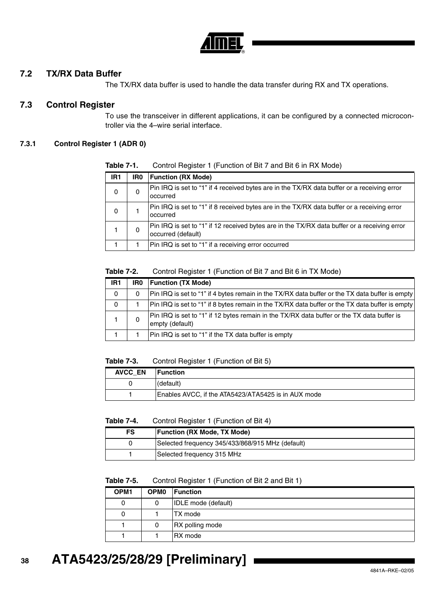

## **7.2 TX/RX Data Buffer**

The TX/RX data buffer is used to handle the data transfer during RX and TX operations.

## <span id="page-37-0"></span>**7.3 Control Register**

To use the transceiver in different applications, it can be configured by a connected microcontroller via the 4–wire serial interface.

### **7.3.1 Control Register 1 (ADR 0)**

| IR <sub>1</sub> | IR0 | <b>Function (RX Mode)</b>                                                                                          |
|-----------------|-----|--------------------------------------------------------------------------------------------------------------------|
| 0               | 0   | Pin IRQ is set to "1" if 4 received bytes are in the TX/RX data buffer or a receiving error<br>occurred            |
| 0               |     | Pin IRQ is set to "1" if 8 received bytes are in the TX/RX data buffer or a receiving error<br>occurred            |
|                 | 0   | Pin IRQ is set to "1" if 12 received bytes are in the TX/RX data buffer or a receiving error<br>occurred (default) |
|                 |     | Pin IRQ is set to "1" if a receiving error occurred                                                                |

**Table 7-1.** Control Register 1 (Function of Bit 7 and Bit 6 in RX Mode)

### **Table 7-2.** Control Register 1 (Function of Bit 7 and Bit 6 in TX Mode)

| IR1 | IR0 | <b>Function (TX Mode)</b>                                                                                     |
|-----|-----|---------------------------------------------------------------------------------------------------------------|
| 0   | 0   | Pin IRQ is set to "1" if 4 bytes remain in the TX/RX data buffer or the TX data buffer is empty               |
| 0   |     | Pin IRQ is set to "1" if 8 bytes remain in the TX/RX data buffer or the TX data buffer is empty               |
|     |     | Pin IRQ is set to "1" if 12 bytes remain in the TX/RX data buffer or the TX data buffer is<br>empty (default) |
|     |     | Pin IRQ is set to "1" if the TX data buffer is empty                                                          |

#### **Table 7-3.** Control Register 1 (Function of Bit 5)

| <b>AVCC EN</b> | <b>Function</b>                                     |
|----------------|-----------------------------------------------------|
|                | (default)                                           |
|                | Enables AVCC, if the ATA5423/ATA5425 is in AUX mode |

#### **Table 7-4.** Control Register 1 (Function of Bit 4)

| FS | <b>Function (RX Mode, TX Mode)</b>               |
|----|--------------------------------------------------|
| 0  | Selected frequency 345/433/868/915 MHz (default) |
|    | Selected frequency 315 MHz                       |

#### **Table 7-5.** Control Register 1 (Function of Bit 2 and Bit 1)

| OPM <sub>1</sub> | OPM <sub>0</sub> | Function                   |
|------------------|------------------|----------------------------|
| 0                | 0                | <b>IDLE</b> mode (default) |
| 0                |                  | TX mode                    |
|                  | 0                | RX polling mode            |
|                  |                  | RX mode                    |

# **ATA5423/25/28/29 [Preliminary]**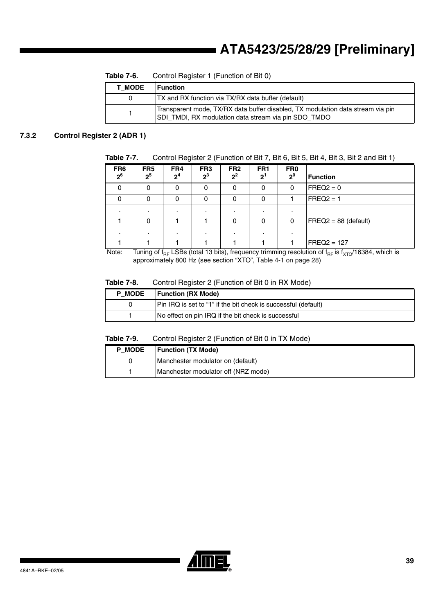| <b>T MODE</b> | <b>Function</b>                                                                                                                         |
|---------------|-----------------------------------------------------------------------------------------------------------------------------------------|
|               | <b>TX and RX function via TX/RX data buffer (default)</b>                                                                               |
|               | Transparent mode, TX/RX data buffer disabled, TX modulation data stream via pin<br>SDI TMDI, RX modulation data stream via pin SDO TMDO |

**Table 7-6.** Control Register 1 (Function of Bit 0)

## **7.3.2 Control Register 2 (ADR 1)**

**Table 7-7.** Control Register 2 (Function of Bit 7, Bit 6, Bit 5, Bit 4, Bit 3, Bit 2 and Bit 1)

| FR <sub>6</sub><br>2 <sup>6</sup> | FR <sub>5</sub><br>2 <sup>5</sup> | FR4<br>2 <sup>4</sup> | FR <sub>3</sub><br>$2^3$ | FR <sub>2</sub><br>$2^2$ | FR <sub>1</sub><br>2 <sup>1</sup> | FR <sub>0</sub><br>2 <sup>0</sup> | <b>Function</b>      |
|-----------------------------------|-----------------------------------|-----------------------|--------------------------|--------------------------|-----------------------------------|-----------------------------------|----------------------|
|                                   | 0                                 | 0                     | 0                        | 0                        | 0                                 | 0                                 | $FREQ2 = 0$          |
| 0                                 | 0                                 | 0                     | 0                        | 0                        | 0                                 |                                   | $FREQ2 = 1$          |
|                                   |                                   |                       |                          | $\cdot$                  | $\blacksquare$                    | $\blacksquare$                    |                      |
|                                   | $\Omega$                          |                       |                          | 0                        | 0                                 | 0                                 | FREQ2 = 88 (default) |
|                                   |                                   |                       | $\cdot$                  | $\cdot$                  | $\cdot$                           | $\blacksquare$                    |                      |
|                                   |                                   |                       |                          |                          |                                   |                                   | $FREQ2 = 127$        |

Note: Tuning of  $f_{RF}$  LSBs (total 13 bits), frequency trimming resolution of  $f_{RF}$  is  $f_{XTO}/16384$ , which is approximately 800 Hz (see section "XTO", [Table 4-1 on page 28](#page-27-0))

## **Table 7-8.** Control Register 2 (Function of Bit 0 in RX Mode)

| <b>P MODE</b> | <b>Function (RX Mode)</b>                                      |
|---------------|----------------------------------------------------------------|
|               | Pin IRQ is set to "1" if the bit check is successful (default) |
|               | No effect on pin IRQ if the bit check is successful            |

#### **Table 7-9.** Control Register 2 (Function of Bit 0 in TX Mode)

| <b>P MODE</b> | <b>Function (TX Mode)</b>           |
|---------------|-------------------------------------|
|               | Manchester modulator on (default)   |
|               | Manchester modulator off (NRZ mode) |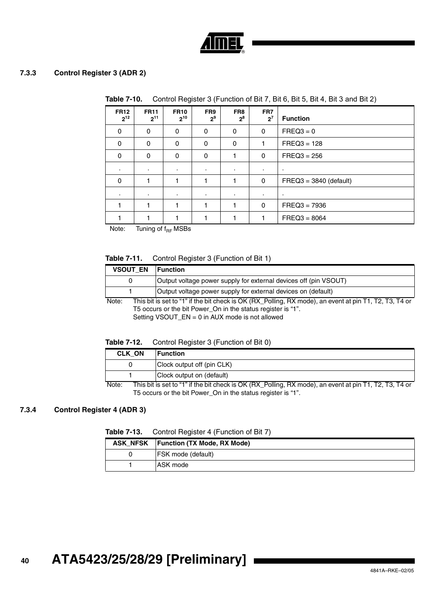

## **7.3.3 Control Register 3 (ADR 2)**

|                         | <b>lable 7-10.</b><br>Control Register 3 (Function of Bit 7, Bit 6, Bit 5, Bit 4, Bit 3 and Bit 2) |                         |                       |                |              |                          |
|-------------------------|----------------------------------------------------------------------------------------------------|-------------------------|-----------------------|----------------|--------------|--------------------------|
| <b>FR12</b><br>$2^{12}$ | <b>FR11</b><br>$2^{11}$                                                                            | <b>FR10</b><br>$2^{10}$ | FR9<br>2 <sup>9</sup> | FR8<br>$2^8$   | FR7<br>$2^7$ | <b>Function</b>          |
| $\mathbf{0}$            | $\Omega$                                                                                           | 0                       | 0                     | 0              | 0            | $FREQ3 = 0$              |
| 0                       | 0                                                                                                  | 0                       | 0                     | 0              | 1            | $FREQ3 = 128$            |
| 0                       | 0                                                                                                  | 0                       | 0                     |                | 0            | $FREG3 = 256$            |
|                         | ٠.                                                                                                 | ٠                       | $\blacksquare$        | $\blacksquare$ | $\cdot$      | ٠                        |
| 0                       |                                                                                                    | 1                       | 1                     |                | 0            | $FREQ3 = 3840$ (default) |
|                         | ٠.                                                                                                 | ٠                       | ٠                     | ٠              | ٠            | ٠                        |
|                         |                                                                                                    |                         |                       |                | 0            | $FREG3 = 7936$           |
|                         |                                                                                                    |                         |                       |                |              | $FREQ3 = 8064$           |

**Table 7-10.** Control Register 3 (Function of Bit 7, Bit 6, Bit 5, Bit 4, Bit 3 and Bit 2)

Note: Tuning of  $f_{BF}$  MSBs

### **Table 7-11.** Control Register 3 (Function of Bit 1)

| <b>VSOUT EN</b>                                                                                                 | <b>Function</b>                                                  |  |  |  |
|-----------------------------------------------------------------------------------------------------------------|------------------------------------------------------------------|--|--|--|
| 0                                                                                                               | Output voltage power supply for external devices off (pin VSOUT) |  |  |  |
|                                                                                                                 | Output voltage power supply for external devices on (default)    |  |  |  |
| This bit is set to "1" if the bit check is OK (RX Polling, RX mode), an event at pin T1, T2, T3, T4 or<br>Note: |                                                                  |  |  |  |
|                                                                                                                 | T5 occurs or the bit Power_On in the status register is "1".     |  |  |  |
|                                                                                                                 | Setting VSOUT_EN = 0 in AUX mode is not allowed                  |  |  |  |

| Table 7-12. |  |  | Control Register 3 (Function of Bit 0) |
|-------------|--|--|----------------------------------------|
|-------------|--|--|----------------------------------------|

| <b>CLK ON</b> | ⊺Function                                                                                                |
|---------------|----------------------------------------------------------------------------------------------------------|
|               | Clock output off (pin CLK)                                                                               |
|               | Clock output on (default)                                                                                |
| N             | This bit is sot to "1" if the bit shock is OK (DV) Dolling. DV mode), an event at nin T1, T2, T2, T4, or |

Note: This bit is set to "1" if the bit check is OK (RX\_Polling, RX mode), an event at pin T1, T2, T3, T4 or T5 occurs or the bit Power\_On in the status register is "1".

## **7.3.4 Control Register 4 (ADR 3)**

| Table 7-13. |  |  | Control Register 4 (Function of Bit 7) |  |
|-------------|--|--|----------------------------------------|--|
|-------------|--|--|----------------------------------------|--|

| ASK NFSK | <b>Function (TX Mode, RX Mode)</b> |
|----------|------------------------------------|
| O        | <b>FSK</b> mode (default)          |
|          | ASK mode                           |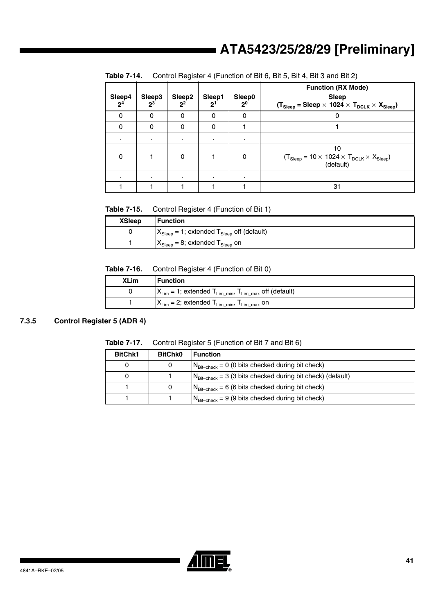| Sleep4<br>2 <sup>4</sup> | Sleep3<br>$2^3$ | Sleep2<br>$2^2$ | Sleep1<br>2 <sup>1</sup> | Sleep0<br>2 <sup>0</sup> | <b>Function (RX Mode)</b><br><b>Sleep</b><br>$(T_{\text{sleep}} = \text{sleep} \times 1024 \times T_{\text{DCLK}} \times X_{\text{sleep}})$ |
|--------------------------|-----------------|-----------------|--------------------------|--------------------------|---------------------------------------------------------------------------------------------------------------------------------------------|
| $\Omega$                 | $\Omega$        | 0               | 0                        | 0                        | U                                                                                                                                           |
| $\Omega$                 | 0               | 0               | 0                        |                          |                                                                                                                                             |
| ٠                        | ٠               | ٠               | $\bullet$                | ٠                        |                                                                                                                                             |
| 0                        |                 | $\Omega$        |                          | 0                        | 10<br>$(T_{Sleep} = 10 \times 1024 \times T_{DCLK} \times X_{Sleep})$<br>(default)                                                          |
| ٠                        | ٠               | $\cdot$         |                          | ٠                        |                                                                                                                                             |
|                          |                 |                 |                          |                          | 31                                                                                                                                          |

**Table 7-14.** Control Register 4 (Function of Bit 6, Bit 5, Bit 4, Bit 3 and Bit 2)

**Table 7-15.** Control Register 4 (Function of Bit 1)

| <b>XSleep</b> | <b>Function</b>                                                    |
|---------------|--------------------------------------------------------------------|
|               | $X_{\text{sleep}} = 1$ ; extended $T_{\text{sleep}}$ off (default) |
|               | $X_{\text{Sleep}} = 8$ ; extended $T_{\text{Sleep}}$ on            |

**Table 7-16.** Control Register 4 (Function of Bit 0)

| <b>XLim</b> | Function                                                                                   |
|-------------|--------------------------------------------------------------------------------------------|
|             | $X_{\text{Lim}}$ = 1; extended $T_{\text{Lim\_min}}$ , $T_{\text{Lim\_max}}$ off (default) |
|             | $ X_{\text{Lim}}=2$ ; extended $T_{\text{Lim\_min}}$ , $T_{\text{Lim\_max}}$ on            |

## **7.3.5 Control Register 5 (ADR 4)**

| Table 7-17. | Control Register 5 (Function of Bit 7 and Bit 6) |
|-------------|--------------------------------------------------|
|             |                                                  |

| <b>BitChk1</b> | <b>BitChk0</b> | <b>Function</b>                                                        |
|----------------|----------------|------------------------------------------------------------------------|
|                |                | $N_{\text{Bit-check}} = 0$ (0 bits checked during bit check)           |
|                |                | $N_{\text{Bit-check}}$ = 3 (3 bits checked during bit check) (default) |
|                |                | $N_{\text{Bit-check}}$ = 6 (6 bits checked during bit check)           |
|                |                | $N_{\text{Bit-check}}$ = 9 (9 bits checked during bit check)           |

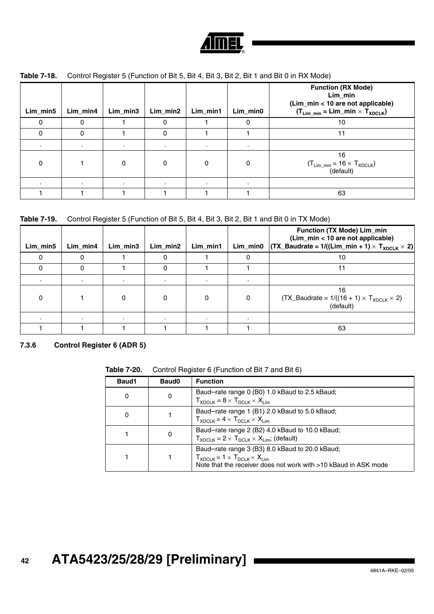

| Lim_min5 | Lim_min4 | Lim_min3 | Lim_min2  | Lim_min1 | Lim_min0 | <b>Function (RX Mode)</b><br>Lim_min<br>(Lim_min < 10 are not applicable)<br>$(T_{Lim\_min} = Lim\_min \times T_{XDCLK})$ |
|----------|----------|----------|-----------|----------|----------|---------------------------------------------------------------------------------------------------------------------------|
| O        |          |          | 0         |          | $\Omega$ | 10                                                                                                                        |
|          |          |          | $\Omega$  |          |          | 11                                                                                                                        |
|          |          | ٠.       | $\bullet$ |          |          |                                                                                                                           |
| 0        |          | 0        | 0         | 0        | 0        | 16<br>$(T_{Lim\_min} = 16 \times T_{XDCLK})$<br>(default)                                                                 |
|          |          |          | $\bullet$ |          |          |                                                                                                                           |
|          |          |          |           |          |          | 63                                                                                                                        |

## **Table 7-18.** Control Register 5 (Function of Bit 5, Bit 4, Bit 3, Bit 2, Bit 1 and Bit 0 in RX Mode)

|  | Table 7-19. Control Register 5 (Function of Bit 5, Bit 4, Bit 3, Bit 2, Bit 1 and Bit 0 in TX Mode) |  |  |  |  |
|--|-----------------------------------------------------------------------------------------------------|--|--|--|--|
|--|-----------------------------------------------------------------------------------------------------|--|--|--|--|

| Lim_min5 | Lim min4 | Lim min3 | Lim min2 | Lim min1 | Lim_min0 | Function (TX Mode) Lim_min<br>(Lim_min < 10 are not applicable)<br>$ \textsf{(TX_Baudrate = 1/((Lim\_min + 1) \times T_{XDCLK} \times 2)} $ |
|----------|----------|----------|----------|----------|----------|---------------------------------------------------------------------------------------------------------------------------------------------|
|          |          |          |          |          | $\Omega$ | 10                                                                                                                                          |
|          |          |          |          |          |          | 11                                                                                                                                          |
|          |          |          |          | $\cdot$  |          |                                                                                                                                             |
|          |          |          |          | 0        | 0        | 16<br>$(TX_Baudrate = 1/((16 + 1) \times T_{XDCLK} \times 2)$<br>(default)                                                                  |
|          |          |          |          |          |          |                                                                                                                                             |
|          |          |          |          |          |          | 63                                                                                                                                          |

**7.3.6 Control Register 6 (ADR 5)**

**Table 7-20.** Control Register 6 (Function of Bit 7 and Bit 6)

| Baud1    | Baud <sub>0</sub> | <b>Function</b>                                                                                                                                                       |
|----------|-------------------|-----------------------------------------------------------------------------------------------------------------------------------------------------------------------|
| 0        |                   | Baud-rate range 0 (B0) 1.0 kBaud to 2.5 kBaud;<br>$T_{XDCLK} = 8 \times T_{DCLK} \times X_{Lim}$                                                                      |
| $\Omega$ |                   | Baud-rate range 1 (B1) 2.0 kBaud to 5.0 kBaud;<br>$T_{XDCLK} = 4 \times T_{DCLK} \times X_{Lim}$                                                                      |
|          |                   | Baud-rate range 2 (B2) 4.0 kBaud to 10.0 kBaud;<br>$T_{XDCI K}$ = 2 × $T_{DCI K}$ × $X_{I im}$ ; (default)                                                            |
|          |                   | Baud-rate range 3 (B3) 8.0 kBaud to 20.0 kBaud;<br>$T_{XDCLK} = 1 \times T_{DCLK} \times X_{I}$ im<br>Note that the receiver does not work with >10 kBaud in ASK mode |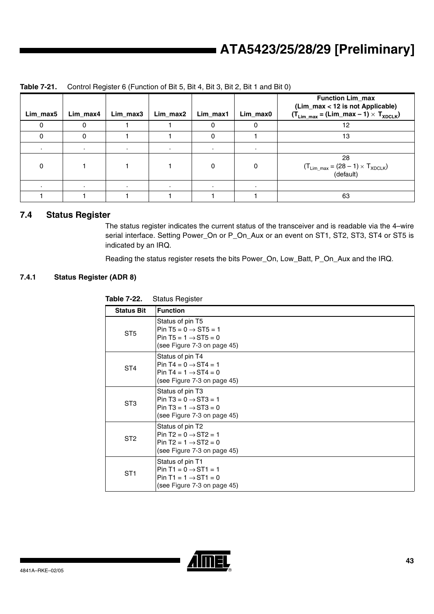| Lim_max5 | Lim_max4 | Lim_max3  | Lim_max2 | Lim_max1 | Lim_max0 | <b>Function Lim_max</b><br>(Lim_max < 12 is not Applicable)<br>$(T_{Lim\_max} = (Lim\_max - 1) \times T_{XDCLK})$ |
|----------|----------|-----------|----------|----------|----------|-------------------------------------------------------------------------------------------------------------------|
|          |          |           |          | 0        | 0        | 12                                                                                                                |
|          |          |           |          | 0        |          | 13                                                                                                                |
|          |          | $\bullet$ |          | $\cdot$  | $\cdot$  |                                                                                                                   |
| 0        |          |           |          | 0        | 0        | 28<br>$(T_{Lim\_max} = (28 - 1) \times T_{XDCLK})$<br>(default)                                                   |
|          |          | $\bullet$ |          | $\cdot$  |          |                                                                                                                   |
|          |          |           |          |          |          | 63                                                                                                                |

## **Table 7-21.** Control Register 6 (Function of Bit 5, Bit 4, Bit 3, Bit 2, Bit 1 and Bit 0)

## **7.4 Status Register**

The status register indicates the current status of the transceiver and is readable via the 4–wire serial interface. Setting Power\_On or P\_On\_Aux or an event on ST1, ST2, ST3, ST4 or ST5 is indicated by an IRQ.

Reading the status register resets the bits Power\_On, Low\_Batt, P\_On\_Aux and the IRQ.

## **7.4.1 Status Register (ADR 8)**

| Taple 7-22.       | Status Register                                                                                                         |
|-------------------|-------------------------------------------------------------------------------------------------------------------------|
| <b>Status Bit</b> | <b>Function</b>                                                                                                         |
| ST <sub>5</sub>   | Status of pin T5<br>Pin T5 = $0 \rightarrow$ ST5 = 1<br>Pin T5 = $1 \rightarrow$ ST5 = 0<br>(see Figure 7-3 on page 45) |
| ST4               | Status of pin T4<br>Pin T4 = $0 \rightarrow$ ST4 = 1<br>Pin T4 = $1 \rightarrow$ ST4 = 0<br>(see Figure 7-3 on page 45) |
| ST <sub>3</sub>   | Status of pin T3<br>Pin T3 = $0 \rightarrow$ ST3 = 1<br>Pin T3 = $1 \rightarrow ST3 = 0$<br>(see Figure 7-3 on page 45) |
| ST <sub>2</sub>   | Status of pin T2<br>Pin T2 = $0 \rightarrow$ ST2 = 1<br>Pin T2 = $1 \rightarrow$ ST2 = 0<br>(see Figure 7-3 on page 45) |
| ST <sub>1</sub>   | Status of pin T1<br>Pin T1 = $0 \rightarrow ST1 = 1$<br>Pin T1 = $1 \rightarrow ST1 = 0$<br>(see Figure 7-3 on page 45) |



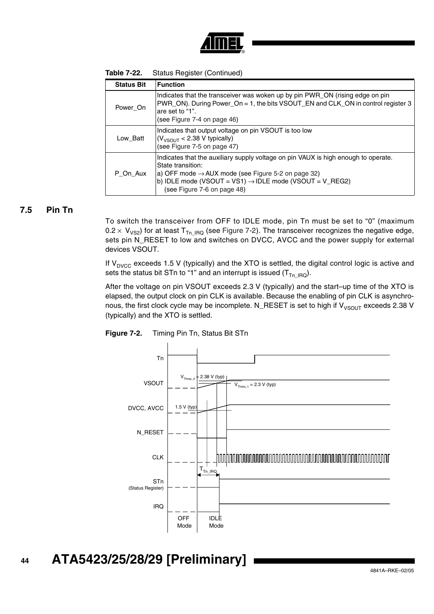

| Table 7-22. | Status Register (Continued) |  |
|-------------|-----------------------------|--|
|-------------|-----------------------------|--|

| <b>Status Bit</b> | <b>Function</b>                                                                                                                                                                                                                                                                 |
|-------------------|---------------------------------------------------------------------------------------------------------------------------------------------------------------------------------------------------------------------------------------------------------------------------------|
| Power On          | Indicates that the transceiver was woken up by pin PWR_ON (rising edge on pin<br>PWR_ON). During Power_On = 1, the bits VSOUT_EN and CLK_ON in control register 3<br>are set to "1".<br>(see Figure 7-4 on page 46)                                                             |
| Low Batt          | Indicates that output voltage on pin VSOUT is too low<br>$(V_{VSOUT}$ < 2.38 V typically)<br>(see Figure 7-5 on page 47)                                                                                                                                                        |
| P On Aux          | Indicates that the auxiliary supply voltage on pin VAUX is high enough to operate.<br>State transition:<br>a) OFF mode $\rightarrow$ AUX mode (see Figure 5-2 on page 32)<br>b) IDLE mode (VSOUT = VS1) $\rightarrow$ IDLE mode (VSOUT = V_REG2)<br>(see Figure 7-6 on page 48) |

## **7.5 Pin Tn**

To switch the transceiver from OFF to IDLE mode, pin Tn must be set to "0" (maximum  $0.2 \times V_{VSS}$ ) for at least T<sub>Tn\_IRQ</sub> (see [Figure 7-2\)](#page-43-0). The transceiver recognizes the negative edge, sets pin N\_RESET to low and switches on DVCC, AVCC and the power supply for external devices VSOUT.

If  $V<sub>DVCC</sub>$  exceeds 1.5 V (typically) and the XTO is settled, the digital control logic is active and sets the status bit STn to "1" and an interrupt is issued  $(T_{Tn~IBG})$ .

After the voltage on pin VSOUT exceeds 2.3 V (typically) and the start–up time of the XTO is elapsed, the output clock on pin CLK is available. Because the enabling of pin CLK is asynchronous, the first clock cycle may be incomplete. N\_RESET is set to high if  $V_{V\text{SOUT}}$  exceeds 2.38 V (typically) and the XTO is settled.

<span id="page-43-0"></span>

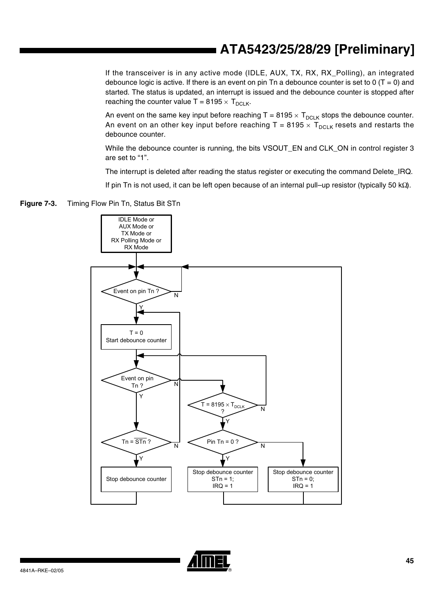If the transceiver is in any active mode (IDLE, AUX, TX, RX, RX\_Polling), an integrated debounce logic is active. If there is an event on pin Tn a debounce counter is set to 0 (T = 0) and started. The status is updated, an interrupt is issued and the debounce counter is stopped after reaching the counter value  $T = 8195 \times T_{DCLK}$ .

An event on the same key input before reaching  $T = 8195 \times T_{DCLK}$  stops the debounce counter. An event on an other key input before reaching T = 8195  $\times$  T<sub>DCLK</sub> resets and restarts the debounce counter.

While the debounce counter is running, the bits VSOUT\_EN and CLK\_ON in control register 3 are set to "1".

The interrupt is deleted after reading the status register or executing the command Delete IRQ.

If pin Tn is not used, it can be left open because of an internal pull–up resistor (typically 50 kΩ).

<span id="page-44-0"></span>



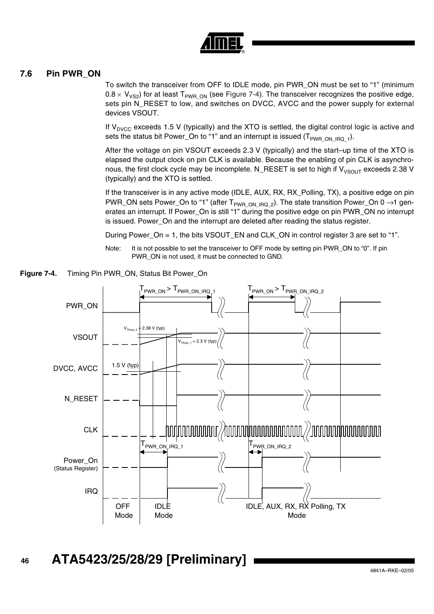

## **7.6 Pin PWR\_ON**

To switch the transceiver from OFF to IDLE mode, pin PWR\_ON must be set to "1" (minimum  $0.8 \times V_{VSS}$ ) for at least T<sub>PWR ON</sub> (see [Figure 7-4\)](#page-45-0). The transceiver recognizes the positive edge, sets pin N\_RESET to low, and switches on DVCC, AVCC and the power supply for external devices VSOUT.

If  $V_{\text{DVCC}}$  exceeds 1.5 V (typically) and the XTO is settled, the digital control logic is active and sets the status bit Power\_On to "1" and an interrupt is issued ( $T_{PWR}$ <sub>ON\_IRQ\_1</sub>).

After the voltage on pin VSOUT exceeds 2.3 V (typically) and the start–up time of the XTO is elapsed the output clock on pin CLK is available. Because the enabling of pin CLK is asynchronous, the first clock cycle may be incomplete. N\_RESET is set to high if  $V_{V\text{SOLIT}}$  exceeds 2.38 V (typically) and the XTO is settled.

If the transceiver is in any active mode (IDLE, AUX, RX, RX\_Polling, TX), a positive edge on pin PWR\_ON sets Power\_On to "1" (after T<sub>PWR ON IRQ</sub> 2). The state transition Power\_On 0  $\rightarrow$ 1 generates an interrupt. If Power\_On is still "1" during the positive edge on pin PWR\_ON no interrupt is issued. Power\_On and the interrupt are deleted after reading the status register.

During Power\_On = 1, the bits VSOUT\_EN and CLK\_ON in control register 3 are set to "1".

Note: It is not possible to set the transceiver to OFF mode by setting pin PWR\_ON to "0". If pin PWR\_ON is not used, it must be connected to GND.



<span id="page-45-0"></span>**Figure 7-4.** Timing Pin PWR\_ON, Status Bit Power\_On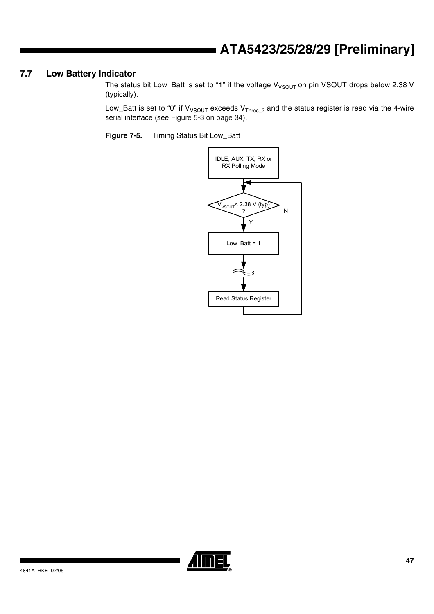## **7.7 Low Battery Indicator**

The status bit Low\_Batt is set to "1" if the voltage  $V_{VSOUT}$  on pin VSOUT drops below 2.38 V (typically).

Low\_Batt is set to "0" if  $V_{VSOUT}$  exceeds  $V_{Thres_2}$  and the status register is read via the 4-wire serial interface (see [Figure 5-3 on page 34\)](#page-33-0).

<span id="page-46-0"></span>**Figure 7-5.** Timing Status Bit Low\_Batt



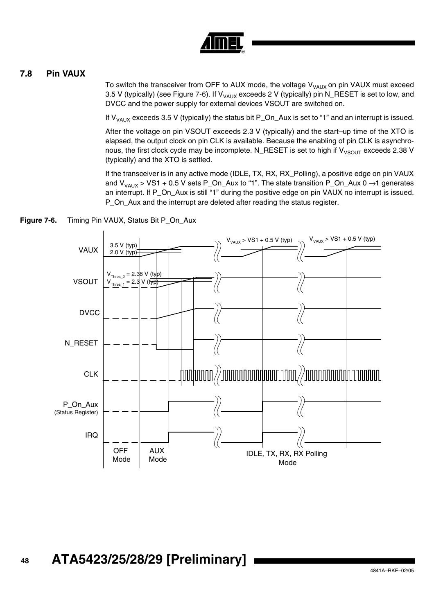

## **7.8 Pin VAUX**

To switch the transceiver from OFF to AUX mode, the voltage  $V_{VAUX}$  on pin VAUX must exceed 3.5 V (typically) (see [Figure 7-6](#page-47-0)). If  $V_{VAUX}$  exceeds 2 V (typically) pin N\_RESET is set to low, and DVCC and the power supply for external devices VSOUT are switched on.

If  $V_{VAUX}$  exceeds 3.5 V (typically) the status bit P\_On\_Aux is set to "1" and an interrupt is issued.

After the voltage on pin VSOUT exceeds 2.3 V (typically) and the start–up time of the XTO is elapsed, the output clock on pin CLK is available. Because the enabling of pin CLK is asynchronous, the first clock cycle may be incomplete. N\_RESET is set to high if  $V_{V\text{SOUT}}$  exceeds 2.38 V (typically) and the XTO is settled.

If the transceiver is in any active mode (IDLE, TX, RX, RX\_Polling), a positive edge on pin VAUX and  $V_{VAUX}$  > VS1 + 0.5 V sets P\_On\_Aux to "1". The state transition P\_On\_Aux 0  $\rightarrow$ 1 generates an interrupt. If P\_On\_Aux is still "1" during the positive edge on pin VAUX no interrupt is issued. P\_On\_Aux and the interrupt are deleted after reading the status register.



<span id="page-47-0"></span>**Figure 7-6.** Timing Pin VAUX, Status Bit P On Aux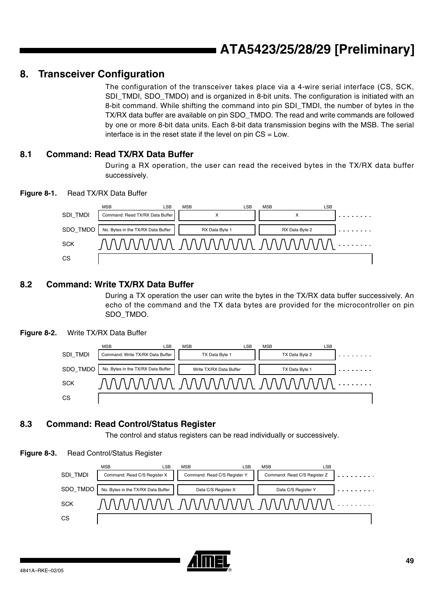## <span id="page-48-1"></span>**8. Transceiver Configuration**

The configuration of the transceiver takes place via a 4-wire serial interface (CS, SCK, SDI\_TMDI, SDO\_TMDO) and is organized in 8-bit units. The configuration is initiated with an 8-bit command. While shifting the command into pin SDI\_TMDI, the number of bytes in the TX/RX data buffer are available on pin SDO\_TMDO. The read and write commands are followed by one or more 8-bit data units. Each 8-bit data transmission begins with the MSB. The serial interface is in the reset state if the level on pin  $CS = Low$ .

## **8.1 Command: Read TX/RX Data Buffer**

During a RX operation, the user can read the received bytes in the TX/RX data buffer successively.

<span id="page-48-0"></span>



## **8.2 Command: Write TX/RX Data Buffer**

During a TX operation the user can write the bytes in the TX/RX data buffer successively. An echo of the command and the TX data bytes are provided for the microcontroller on pin SDO\_TMDO.

## **Figure 8-2.** Write TX/RX Data Buffer



## **8.3 Command: Read Control/Status Register**

The control and status registers can be read individually or successively.

## **Figure 8-3.** Read Control/Status Register



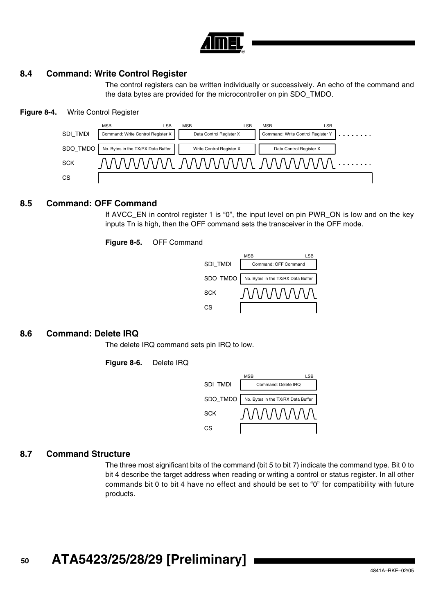

## **8.4 Command: Write Control Register**

The control registers can be written individually or successively. An echo of the command and the data bytes are provided for the microcontroller on pin SDO\_TMDO.

#### **Figure 8-4.** Write Control Register



## **8.5 Command: OFF Command**

If AVCC\_EN in control register 1 is "0", the input level on pin PWR\_ON is low and on the key inputs Tn is high, then the OFF command sets the transceiver in the OFF mode.

**Figure 8-5.** OFF Command



## **8.6 Command: Delete IRQ**

The delete IRQ command sets pin IRQ to low.

**Figure 8-6.** Delete IRQ



## **8.7 Command Structure**

The three most significant bits of the command (bit 5 to bit 7) indicate the command type. Bit 0 to bit 4 describe the target address when reading or writing a control or status register. In all other commands bit 0 to bit 4 have no effect and should be set to "0" for compatibility with future products.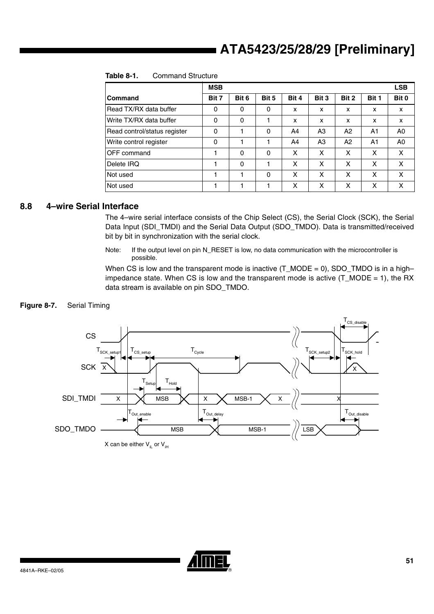|                              | <b>MSB</b> |          |          |       |                |       |                | <b>LSB</b> |
|------------------------------|------------|----------|----------|-------|----------------|-------|----------------|------------|
| Command                      | Bit 7      | Bit 6    | Bit 5    | Bit 4 | Bit 3          | Bit 2 | Bit 1          | Bit 0      |
| Read TX/RX data buffer       | 0          | 0        | 0        | x     | x              | x     | x              | X          |
| Write TX/RX data buffer      | 0          | 0        |          | X     | X              | X     | x              | x          |
| Read control/status register | 0          |          | $\Omega$ | A4    | A <sub>3</sub> | A2    | A1             | A0         |
| Write control register       | 0          |          |          | A4    | A <sub>3</sub> | A2    | A <sub>1</sub> | A0         |
| OFF command                  |            | $\Omega$ | $\Omega$ | x     | x              | x     | x              | X          |
| Delete IRQ                   |            | 0        |          | X     | x              | x     | X              | X          |
| Not used                     |            |          | 0        | x     | x              | x     | X              | x          |
| Not used                     |            |          |          | x     | x              | x     | x              | x          |

### **Table 8-1.** Command Structure

## **8.8 4–wire Serial Interface**

The 4–wire serial interface consists of the Chip Select (CS), the Serial Clock (SCK), the Serial Data Input (SDI\_TMDI) and the Serial Data Output (SDO\_TMDO). Data is transmitted/received bit by bit in synchronization with the serial clock.

Note: If the output level on pin N\_RESET is low, no data communication with the microcontroller is possible.

When CS is low and the transparent mode is inactive  $(T_MODE = 0)$ , SDO\_TMDO is in a high– impedance state. When CS is low and the transparent mode is active (T\_MODE = 1), the RX data stream is available on pin SDO\_TMDO.

## **Figure 8-7.** Serial Timing



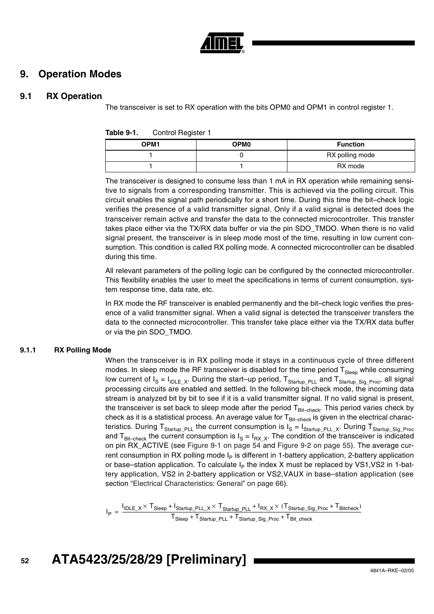

## **9. Operation Modes**

## **9.1 RX Operation**

The transceiver is set to RX operation with the bits OPM0 and OPM1 in control register 1.

| Table 9-1. | Control Register 1 |
|------------|--------------------|
|------------|--------------------|

| OPM1 | OPM0 | <b>Function</b> |
|------|------|-----------------|
|      |      | RX polling mode |
|      |      | RX mode         |

The transceiver is designed to consume less than 1 mA in RX operation while remaining sensitive to signals from a corresponding transmitter. This is achieved via the polling circuit. This circuit enables the signal path periodically for a short time. During this time the bit–check logic verifies the presence of a valid transmitter signal. Only if a valid signal is detected does the transceiver remain active and transfer the data to the connected microcontroller. This transfer takes place either via the TX/RX data buffer or via the pin SDO\_TMDO. When there is no valid signal present, the transceiver is in sleep mode most of the time, resulting in low current consumption. This condition is called RX polling mode. A connected microcontroller can be disabled during this time.

All relevant parameters of the polling logic can be configured by the connected microcontroller. This flexibility enables the user to meet the specifications in terms of current consumption, system response time, data rate, etc.

In RX mode the RF transceiver is enabled permanently and the bit–check logic verifies the presence of a valid transmitter signal. When a valid signal is detected the transceiver transfers the data to the connected microcontroller. This transfer take place either via the TX/RX data buffer or via the pin SDO\_TMDO.

## **9.1.1 RX Polling Mode**

When the transceiver is in RX polling mode it stays in a continuous cycle of three different modes. In sleep mode the RF transceiver is disabled for the time period  $T_{Sleep}$  while consuming low current of  $I_S = I_{IDLE[X]}$ . During the start–up period, T<sub>Startup</sub> <sub>PLL</sub> and T<sub>Startup</sub> <sub>Sig Proc</sub>, all signal processing circuits are enabled and settled. In the following bit-check mode, the incoming data stream is analyzed bit by bit to see if it is a valid transmitter signal. If no valid signal is present, the transceiver is set back to sleep mode after the period  $T_{\text{Bit-check}}$ . This period varies check by check as it is a statistical process. An average value for  $T_{\text{Bit-check}}$  is given in the electrical characteristics. During T<sub>Startup\_PLL</sub> the current consumption is  $I_S = I_{Startup_PPLL_X}$ . During T<sub>Startup\_Sig\_Proc</sub> and T<sub>Bit–check</sub> the current consumption is  $I_S = I_{RXX}$ . The condition of the transceiver is indicated on pin RX\_ACTIVE (see [Figure 9-1 on page 54](#page-53-0) and [Figure 9-2 on page 55\)](#page-54-0). The average current consumption in RX polling mode  $I<sub>P</sub>$  is different in 1-battery application, 2-battery application or base–station application. To calculate  $I_P$  the index X must be replaced by VS1,VS2 in 1-battery application, VS2 in 2-battery application or VS2,VAUX in base–station application (see section ["Electrical Characteristics: General" on page 66\)](#page-65-0).

I P  $I_{\mathsf{IDLE}\_\mathsf{X}} \times \mathsf{T}_{\mathsf{Sleep}}$  +  $\mathsf{I}_{\mathsf{Startup\_PLL}} \times \mathsf{T}_{\mathsf{Startup\_PLL}}$  +  $\mathsf{I}_{\mathsf{RX}\_\mathsf{X}} \times (\mathsf{T}_{\mathsf{Startup\_Sig\_Proc}} + \mathsf{T}_{\mathsf{Bitcheck}})$  $T_{\text{sleep}} + T_{\text{Startup\_PLE}} + T_{\text{Startup\_Sig\_Proc}} + T_{\text{Bit\_check}}$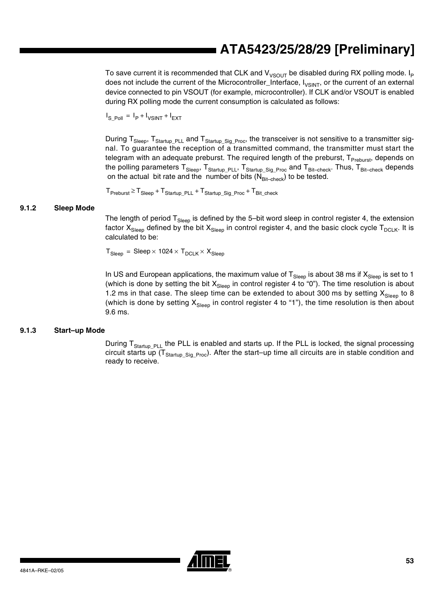To save current it is recommended that CLK and  $V_{V\text{SOUT}}$  be disabled during RX polling mode. I<sub>P</sub> does not include the current of the Microcontroller\_Interface, I<sub>VSINT</sub>, or the current of an external device connected to pin VSOUT (for example, microcontroller). If CLK and/or VSOUT is enabled during RX polling mode the current consumption is calculated as follows:

 $I_{S_Pol} = I_P + I_{VSINT} + I_{EXT}$ 

During T<sub>Sleep</sub>, T<sub>Startup PLL</sub> and T<sub>Startup</sub> <sub>Sig Proc</sub>, the transceiver is not sensitive to a transmitter signal. To guarantee the reception of a transmitted command, the transmitter must start the telegram with an adequate preburst. The required length of the preburst, T<sub>Preburst</sub>, depends on the polling parameters  $T_{Sleep}$ ,  $T_{Startup\_PLL}$ ,  $T_{Startup\_Sig\_Proc}$  and  $T_{Bit-check}$ . Thus,  $T_{Bit-check}$  depends on the actual bit rate and the number of bits  $(N_{\text{Bit}-\text{check}})$  to be tested.

 $T_{\text{Preburst}} \ge T_{\text{Sleep}} + T_{\text{Startup}}$  PLL  $+ T_{\text{Startup}}$  Sig\_Proc  $+ T_{\text{Bit}}$  check

### **9.1.2 Sleep Mode**

The length of period  $T_{Sleep}$  is defined by the 5-bit word sleep in control register 4, the extension factor  $X_{Sleep}$  defined by the bit  $X_{Sleep}$  in control register 4, and the basic clock cycle  $T_{DCLK}$ . It is calculated to be:

 $T_{Sleep}$  = Sleep  $\times$  1024  $\times$   $T_{DCLK}$   $\times$   $X_{Sleep}$ 

In US and European applications, the maximum value of  $T_{Sleep}$  is about 38 ms if  $X_{Sleep}$  is set to 1 (which is done by setting the bit  $X_{Sleep}$  in control register 4 to "0"). The time resolution is about 1.2 ms in that case. The sleep time can be extended to about 300 ms by setting  $X_{\text{Slee}}$  to 8 (which is done by setting  $X_{Sleep}$  in control register 4 to "1"), the time resolution is then about 9.6 ms.

#### **9.1.3 Start–up Mode**

During T<sub>Startup</sub> <sub>PLL</sub> the PLL is enabled and starts up. If the PLL is locked, the signal processing circuit starts up ( $T_{\text{Starlup-Sia Proc}}$ ). After the start–up time all circuits are in stable condition and ready to receive.

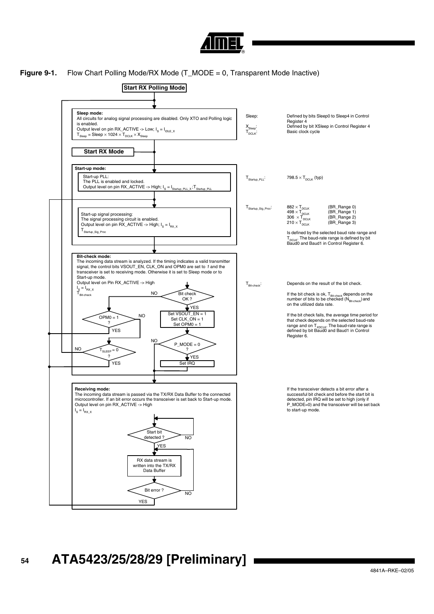

### <span id="page-53-0"></span>**Figure 9-1.** Flow Chart Polling Mode/RX Mode (T\_MODE = 0, Transparent Mode Inactive)

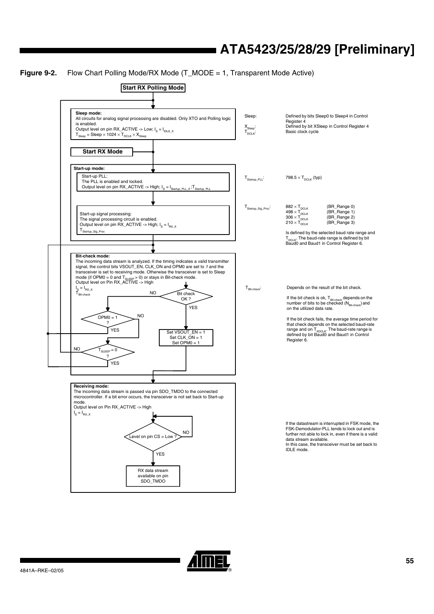## <span id="page-54-0"></span>**Figure 9-2.** Flow Chart Polling Mode/RX Mode (T\_MODE = 1, Transparent Mode Active)



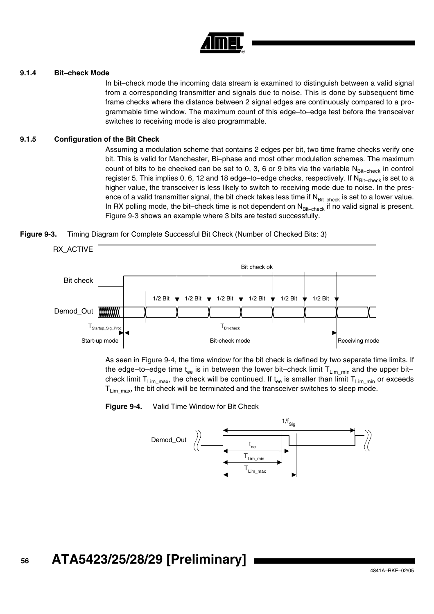

#### **9.1.4 Bit–check Mode**

In bit–check mode the incoming data stream is examined to distinguish between a valid signal from a corresponding transmitter and signals due to noise. This is done by subsequent time frame checks where the distance between 2 signal edges are continuously compared to a programmable time window. The maximum count of this edge–to–edge test before the transceiver switches to receiving mode is also programmable.

### **9.1.5 Configuration of the Bit Check**

Assuming a modulation scheme that contains 2 edges per bit, two time frame checks verify one bit. This is valid for Manchester, Bi–phase and most other modulation schemes. The maximum count of bits to be checked can be set to 0, 3, 6 or 9 bits via the variable  $N_{\text{Bit–check}}$  in control register 5. This implies 0, 6, 12 and 18 edge-to-edge checks, respectively. If N<sub>Bit-check</sub> is set to a higher value, the transceiver is less likely to switch to receiving mode due to noise. In the presence of a valid transmitter signal, the bit check takes less time if  $N_{\text{Bit-check}}$  is set to a lower value. In RX polling mode, the bit–check time is not dependent on  $N_{\text{Bit-check}}$  if no valid signal is present. [Figure 9-3](#page-55-0) shows an example where 3 bits are tested successfully.

<span id="page-55-0"></span>



As seen in [Figure 9-4,](#page-55-1) the time window for the bit check is defined by two separate time limits. If the edge–to–edge time t<sub>ee</sub> is in between the lower bit–check limit  $T_{\text{Lim min}}$  and the upper bit– check limit  $T_{\text{Lim\_max}}$ , the check will be continued. If  $t_{ee}$  is smaller than limit  $T_{\text{Lim\_min}}$  or exceeds  $T_{\text{Lim max}}$ , the bit check will be terminated and the transceiver switches to sleep mode.

<span id="page-55-1"></span>**Figure 9-4.** Valid Time Window for Bit Check

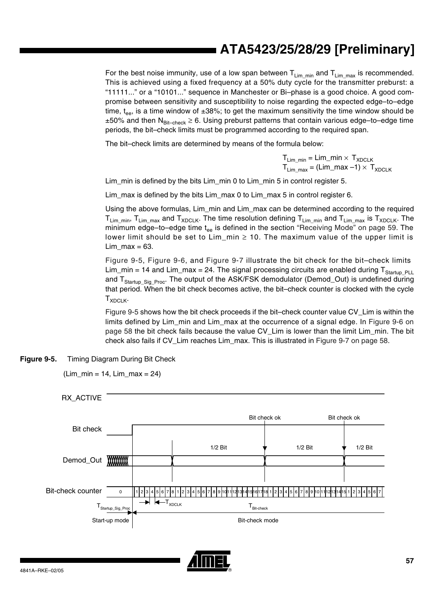For the best noise immunity, use of a low span between  $T_{\text{Lim min}}$  and  $T_{\text{Lim max}}$  is recommended. This is achieved using a fixed frequency at a 50% duty cycle for the transmitter preburst: a "11111..." or a "10101..." sequence in Manchester or Bi–phase is a good choice. A good compromise between sensitivity and susceptibility to noise regarding the expected edge–to–edge time,  $t_{ee}$ , is a time window of  $\pm 38\%$ ; to get the maximum sensitivity the time window should be  $\pm 50\%$  and then N<sub>Bit–check</sub>  $\geq 6$ . Using preburst patterns that contain various edge–to–edge time periods, the bit–check limits must be programmed according to the required span.

The bit–check limits are determined by means of the formula below:

 ${\sf T}_{\sf Lim\_min}$  =  ${\sf Lim\_min} \times~{\sf T}_{\sf XDCLK}$  ${\sf T}_{\sf Lim\_max}$  = (Lim\_max  $-1)\times~{\sf T}_{\sf XDCLK}$ 

Lim min is defined by the bits Lim min 0 to Lim min 5 in control register 5.

Lim\_max is defined by the bits Lim\_max 0 to Lim\_max 5 in control register 6.

Using the above formulas, Lim\_min and Lim\_max can be determined according to the required  $T_{\text{Lim min}}$ ,  $T_{\text{Lim max}}$  and  $T_{\text{XDCLK}}$ . The time resolution defining  $T_{\text{Lim min}}$  and  $T_{\text{Lim max}}$  is  $T_{\text{XDCLK}}$ . The minimum edge-to-edge time  $t_{ee}$  is defined in the section ["Receiving Mode" on page 59.](#page-58-0) The lower limit should be set to  $Lim\_min \geq 10$ . The maximum value of the upper limit is Lim max  $= 63$ .

[Figure 9-5,](#page-56-0) [Figure 9-6,](#page-57-0) and [Figure 9-7](#page-57-1) illustrate the bit check for the bit–check limits Lim\_min = 14 and Lim\_max = 24. The signal processing circuits are enabled during  $T_{\text{Startup-PL}}$ and T<sub>Startup\_Sig\_Proc</sub>. The output of the ASK/FSK demodulator (Demod\_Out) is undefined during that period. When the bit check becomes active, the bit–check counter is clocked with the cycle  $T_{XDCLK}$ 

[Figure 9-5](#page-56-0) shows how the bit check proceeds if the bit–check counter value CV\_Lim is within the limits defined by Lim\_min and Lim\_max at the occurrence of a signal edge. In [Figure 9-6 on](#page-57-0) [page 58](#page-57-0) the bit check fails because the value CV\_Lim is lower than the limit Lim\_min. The bit check also fails if CV\_Lim reaches Lim\_max. This is illustrated in [Figure 9-7 on page 58.](#page-57-1)

<span id="page-56-0"></span>**Figure 9-5.** Timing Diagram During Bit Check

(Lim\_min = 14, Lim\_max = 24)



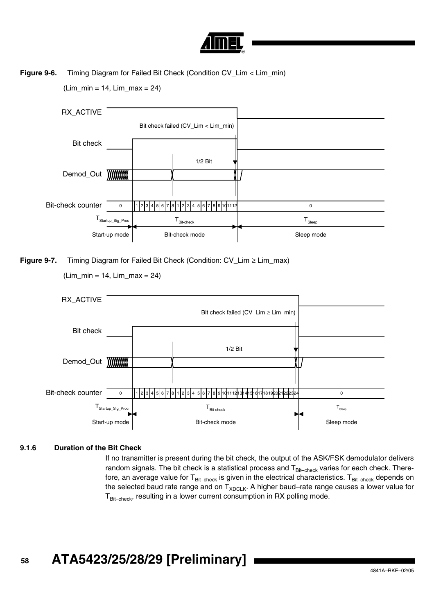

**Figure 9-6.** Timing Diagram for Failed Bit Check (Condition CV\_Lim < Lim\_min)

 $(Lim\_min = 14, Lim\_max = 24)$ 

<span id="page-57-0"></span>

<span id="page-57-1"></span>**Figure 9-7.** Timing Diagram for Failed Bit Check (Condition: CV\_Lim ≥ Lim\_max)

(Lim\_min = 14, Lim\_max = 24)



## **9.1.6 Duration of the Bit Check**

If no transmitter is present during the bit check, the output of the ASK/FSK demodulator delivers random signals. The bit check is a statistical process and  $T_{Bit-check}$  varies for each check. Therefore, an average value for  $T_{Bit-check}$  is given in the electrical characteristics.  $T_{Bit-check}$  depends on the selected baud rate range and on  $T_{XDCLK}$ . A higher baud–rate range causes a lower value for  $T_{\text{Bit-check}}$ , resulting in a lower current consumption in RX polling mode.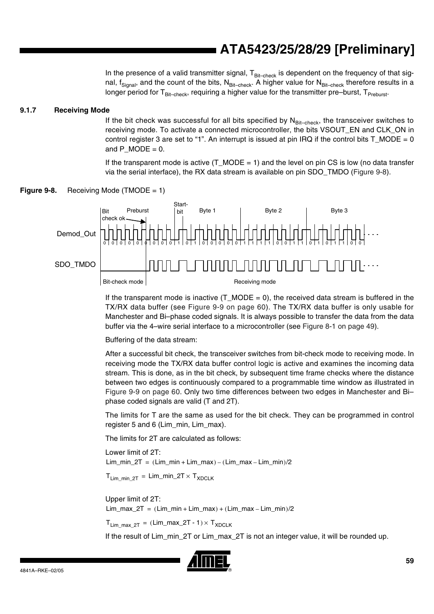In the presence of a valid transmitter signal,  $T_{Bit-check}$  is dependent on the frequency of that signal,  $f_{Signal}$ , and the count of the bits,  $N_{Bit-check}$ . A higher value for  $N_{Bit-check}$  therefore results in a longer period for  $T_{Bit-check}$ , requiring a higher value for the transmitter pre–burst,  $T_{Preburst}$ .

### <span id="page-58-0"></span>**9.1.7 Receiving Mode**

If the bit check was successful for all bits specified by  $N_{\text{Bit-check}}$ , the transceiver switches to receiving mode. To activate a connected microcontroller, the bits VSOUT\_EN and CLK\_ON in control register 3 are set to "1". An interrupt is issued at pin IRQ if the control bits T\_MODE = 0 and P  $MODE = 0$ .

If the transparent mode is active  $(T_MODE = 1)$  and the level on pin CS is low (no data transfer via the serial interface), the RX data stream is available on pin SDO\_TMDO [\(Figure 9-8\)](#page-58-1).



<span id="page-58-1"></span>**Figure 9-8.** Receiving Mode (TMODE = 1)

If the transparent mode is inactive  $(T_MODE = 0)$ , the received data stream is buffered in the TX/RX data buffer (see [Figure 9-9 on page 60](#page-59-0)). The TX/RX data buffer is only usable for Manchester and Bi–phase coded signals. It is always possible to transfer the data from the data buffer via the 4–wire serial interface to a microcontroller (see [Figure 8-1 on page 49](#page-48-0)).

Buffering of the data stream:

After a successful bit check, the transceiver switches from bit-check mode to receiving mode. In receiving mode the TX/RX data buffer control logic is active and examines the incoming data stream. This is done, as in the bit check, by subsequent time frame checks where the distance between two edges is continuously compared to a programmable time window as illustrated in [Figure 9-9 on page 60.](#page-59-0) Only two time differences between two edges in Manchester and Bi– phase coded signals are valid (T and 2T).

The limits for T are the same as used for the bit check. They can be programmed in control register 5 and 6 (Lim\_min, Lim\_max).

The limits for 2T are calculated as follows:

Lower limit of 2T:  $Lim\_min\_2T = (Lim\_min + Lim\_max) - (Lim\_max - Lim\_min) / 2$ 

 $T_{\text{Lim-min-2T}} = \text{Lim\_min\_2T} \times T_{\text{XDCI K}}$ 

#### Upper limit of 2T:

 $Lim$  max  $2T = (Lim$  min +  $Lim$  max  $) + (Lim$  max  $- Lim$  min  $)/2$ 

 $T_{\text{Lim max }2T} = ( \text{Lim\_max\_2T - 1} ) \times T_{\text{XDCLK}}$ 

If the result of Lim\_min\_2T or Lim\_max\_2T is not an integer value, it will be rounded up.

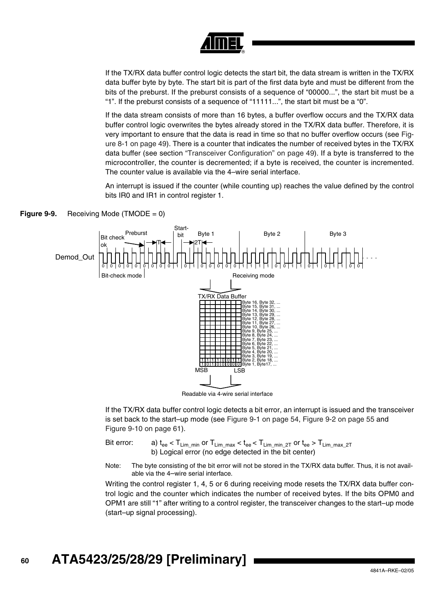

If the TX/RX data buffer control logic detects the start bit, the data stream is written in the TX/RX data buffer byte by byte. The start bit is part of the first data byte and must be different from the bits of the preburst. If the preburst consists of a sequence of "00000...", the start bit must be a "1". If the preburst consists of a sequence of "11111...", the start bit must be a "0".

If the data stream consists of more than 16 bytes, a buffer overflow occurs and the TX/RX data buffer control logic overwrites the bytes already stored in the TX/RX data buffer. Therefore, it is very important to ensure that the data is read in time so that no buffer overflow occurs (see [Fig](#page-48-0)[ure 8-1 on page 49](#page-48-0)). There is a counter that indicates the number of received bytes in the TX/RX data buffer (see section ["Transceiver Configuration" on page 49\)](#page-48-1). If a byte is transferred to the microcontroller, the counter is decremented; if a byte is received, the counter is incremented. The counter value is available via the 4–wire serial interface.

An interrupt is issued if the counter (while counting up) reaches the value defined by the control bits IR0 and IR1 in control register 1.



<span id="page-59-0"></span>

Readable via 4-wire serial interface

If the TX/RX data buffer control logic detects a bit error, an interrupt is issued and the transceiver is set back to the start–up mode (see [Figure 9-1 on page 54](#page-53-0), [Figure 9-2 on page 55](#page-54-0) and [Figure 9-10 on page 61](#page-60-0)).

Bit error: a)  $t_{ee}$  <  $T_{Lim\_min}$  or  $T_{Lim\_max}$  <  $t_{ee}$  <  $T_{Lim\_min\_2T}$  or  $t_{ee}$  >  $T_{Lim\_max\_2T}$ b) Logical error (no edge detected in the bit center)

Note: The byte consisting of the bit error will not be stored in the TX/RX data buffer. Thus, it is not available via the 4–wire serial interface.

Writing the control register 1, 4, 5 or 6 during receiving mode resets the TX/RX data buffer control logic and the counter which indicates the number of received bytes. If the bits OPM0 and OPM1 are still "1" after writing to a control register, the transceiver changes to the start–up mode (start–up signal processing).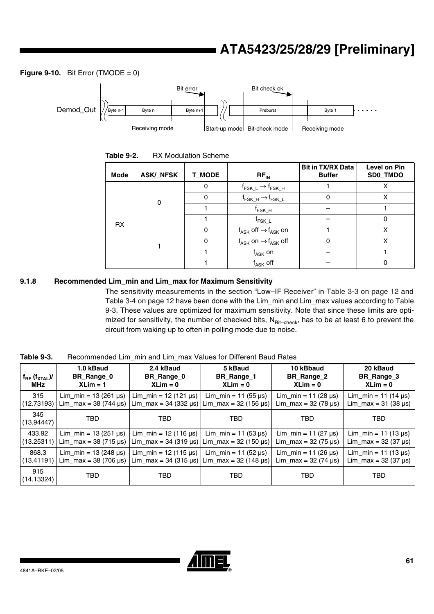<span id="page-60-0"></span>**Figure 9-10.** Bit Error (TMODE  $= 0$ )



| Table 9-2. | <b>RX Modulation Scheme</b> |
|------------|-----------------------------|
|------------|-----------------------------|

| Mode      | <b>ASK/_NFSK</b> | <b>T_MODE</b> | $RF_{IN}$                                                                         | <b>Bit in TX/RX Data</b><br><b>Buffer</b> | Level on Pin<br>SD0_TMDO |
|-----------|------------------|---------------|-----------------------------------------------------------------------------------|-------------------------------------------|--------------------------|
|           |                  | 0             | $\mathsf{f}_{\mathsf{FSK}\_\mathsf{L}} \to \mathsf{f}_{\mathsf{FSK}\_\mathsf{H}}$ |                                           | х                        |
|           | 0                | 0             | $\mathsf{f}_{\mathsf{FSK\_H}}\!\to\!\mathsf{f}_{\mathsf{FSK\_L}}$                 |                                           | х                        |
| <b>RX</b> |                  |               | $t_{\mathsf{FSK\_H}}$                                                             |                                           |                          |
|           |                  |               | t <sub>FSK_L</sub>                                                                |                                           | 0                        |
|           |                  | 0             | $f_{\mathsf{ASK}}$ off $\rightarrow$ $f_{\mathsf{ASK}}$ on                        |                                           | X                        |
|           |                  | 0             | $f_{\mathsf{ASK}}$ on $\rightarrow$ $f_{\mathsf{ASK}}$ off                        | 0                                         | x                        |
|           |                  |               | $f_{ASK}$ on                                                                      |                                           |                          |
|           |                  |               | $f_{ASK}$ off                                                                     |                                           |                          |

## **9.1.8 Recommended Lim\_min and Lim\_max for Maximum Sensitivity**

The sensitivity measurements in the section "Low–IF Receiver" in [Table 3-3 on page 12](#page-11-0) and [Table 3-4 on page 12](#page-11-1) have been done with the Lim\_min and Lim\_max values according to [Table](#page-60-1) [9-3](#page-60-1). These values are optimized for maximum sensitivity. Note that since these limits are optimized for sensitivity, the number of checked bits,  $N_{Bit-check}$ , has to be at least 6 to prevent the circuit from waking up to often in polling mode due to noise.

<span id="page-60-1"></span>**Table 9-3.** Recommended Lim\_min and Lim\_max Values for Different Baud Rates

| $f_{RF}$ ( $f_{XTAL}$ )/<br><b>MHz</b> | 1.0 kBaud<br>BR_Range_0<br>$XLim = 1$   | 2.4 kBaud<br><b>BR</b> Range 0<br>$XLim = 0$ | 5 kBaud<br>BR_Range_1<br>$XLim = 0$     | 10 kBbaud<br>BR Range 2<br>$XLim = 0$ | 20 kBaud<br>BR Range 3<br>$XLim = 0$   |
|----------------------------------------|-----------------------------------------|----------------------------------------------|-----------------------------------------|---------------------------------------|----------------------------------------|
| 315                                    | Lim_min = $13(261 \,\mu s)$             | Lim min = $12(121 \text{ }\mu\text{s})$      | Lim min = $11$ (55 $\mu$ s)             | Lim min = 11 (28 $\mu$ s)             | Lim min = 11 (14 $\mu$ s)              |
| (12.73193)                             | Lim_max = 38 (744 $\mu$ s)              | $Lim_{max} = 34 (332 \,\mu s)$               | Lim_max = $32(156 \,\mu s)$             | Lim_max = 32 (78 µs)                  | $Lim_{max} = 31 (38 \,\mu s)$          |
| 345<br>(13.94447)                      | TBD                                     | TBD                                          | TBD                                     | <b>TBD</b>                            | <b>TBD</b>                             |
| 433.92                                 | Lim min = $13(251 \,\mu s)$             | Lim_min = $12(116 \,\mu s)$                  | Lim $min = 11 (53 \,\mu s)$             | Lim_min = $11 (27 \,\mu s)$           | Lim_min = $11$ (13 µs)                 |
| (13.25311)                             | Lim_max = $38$ (715 µs)                 | $Lim_{max} = 34 (319 \,\mu s)$               | Lim max = $32(150 \text{ }\mu\text{s})$ | Lim_max = 32 (75 µs)                  | Lim_max = $32(37 \text{ }\mu\text{s})$ |
| 868.3                                  | Lim min = $13(248 \text{ }\mu\text{s})$ | Lim_min = $12(115 \,\mu s)$                  | Lim min = 11 (52 $\mu$ s)               | Lim_min = 11 (26 $\mu$ s)             | Lim min = $11$ (13 µs)                 |
| (13.41191)                             | Lim_max = $38$ (706 µs)                 | $Lim_{max} = 34 (315 \,\mu s)$               | Lim max = $32(148 \text{ }\mu\text{s})$ | Lim_max = 32 (74 µs)                  | $Lim_{max}$ = 32 (37 µs)               |
| 915<br>(14.13324)                      | TBD                                     | TBD                                          | TBD                                     | <b>TBD</b>                            | TBD                                    |

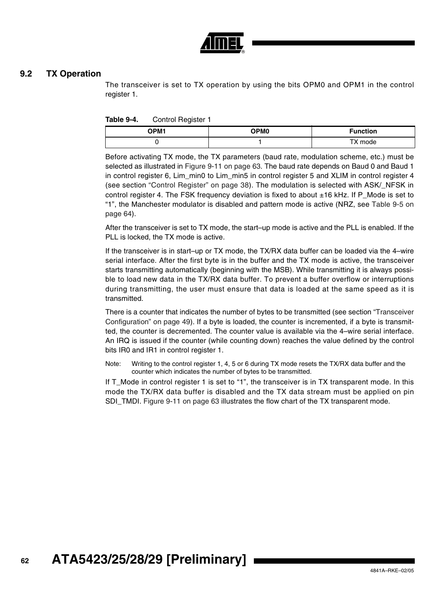

## **9.2 TX Operation**

The transceiver is set to TX operation by using the bits OPM0 and OPM1 in the control register 1.

| Table 9-4. | Control Register 1 |
|------------|--------------------|
|------------|--------------------|

| <b>OPM1</b> | OPM <sub>0</sub> | <b>Function</b> |
|-------------|------------------|-----------------|
|             |                  | TX mode         |

Before activating TX mode, the TX parameters (baud rate, modulation scheme, etc.) must be selected as illustrated in [Figure 9-11 on page 63](#page-62-0). The baud rate depends on Baud 0 and Baud 1 in control register 6, Lim min0 to Lim min5 in control register 5 and XLIM in control register 4 (see section ["Control Register" on page 38](#page-37-0)). The modulation is selected with ASK/\_NFSK in control register 4. The FSK frequency deviation is fixed to about ±16 kHz. If P\_Mode is set to "1", the Manchester modulator is disabled and pattern mode is active (NRZ, see [Table 9-5 on](#page-63-0) [page 64\)](#page-63-0).

After the transceiver is set to TX mode, the start–up mode is active and the PLL is enabled. If the PLL is locked, the TX mode is active.

If the transceiver is in start–up or TX mode, the TX/RX data buffer can be loaded via the 4–wire serial interface. After the first byte is in the buffer and the TX mode is active, the transceiver starts transmitting automatically (beginning with the MSB). While transmitting it is always possible to load new data in the TX/RX data buffer. To prevent a buffer overflow or interruptions during transmitting, the user must ensure that data is loaded at the same speed as it is transmitted.

There is a counter that indicates the number of bytes to be transmitted (see section ["Transceiver](#page-48-1) [Configuration" on page 49\)](#page-48-1). If a byte is loaded, the counter is incremented, if a byte is transmitted, the counter is decremented. The counter value is available via the 4–wire serial interface. An IRQ is issued if the counter (while counting down) reaches the value defined by the control bits IR0 and IR1 in control register 1.

Note: Writing to the control register 1, 4, 5 or 6 during TX mode resets the TX/RX data buffer and the counter which indicates the number of bytes to be transmitted.

If T\_Mode in control register 1 is set to "1", the transceiver is in TX transparent mode. In this mode the TX/RX data buffer is disabled and the TX data stream must be applied on pin SDI TMDI. [Figure 9-11 on page 63](#page-62-0) illustrates the flow chart of the TX transparent mode.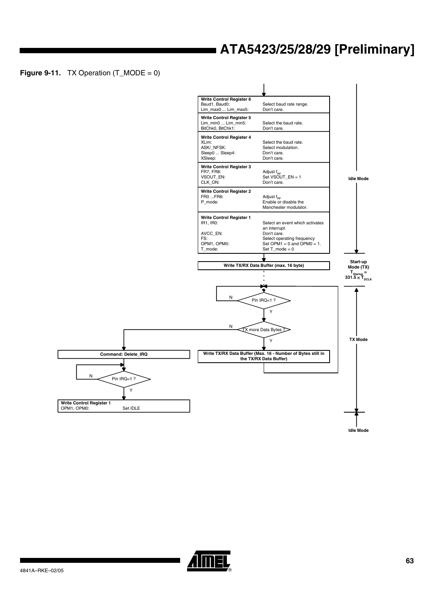<span id="page-62-0"></span>**Figure 9-11.** TX Operation  $(T_MODE = 0)$ 



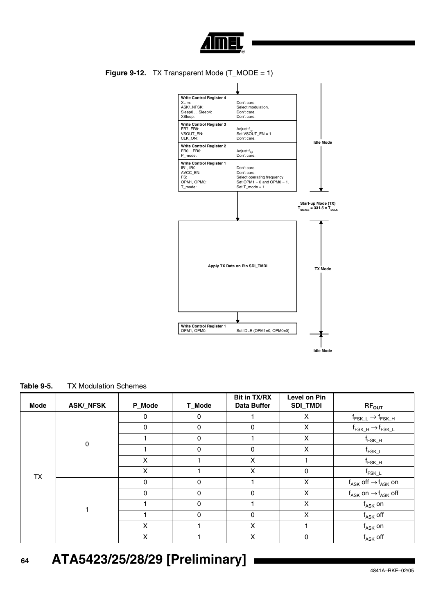

**Figure 9-12.** TX Transparent Mode (T\_MODE = 1)



<span id="page-63-0"></span>

| Table 9-5. | <b>TX Modulation Schemes</b> |  |
|------------|------------------------------|--|
|            |                              |  |

| <b>Mode</b> | <b>ASK/_NFSK</b> | P_Mode       | T_Mode   | <b>Bit in TX/RX</b><br><b>Data Buffer</b> | Level on Pin<br><b>SDI_TMDI</b> | $RF_{OUT}$                                                                      |
|-------------|------------------|--------------|----------|-------------------------------------------|---------------------------------|---------------------------------------------------------------------------------|
|             |                  | $\Omega$     | $\Omega$ |                                           | X                               | $\mathsf{f}_{\mathsf{FSK}\_\mathsf{L}}\to\mathsf{f}_{\mathsf{FSK}\_\mathsf{H}}$ |
|             |                  | $\mathbf{0}$ | $\Omega$ | 0                                         | X                               | $\mathsf{f}_{\mathsf{FSK\_H}}\!\to\!\mathsf{f}_{\mathsf{FSK\_L}}$               |
|             | 0                |              | $\Omega$ |                                           | X                               | $\mathsf{f}_{\mathsf{FSK\_H}}$                                                  |
|             |                  |              | $\Omega$ | $\Omega$                                  | X                               | $\mathsf{f}_{\mathsf{FSK\_L}}$                                                  |
|             |                  | X            |          | X                                         |                                 | $\mathsf{f}_{\mathsf{FSK\_H}}$                                                  |
| <b>TX</b>   |                  | X            |          | X                                         | 0                               | $f_{FSK\_L}$                                                                    |
|             |                  | $\Omega$     | $\Omega$ |                                           | X                               | $\mathsf{f}_{\mathsf{ASK}}$ off $\rightarrow$ $\mathsf{f}_{\mathsf{ASK}}$ on    |
|             |                  | $\Omega$     | $\Omega$ | $\Omega$                                  | X                               | $f_{\mathsf{ASK}}$ on $\rightarrow$ $f_{\mathsf{ASK}}$ off                      |
|             |                  |              | $\Omega$ |                                           | X                               | $f_{\mathsf{ASK}}$ on                                                           |
|             |                  |              | $\Omega$ | $\Omega$                                  | X                               | $\boldsymbol{\mathsf{f}}_{\mathsf{ASK}}$ off                                    |
|             |                  | X            |          | X                                         |                                 | $f_{\mathsf{ASK}}$ on                                                           |
|             |                  | X            |          | X                                         | 0                               | $f_{\mathsf{ASK}}$ off                                                          |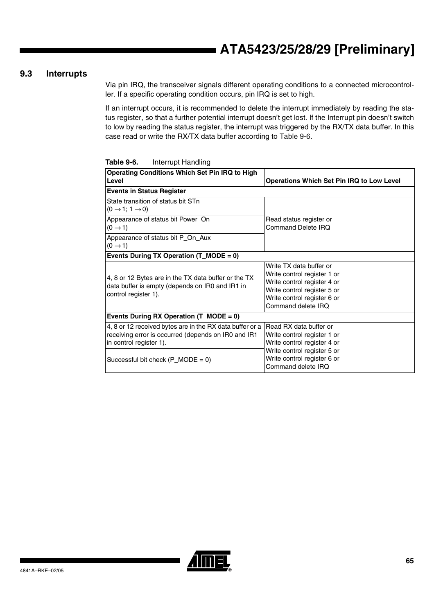## **9.3 Interrupts**

Via pin IRQ, the transceiver signals different operating conditions to a connected microcontroller. If a specific operating condition occurs, pin IRQ is set to high.

If an interrupt occurs, it is recommended to delete the interrupt immediately by reading the status register, so that a further potential interrupt doesn't get lost. If the Interrupt pin doesn't switch to low by reading the status register, the interrupt was triggered by the RX/TX data buffer. In this case read or write the RX/TX data buffer according to [Table 9-6.](#page-64-0)

| <b>Operating Conditions Which Set Pin IRQ to High</b><br>Level                                                                             | <b>Operations Which Set Pin IRQ to Low Level</b>                                                                                                                          |
|--------------------------------------------------------------------------------------------------------------------------------------------|---------------------------------------------------------------------------------------------------------------------------------------------------------------------------|
| <b>Events in Status Register</b>                                                                                                           |                                                                                                                                                                           |
| State transition of status bit STn<br>$(0 \rightarrow 1; 1 \rightarrow 0)$                                                                 |                                                                                                                                                                           |
| Appearance of status bit Power_On<br>$(0 \rightarrow 1)$                                                                                   | Read status register or<br><b>Command Delete IRQ</b>                                                                                                                      |
| Appearance of status bit P_On_Aux<br>$(0 \rightarrow 1)$                                                                                   |                                                                                                                                                                           |
| Events During TX Operation (T_MODE = 0)                                                                                                    |                                                                                                                                                                           |
| 4, 8 or 12 Bytes are in the TX data buffer or the TX<br>data buffer is empty (depends on IR0 and IR1 in<br>control register 1).            | Write TX data buffer or<br>Write control register 1 or<br>Write control register 4 or<br>Write control register 5 or<br>Write control register 6 or<br>Command delete IRQ |
| Events During RX Operation $(T_MODE = 0)$                                                                                                  |                                                                                                                                                                           |
| 4, 8 or 12 received bytes are in the RX data buffer or a<br>receiving error is occurred (depends on IR0 and IR1<br>in control register 1). | Read RX data buffer or<br>Write control register 1 or<br>Write control register 4 or<br>Write control register 5 or                                                       |
| Successful bit check $(P_MODE = 0)$                                                                                                        | Write control register 6 or<br>Command delete IRQ                                                                                                                         |

<span id="page-64-0"></span>**Table 9-6.** Interrupt Handling

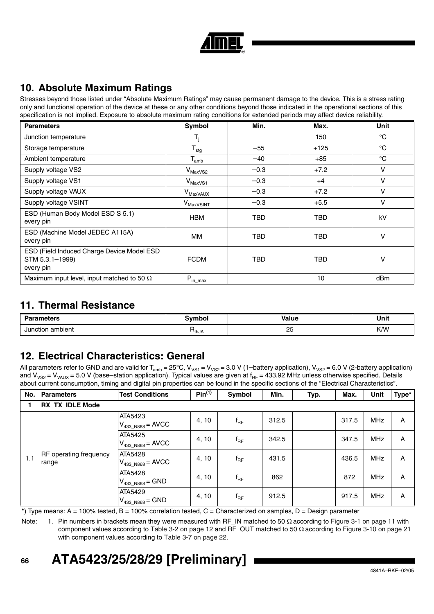| Đ |
|---|

# **10. Absolute Maximum Ratings**

Stresses beyond those listed under "Absolute Maximum Ratings" may cause permanent damage to the device. This is a stress rating only and functional operation of the device at these or any other conditions beyond those indicated in the operational sections of this specification is not implied. Exposure to absolute maximum rating conditions for extended periods may affect device reliability.

| <b>Parameters</b>                                                          | Symbol                         | Min.       | Max.       | Unit            |
|----------------------------------------------------------------------------|--------------------------------|------------|------------|-----------------|
| Junction temperature                                                       |                                |            | 150        | $^{\circ}C$     |
| Storage temperature                                                        | $T_{\text{stg}}$               | $-55$      | $+125$     | $^{\circ}C$     |
| Ambient temperature                                                        | $\mathsf{T}_{\mathsf{amb}}$    | $-40$      | $+85$      | $^{\circ}C$     |
| Supply voltage VS2                                                         | $\mathsf{V}_{\mathsf{MaxVS2}}$ | $-0.3$     | $+7.2$     | $\vee$          |
| Supply voltage VS1                                                         | $\mathsf{V}_{\mathsf{MaxVS1}}$ | $-0.3$     | $+4$       | v               |
| Supply voltage VAUX                                                        | V <sub>MaxVAUX</sub>           | $-0.3$     | $+7.2$     | v               |
| Supply voltage VSINT                                                       | V <sub>MaxVSINT</sub>          | $-0.3$     | $+5.5$     | v               |
| ESD (Human Body Model ESD S 5.1)<br>every pin                              | <b>HBM</b>                     | <b>TBD</b> | <b>TBD</b> | kV              |
| ESD (Machine Model JEDEC A115A)<br>every pin                               | ΜМ                             | TBD        | TBD        | v               |
| ESD (Field Induced Charge Device Model ESD<br>STM 5.3.1-1999)<br>every pin | <b>FCDM</b>                    | TBD        | <b>TBD</b> | ν               |
| Maximum input level, input matched to 50 $\Omega$                          | $P_{in\_max}$                  |            | 10         | dB <sub>m</sub> |

## **11. Thermal Resistance**

| <b>Parameters</b><br>. |              | <b>Value</b>               | Unit |  |
|------------------------|--------------|----------------------------|------|--|
| Junction ambient<br>.  | <b>'thJA</b> | $\sim$<br>$\sim$<br>$\sim$ | K/W  |  |

# <span id="page-65-0"></span>**12. Electrical Characteristics: General**

All parameters refer to GND and are valid for T<sub>amb</sub> = 25°C, V<sub>VS1</sub> = V<sub>VS2</sub> = 3.0 V (1–battery application), V<sub>VS2</sub> = 6.0 V (2-battery application) and V<sub>VS2</sub> = V<sub>VAUX</sub> = 5.0 V (base–station application). Typical values are given at f<sub>RF</sub> = 433.92 MHz unless otherwise specified. Details about current consumption, timing and digital pin properties can be found in the specific sections of the "Electrical Characteristics".

| No. | Parameters                      | <b>Test Conditions</b>                 | Pin <sup>(1)</sup> | Symbol       | Min.  | Typ. | Max.  | Unit       | Type* |
|-----|---------------------------------|----------------------------------------|--------------------|--------------|-------|------|-------|------------|-------|
|     | <b>RX TX IDLE Mode</b>          |                                        |                    |              |       |      |       |            |       |
|     |                                 | ATA5423<br>$V_{433}N868} = A VCC$      | 4, 10              | $f_{RF}$     | 312.5 |      | 317.5 | <b>MHz</b> | A     |
|     |                                 | ATA5425<br>$V_{433,N868} = A VCC$      | 4, 10              | $f_{RF}$     | 342.5 |      | 347.5 | <b>MHz</b> | A     |
| 1.1 | RF operating frequency<br>range | ATA5428<br>$V_{433,N868} = A VCC$      | 4, 10              | $f_{\sf RF}$ | 431.5 |      | 436.5 | <b>MHz</b> | A     |
|     |                                 | <b>ATA5428</b><br>$V_{433}N868} = GND$ | 4, 10              | $f_{RF}$     | 862   |      | 872   | <b>MHz</b> | A     |
|     |                                 | ATA5429<br>$V_{433,N868} = GND$        | 4, 10              | $f_{\sf RF}$ | 912.5 |      | 917.5 | <b>MHz</b> | A     |

 $*$ ) Type means: A = 100% tested, B = 100% correlation tested, C = Characterized on samples, D = Design parameter

Note: 1. Pin numbers in brackets mean they were measured with RF\_IN matched to 50  $\Omega$  according to [Figure 3-1 on page 11](#page-10-0) with component values according to [Table 3-2 on page 12](#page-11-2) and RF\_OUT matched to 50  $Ω$  according to [Figure 3-10 on page 21](#page-20-0) with component values according to [Table 3-7 on page 22](#page-21-0).

# **ATA5423/25/28/29 [Preliminary]**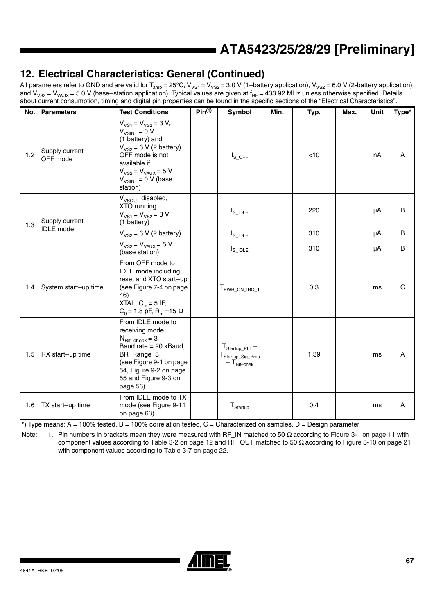# **12. Electrical Characteristics: General (Continued)**

All parameters refer to GND and are valid for T<sub>amb</sub> = 25°C, V<sub>VS1</sub> = V<sub>VS2</sub> = 3.0 V (1–battery application), V<sub>VS2</sub> = 6.0 V (2-battery application) and V<sub>VS2</sub> = V<sub>VAUX</sub> = 5.0 V (base–station application). Typical values are given at f<sub>RF</sub> = 433.92 MHz unless otherwise specified. Details about current consumption, timing and digital pin properties can be found in the specific sections of the "Electrical Characteristics".

| No. | <b>Parameters</b>          | <b>Test Conditions</b>                                                                                                                                                                                      | Pin <sup>(1)</sup> | Symbol                                                                           | Min. | Typ. | Max. | <b>Unit</b> | Type*        |
|-----|----------------------------|-------------------------------------------------------------------------------------------------------------------------------------------------------------------------------------------------------------|--------------------|----------------------------------------------------------------------------------|------|------|------|-------------|--------------|
| 1.2 | Supply current<br>OFF mode | $V_{VS1} = V_{VS2} = 3 V$ ,<br>$V_{V SINT} = 0 V$<br>(1 battery) and<br>$V_{VS2}$ = 6 V (2 battery)<br>OFF mode is not<br>available if<br>$V_{VSS} = V_{VAUX} = 5 V$<br>$V_{VSINT} = 0 V$ (base<br>station) |                    | $I_{S\_OFF}$                                                                     |      | < 10 |      | nA          | A            |
| 1.3 | Supply current             | V <sub>VSOUT</sub> disabled,<br>XTO running<br>$V_{VS1} = V_{VS2} = 3 V$<br>(1 battery)                                                                                                                     |                    | $I_{\scriptstyle\rm S\_IDLE}$                                                    |      | 220  |      | μA          | B            |
|     | <b>IDLE</b> mode           | $V_{VSS}$ = 6 V (2 battery)                                                                                                                                                                                 |                    | $I_{S\_IDLE}$                                                                    |      | 310  |      | μA          | B            |
|     |                            | $V_{VS2} = V_{VAUX} = 5 V$<br>(base station)                                                                                                                                                                |                    | $I_{S\_IDLE}$                                                                    |      | 310  |      | μA          | B            |
| 1.4 | System start-up time       | From OFF mode to<br><b>IDLE</b> mode including<br>reset and XTO start-up<br>(see Figure 7-4 on page<br>46)<br>XTAL: $C_m = 5$ fF,<br>$C_0$ = 1.8 pF, R <sub>m</sub> = 15 Ω                                  |                    | T <sub>PWR_ON_IRQ_1</sub>                                                        |      | 0.3  |      | ms          | $\mathsf{C}$ |
| 1.5 | RX start-up time           | From IDLE mode to<br>receiving mode<br>$N_{\text{Bit–check}} = 3$<br>Baud rate = 20 kBaud,<br>BR_Range_3<br>(see Figure 9-1 on page<br>54, Figure 9-2 on page<br>55 and Figure 9-3 on<br>page 56)           |                    | $T_{\text{Startup\_PLL}} +$<br>T <sub>Startup_Sig_Proc</sub><br>$+T_{Bit-check}$ |      | 1.39 |      | ms          | Α            |
| 1.6 | TX start-up time           | From IDLE mode to TX<br>mode (see Figure 9-11<br>on page 63)                                                                                                                                                |                    | $T_{\text{Startup}}$                                                             |      | 0.4  |      | ms          | A            |

\*) Type means: A = 100% tested, B = 100% correlation tested, C = Characterized on samples, D = Design parameter

Note: 1. Pin numbers in brackets mean they were measured with RF\_IN matched to 50 Ω according to Figure 3-1 on page 11 with component values according to Table 3-2 on page 12 and RF\_OUT matched to 50 Ω according to Figure 3-10 on page 21 with component values according to Table 3-7 on page 22.

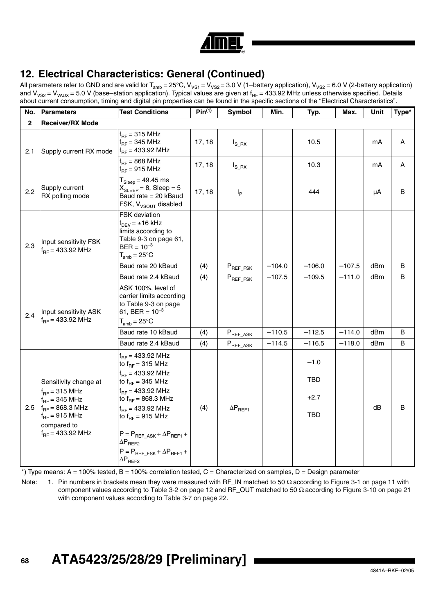| c |
|---|
| г |

# **12. Electrical Characteristics: General (Continued)**

All parameters refer to GND and are valid for T<sub>amb</sub> = 25°C, V<sub>VS1</sub> = V<sub>VS2</sub> = 3.0 V (1–battery application), V<sub>VS2</sub> = 6.0 V (2-battery application) and V<sub>VS2</sub> = V<sub>VAUX</sub> = 5.0 V (base–station application). Typical values are given at f<sub>RF</sub> = 433.92 MHz unless otherwise specified. Details about current consumption, timing and digital pin properties can be found in the specific sections of the "Electrical Characteristics".

| No.                                                   | <b>Parameters</b>                                                                                                                                               | <b>Test Conditions</b>                                                                                                                                                                                                                                                                                                                         | $Pin^{(1)}$ | Symbol            | Min.     | Typ.                                  | Max.     | Unit | Type* |
|-------------------------------------------------------|-----------------------------------------------------------------------------------------------------------------------------------------------------------------|------------------------------------------------------------------------------------------------------------------------------------------------------------------------------------------------------------------------------------------------------------------------------------------------------------------------------------------------|-------------|-------------------|----------|---------------------------------------|----------|------|-------|
| $\overline{2}$                                        | <b>Receiver/RX Mode</b>                                                                                                                                         |                                                                                                                                                                                                                                                                                                                                                |             |                   |          |                                       |          |      |       |
| 2.1                                                   | Supply current RX mode                                                                                                                                          | $f_{BF}$ = 315 MHz<br>$f_{BF}$ = 345 MHz<br>$f_{RF}$ = 433.92 MHz                                                                                                                                                                                                                                                                              | 17, 18      | $I_{S_R}$         |          | 10.5                                  |          | mA   | Α     |
|                                                       |                                                                                                                                                                 | $f_{BF}$ = 868 MHz<br>$f_{RF}$ = 915 MHz                                                                                                                                                                                                                                                                                                       | 17, 18      | $I_{S_R}$         |          | 10.3                                  |          | mA   | Α     |
| 2.2                                                   | Supply current<br>RX polling mode                                                                                                                               | $T_{Sleep} = 49.45$ ms<br>$X_{SIFFP} = 8$ , Sleep = 5<br>Baud rate = 20 kBaud<br>FSK, V <sub>VSOUT</sub> disabled                                                                                                                                                                                                                              | 17, 18      | $I_P$             |          | 444                                   |          | μA   | В     |
| Input sensitivity FSK<br>2.3<br>$f_{BF} = 433.92$ MHz | <b>FSK</b> deviation<br>$f_{DEV} = \pm 16$ kHz<br>limits according to<br>Table 9-3 on page 61,<br>$BER = 10^{-3}$<br>$T_{amb} = 25^{\circ}C$                    |                                                                                                                                                                                                                                                                                                                                                |             |                   |          |                                       |          |      |       |
|                                                       |                                                                                                                                                                 | Baud rate 20 kBaud                                                                                                                                                                                                                                                                                                                             | (4)         | $P_{REF\_FSK}$    | $-104.0$ | $-106.0$                              | $-107.5$ | dBm  | B     |
|                                                       |                                                                                                                                                                 | Baud rate 2.4 kBaud                                                                                                                                                                                                                                                                                                                            | (4)         | $P_{REF\_FSK}$    | $-107.5$ | $-109.5$                              | $-111.0$ | dBm  | B     |
| 2.4                                                   | Input sensitivity ASK<br>$f_{BF} = 433.92$ MHz                                                                                                                  | ASK 100%, level of<br>carrier limits according<br>to Table 9-3 on page<br>61, BER = $10^{-3}$<br>$T_{amb} = 25^{\circ}$ C                                                                                                                                                                                                                      |             |                   |          |                                       |          |      |       |
|                                                       |                                                                                                                                                                 | Baud rate 10 kBaud                                                                                                                                                                                                                                                                                                                             | (4)         | $P_{REF\_ASK}$    | $-110.5$ | $-112.5$                              | $-114.0$ | dBm  | B     |
|                                                       |                                                                                                                                                                 | Baud rate 2.4 kBaud                                                                                                                                                                                                                                                                                                                            | (4)         | $P_{REF\_ASK}$    | $-114.5$ | $-116.5$                              | $-118.0$ | dBm  | B     |
| 2.5                                                   | Sensitivity change at<br>$f_{BF}$ = 315 MHz<br>$f_{BF}$ = 345 MHz<br>$f_{RF} = 868.3 \text{ MHz}$<br>$f_{BF}$ = 915 MHz<br>compared to<br>$f_{BF} = 433.92$ MHz | $f_{RF} = 433.92$ MHz<br>to $f_{BF}$ = 315 MHz<br>$f_{BF} = 433.92 \text{ MHz}$<br>to $f_{RF}$ = 345 MHz<br>$f_{BF} = 433.92$ MHz<br>to $f_{RF} = 868.3 \text{ MHz}$<br>$f_{BF} = 433.92 \text{ MHz}$<br>to $f_{BF}$ = 915 MHz<br>$P = P_{REF ASK} + \Delta P_{REF1} +$<br>$\Delta P$ <sub>REF2</sub><br>$P = P_{REF FSK} + \Delta P_{REF1} +$ | (4)         | $\Delta P_{REF1}$ |          | $-1.0$<br>TBD<br>$+2.7$<br><b>TBD</b> |          | dB   | В     |
|                                                       |                                                                                                                                                                 | $\Delta P$ <sub>REF2</sub>                                                                                                                                                                                                                                                                                                                     |             |                   |          |                                       |          |      |       |

 $*$ ) Type means: A = 100% tested, B = 100% correlation tested, C = Characterized on samples, D = Design parameter

Note: 1. Pin numbers in brackets mean they were measured with RF\_IN matched to 50 Ω according to Figure 3-1 on page 11 with component values according to Table 3-2 on page 12 and RF\_OUT matched to 50 Ω according to Figure 3-10 on page 21 with component values according to Table 3-7 on page 22.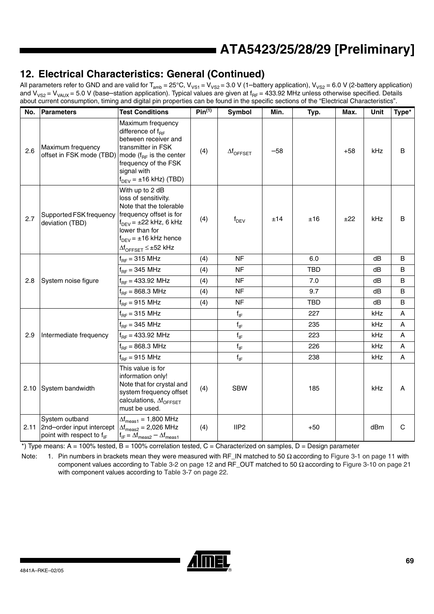# **12. Electrical Characteristics: General (Continued)**

All parameters refer to GND and are valid for T<sub>amb</sub> = 25°C, V<sub>VS1</sub> = V<sub>VS2</sub> = 3.0 V (1–battery application), V<sub>VS2</sub> = 6.0 V (2-battery application) and V<sub>VS2</sub> = V<sub>VAUX</sub> = 5.0 V (base–station application). Typical values are given at f<sub>RF</sub> = 433.92 MHz unless otherwise specified. Details about current consumption, timing and digital pin properties can be found in the specific sections of the "Electrical Characteristics".

| No. | Parameters                                                                                | <b>Test Conditions</b>                                                                                                                                                                                                                     | $Pin^{(1)}$ | Symbol            | Min.  | Typ.       | Max.  | Unit | Type*          |
|-----|-------------------------------------------------------------------------------------------|--------------------------------------------------------------------------------------------------------------------------------------------------------------------------------------------------------------------------------------------|-------------|-------------------|-------|------------|-------|------|----------------|
| 2.6 | Maximum frequency<br>offset in FSK mode (TBD) mode ( $f_{RF}$ is the center               | Maximum frequency<br>difference of $f_{BF}$<br>between receiver and<br>transmitter in FSK<br>frequency of the FSK<br>signal with<br>$f_{DEV}$ = ±16 kHz) (TBD)                                                                             | (4)         | $\Delta f$ OFFSET | $-58$ |            | $+58$ | kHz  | B              |
| 2.7 | Supported FSK frequency<br>deviation (TBD)                                                | With up to 2 dB<br>loss of sensitivity.<br>Note that the tolerable<br>frequency offset is for<br>$f_{DEV}$ = $\pm$ 22 kHz, 6 kHz<br>lower than for<br>$f_{DEV}$ = $\pm$ 16 kHz hence<br>$\Delta f_{\text{OFFSET}} \leq \pm 52 \text{ kHz}$ | (4)         | $f_{DEV}$         | ±14   | ±16        | ±22   | kHz  | B              |
|     |                                                                                           | $f_{RF}$ = 315 MHz                                                                                                                                                                                                                         | (4)         | <b>NF</b>         |       | 6.0        |       | dB   | B              |
|     |                                                                                           | $f_{RF}$ = 345 MHz                                                                                                                                                                                                                         | (4)         | <b>NF</b>         |       | <b>TBD</b> |       | dB   | B              |
| 2.8 | System noise figure                                                                       | $f_{RF} = 433.92$ MHz                                                                                                                                                                                                                      | (4)         | <b>NF</b>         |       | 7.0        |       | dB   | B              |
|     |                                                                                           | $f_{RF} = 868.3 \text{ MHz}$                                                                                                                                                                                                               | (4)         | <b>NF</b>         |       | 9.7        |       | dB   | B              |
|     |                                                                                           | $f_{RF}$ = 915 MHz                                                                                                                                                                                                                         | (4)         | <b>NF</b>         |       | <b>TBD</b> |       | dB   | B              |
|     |                                                                                           | $f_{RF}$ = 315 MHz                                                                                                                                                                                                                         |             | $f_{IF}$          |       | 227        |       | kHz  | A              |
|     |                                                                                           | $f_{RF}$ = 345 MHz                                                                                                                                                                                                                         |             | $f_{IF}$          |       | 235        |       | kHz  | A              |
| 2.9 | Intermediate frequency                                                                    | $f_{RF}$ = 433.92 MHz                                                                                                                                                                                                                      |             | $f_{IF}$          |       | 223        |       | kHz  | Α              |
|     |                                                                                           | $f_{RF} = 868.3 \text{ MHz}$                                                                                                                                                                                                               |             | $f_{IF}$          |       | 226        |       | kHz  | $\overline{A}$ |
|     |                                                                                           | $f_{BF}$ = 915 MHz                                                                                                                                                                                                                         |             | $f_{IF}$          |       | 238        |       | kHz  | Α              |
|     | 2.10 System bandwidth                                                                     | This value is for<br>information only!<br>Note that for crystal and<br>system frequency offset<br>calculations, Af <sub>OFFSET</sub><br>must be used.                                                                                      | (4)         | <b>SBW</b>        |       | 185        |       | kHz  | A              |
|     | System outband<br>2.11 2nd-order input intercept<br>point with respect to f <sub>IF</sub> | $\Delta f_{\text{meas1}} = 1,800 \text{ MHz}$<br>$\Delta f_{\text{meas2}} = 2,026 \text{ MHz}$<br>$f_{IF} = \Delta f_{meas2} - \Delta f_{meas1}$                                                                                           | (4)         | IIP <sub>2</sub>  |       | $+50$      |       | dBm  | $\mathsf{C}$   |

\*) Type means: A = 100% tested, B = 100% correlation tested, C = Characterized on samples, D = Design parameter

Note: 1. Pin numbers in brackets mean they were measured with RF\_IN matched to 50  $\Omega$  according to Figure 3-1 on page 11 with component values according to Table 3-2 on page 12 and RF\_OUT matched to 50  $Ω$  according to Figure 3-10 on page 21 with component values according to Table 3-7 on page 22.

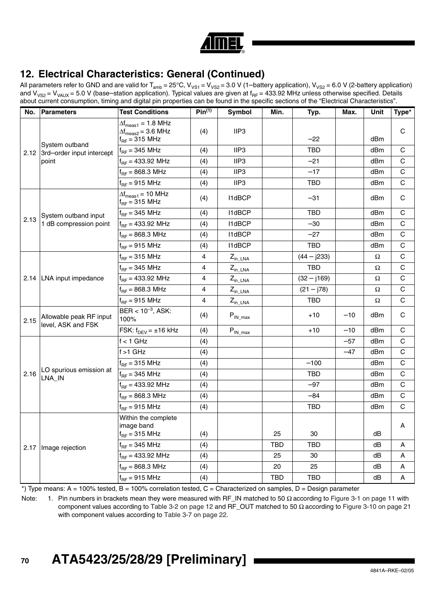

# **12. Electrical Characteristics: General (Continued)**

All parameters refer to GND and are valid for T<sub>amb</sub> = 25°C, V<sub>VS1</sub> = V<sub>VS2</sub> = 3.0 V (1–battery application), V<sub>VS2</sub> = 6.0 V (2-battery application) and V<sub>VS2</sub> = V<sub>VAUX</sub> = 5.0 V (base–station application). Typical values are given at f<sub>RF</sub> = 433.92 MHz unless otherwise specified. Details about current consumption, timing and digital pin properties can be found in the specific sections of the "Electrical Characteristics".

| No.  | <b>Parameters</b>                                         | <b>Test Conditions</b>                                                                                           | Pin <sup>(1)</sup> | Symbol                          | Min.       | Typ.          | Max.  | Unit | Type*        |
|------|-----------------------------------------------------------|------------------------------------------------------------------------------------------------------------------|--------------------|---------------------------------|------------|---------------|-------|------|--------------|
|      | System outband<br>2.12 3rd-order input intercept<br>point | $\Delta f_{\text{meas1}} = 1.8 \text{ MHz}$<br>$\Delta f_{\text{meas2}} = 3.6 \text{ MHz}$<br>$f_{BF}$ = 315 MHz | (4)                | IIP3                            |            | $-22$         |       | dBm  | $\mathsf C$  |
|      |                                                           | $f_{RF}$ = 345 MHz                                                                                               | (4)                | IIP3                            |            | <b>TBD</b>    |       | dBm  | $\mathsf C$  |
|      |                                                           | $f_{RF}$ = 433.92 MHz                                                                                            | (4)                | IIP <sub>3</sub>                |            | $-21$         |       | dBm  | C            |
|      |                                                           | $f_{BF} = 868.3 \text{ MHz}$                                                                                     | (4)                | IIP3                            |            | $-17$         |       | dBm  | $\mathsf C$  |
|      |                                                           | $f_{RF}$ = 915 MHz                                                                                               | (4)                | IIP3                            |            | <b>TBD</b>    |       | dBm  | C            |
| 2.13 | System outband input<br>1 dB compression point            | $\Delta f_{\text{meas1}} = 10 \text{ MHz}$<br>$f_{BF}$ = 315 MHz                                                 | (4)                | <b>I1dBCP</b>                   |            | $-31$         |       | dBm  | C            |
|      |                                                           | $f_{RF}$ = 345 MHz                                                                                               | (4)                | I1dBCP                          |            | <b>TBD</b>    |       | dBm  | $\mathsf{C}$ |
|      |                                                           | $f_{RF} = 433.92$ MHz                                                                                            | (4)                | <b>I1dBCP</b>                   |            | $-30$         |       | dBm  | C            |
|      |                                                           | $f_{RF} = 868.3 \text{ MHz}$                                                                                     | (4)                | <b>I1dBCP</b>                   |            | $-27$         |       | dBm  | C            |
|      |                                                           | $f_{RF}$ = 915 MHz                                                                                               | (4)                | I1dBCP                          |            | <b>TBD</b>    |       | dBm  | $\mathsf{C}$ |
|      | 2.14   LNA input impedance                                | $f_{RF}$ = 315 MHz                                                                                               | 4                  | $Z_{\text{in LNA}}$             |            | $(44 - j233)$ |       | Ω    | $\mathsf C$  |
|      |                                                           | $f_{RF}$ = 345 MHz                                                                                               | 4                  | $Z_{\text{in\_LNA}}$            |            | <b>TBD</b>    |       | Ω    | $\mathsf C$  |
|      |                                                           | $f_{BF} = 433.92$ MHz                                                                                            | 4                  | $Z_{in\_LNA}$                   |            | $(32 - j169)$ |       | Ω    | $\mathsf{C}$ |
|      |                                                           | $f_{RF} = 868.3 \text{ MHz}$                                                                                     | 4                  | $Z_{\text{in\_LNA}}$            |            | $(21 - j78)$  |       | Ω    | C            |
|      |                                                           | $f_{BF}$ = 915 MHz                                                                                               | 4                  | $Z_{in\_LNA}$                   |            | <b>TBD</b>    |       | Ω    | $\mathsf C$  |
| 2.15 | Allowable peak RF input<br>level, ASK and FSK             | $BER < 10^{-3}$ , ASK:<br>100%                                                                                   | (4)                | $P_{IN\_max}$                   |            | $+10$         | $-10$ | dBm  | $\mathsf C$  |
|      |                                                           | FSK: $f_{DEV} = \pm 16$ kHz                                                                                      | (4)                | $\mathsf{P}_{\mathsf{IN\_max}}$ |            | $+10$         | $-10$ | dBm  | $\mathsf C$  |
|      | LO spurious emission at<br>LNA_IN                         | $f < 1$ GHz                                                                                                      | (4)                |                                 |            |               | $-57$ | dBm  | $\mathsf{C}$ |
|      |                                                           | $f > 1$ GHz                                                                                                      | (4)                |                                 |            |               | $-47$ | dBm  | C            |
| 2.16 |                                                           | $f_{RF}$ = 315 MHz                                                                                               | (4)                |                                 |            | $-100$        |       | dBm  | $\mathsf{C}$ |
|      |                                                           | $f_{RF}$ = 345 MHz                                                                                               | (4)                |                                 |            | TBD           |       | dBm  | $\mathsf{C}$ |
|      |                                                           | $f_{BF}$ = 433.92 MHz                                                                                            | (4)                |                                 |            | $-97$         |       | dBm  | C            |
|      |                                                           | $f_{BF} = 868.3 \text{ MHz}$                                                                                     | (4)                |                                 |            | $-84$         |       | dBm  | $\mathsf C$  |
|      |                                                           | $f_{BF}$ = 915 MHz                                                                                               | (4)                |                                 |            | TBD           |       | dBm  | $\mathsf{C}$ |
|      | 2.17   Image rejection                                    | Within the complete<br>image band<br>$f_{RF}$ = 315 MHz                                                          | (4)                |                                 | 25         | 30            |       | dВ   | А            |
|      |                                                           | $f_{RF}$ = 345 MHz                                                                                               | (4)                |                                 | <b>TBD</b> | <b>TBD</b>    |       | dB   | A            |
|      |                                                           | $f_{BF}$ = 433.92 MHz                                                                                            | (4)                |                                 | 25         | 30            |       | dB   | Α            |
|      |                                                           | $f_{RF} = 868.3 \text{ MHz}$                                                                                     | (4)                |                                 | 20         | 25            |       | dB   | Α            |
|      |                                                           | $f_{RF}$ = 915 MHz                                                                                               | (4)                |                                 | <b>TBD</b> | <b>TBD</b>    |       | dB   | Α            |

 $*$ ) Type means: A = 100% tested, B = 100% correlation tested, C = Characterized on samples, D = Design parameter

Note: 1. Pin numbers in brackets mean they were measured with RF\_IN matched to 50 Ω according to Figure 3-1 on page 11 with component values according to Table 3-2 on page 12 and RF\_OUT matched to 50 Ω according to Figure 3-10 on page 21 with component values according to Table 3-7 on page 22.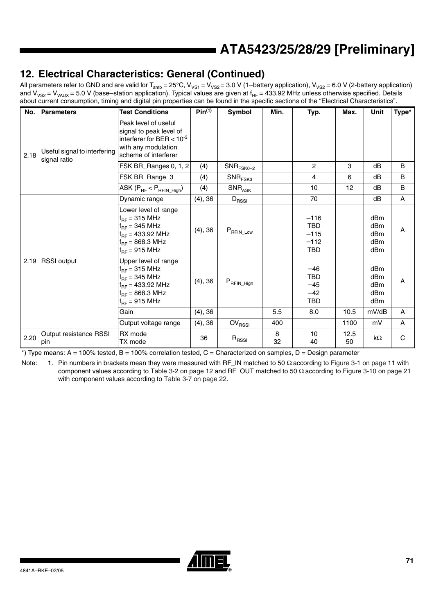# **12. Electrical Characteristics: General (Continued)**

All parameters refer to GND and are valid for T<sub>amb</sub> = 25°C, V<sub>VS1</sub> = V<sub>VS2</sub> = 3.0 V (1–battery application), V<sub>VS2</sub> = 6.0 V (2-battery application) and V<sub>VS2</sub> = V<sub>VAUX</sub> = 5.0 V (base–station application). Typical values are given at f<sub>RF</sub> = 433.92 MHz unless otherwise specified. Details about current consumption, timing and digital pin properties can be found in the specific sections of the "Electrical Characteristics".

| No.  | <b>Parameters</b>                            | <b>Test Conditions</b>                                                                                                                          | Pin <sup>(1)</sup> | Symbol                                  | Min.    | Typ.                                                   | Max.       | Unit                                                                                        | Type*        |
|------|----------------------------------------------|-------------------------------------------------------------------------------------------------------------------------------------------------|--------------------|-----------------------------------------|---------|--------------------------------------------------------|------------|---------------------------------------------------------------------------------------------|--------------|
| 2.18 | Useful signal to interfering<br>signal ratio | Peak level of useful<br>signal to peak level of<br>interferer for BER $< 10^{-3}$<br>with any modulation<br>scheme of interferer                |                    |                                         |         |                                                        |            |                                                                                             |              |
|      |                                              | FSK BR_Ranges 0, 1, 2                                                                                                                           | (4)                | $\mathsf{SNR}_{\mathsf{FSK0}\text{-}2}$ |         | $\overline{2}$                                         | 3          | dB                                                                                          | B            |
|      |                                              | FSK BR_Range_3                                                                                                                                  | (4)                | $\mathsf{SNR}_{\mathsf{FSK3}}$          |         | 4                                                      | 6          | dB                                                                                          | B            |
|      |                                              | ASK $(P_{RF} < P_{RFIN\_High})$                                                                                                                 | (4)                | $\mathsf{SNR}_{\mathsf{ASK}}$           |         | 10                                                     | 12         | dB                                                                                          | B            |
| 2.19 | <b>RSSI</b> output                           | Dynamic range                                                                                                                                   | (4), 36            | $D_{RSSI}$                              |         | 70                                                     |            | dB                                                                                          | A            |
|      |                                              | Lower level of range<br>$f_{BF}$ = 315 MHz<br>$f_{BF}$ = 345 MHz<br>$f_{RF}$ = 433.92 MHz<br>$f_{BF} = 868.3 \text{ MHz}$<br>$f_{RF}$ = 915 MHz | (4), 36            | $P_{\mathsf{RFIN\_Low}}$                |         | $-116$<br><b>TBD</b><br>$-115$<br>$-112$<br><b>TBD</b> |            | dBm<br>dB <sub>m</sub><br>dB <sub>m</sub><br>dB <sub>m</sub><br>dBm                         | A            |
|      |                                              | Upper level of range<br>$f_{BF}$ = 315 MHz<br>$f_{BF}$ = 345 MHz<br>$f_{BF}$ = 433.92 MHz<br>$f_{RF} = 868.3 \text{ MHz}$<br>$f_{BF}$ = 915 MHz | (4), 36            | $P_{\mathsf{RFIN\_High}}$               |         | $-46$<br><b>TBD</b><br>$-45$<br>$-42$<br><b>TBD</b>    |            | dB <sub>m</sub><br>dB <sub>m</sub><br>dB <sub>m</sub><br>dB <sub>m</sub><br>dB <sub>m</sub> | A            |
|      |                                              | Gain                                                                                                                                            | (4), 36            |                                         | 5.5     | 8.0                                                    | 10.5       | mV/dB                                                                                       | A            |
|      |                                              | Output voltage range                                                                                                                            | (4), 36            | OV <sub>RSSI</sub>                      | 400     |                                                        | 1100       | mV                                                                                          | A            |
| 2.20 | Output resistance RSSI<br>pin                | RX mode<br>TX mode                                                                                                                              | 36                 | $R_{\rm RSSI}$                          | 8<br>32 | 10<br>40                                               | 12.5<br>50 | kΩ                                                                                          | $\mathsf{C}$ |

 $*$ ) Type means: A = 100% tested, B = 100% correlation tested, C = Characterized on samples, D = Design parameter

Note: 1. Pin numbers in brackets mean they were measured with RF\_IN matched to 50 Ω according to Figure 3-1 on page 11 with component values according to Table 3-2 on page 12 and RF\_OUT matched to 50 Ω according to Figure 3-10 on page 21 with component values according to Table 3-7 on page 22.

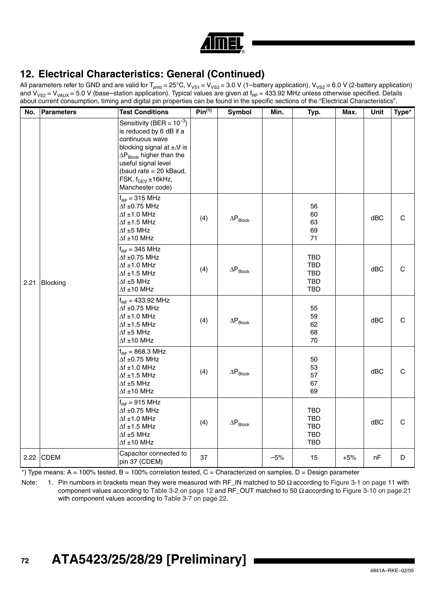

# **12. Electrical Characteristics: General (Continued)**

All parameters refer to GND and are valid for T<sub>amb</sub> = 25°C, V<sub>VS1</sub> = V<sub>VS2</sub> = 3.0 V (1–battery application), V<sub>VS2</sub> = 6.0 V (2-battery application) and V<sub>VS2</sub> = V<sub>VAUX</sub> = 5.0 V (base–station application). Typical values are given at f<sub>RF</sub> = 433.92 MHz unless otherwise specified. Details about current consumption, timing and digital pin properties can be found in the specific sections of the "Electrical Characteristics".

| No.  | <b>Parameters</b> | <b>Test Conditions</b>                                                                                                                                                                                                                                   | $Pin^{(1)}$ | Symbol                               | Min.  | Typ.                                                               | Max.  | Unit | Type*        |
|------|-------------------|----------------------------------------------------------------------------------------------------------------------------------------------------------------------------------------------------------------------------------------------------------|-------------|--------------------------------------|-------|--------------------------------------------------------------------|-------|------|--------------|
| 2.21 | Blocking          | Sensitivity (BER = $10^{-3}$ )<br>is reduced by 6 dB if a<br>continuous wave<br>blocking signal at $\pm\Delta f$ is<br>$\Delta P_{Block}$ higher than the<br>useful signal level<br>(baud rate = 20 kBaud,<br>FSK, $f_{DEV}$ ±16kHz,<br>Manchester code) |             |                                      |       |                                                                    |       |      |              |
|      |                   | $f_{BF}$ = 315 MHz<br>$\Delta f \pm 0.75$ MHz<br>$\Delta f \pm 1.0$ MHz<br>$\Delta f \pm 1.5$ MHz<br>$\Delta f \pm 5$ MHz<br>$\Delta f \pm 10$ MHz                                                                                                       | (4)         | $\Delta \mathsf{P}_{\mathsf{Block}}$ |       | 56<br>60<br>63<br>69<br>71                                         |       | dBC  | C            |
|      |                   | $f_{BF}$ = 345 MHz<br>$\Delta f \pm 0.75$ MHz<br>$\Delta f \pm 1.0$ MHz<br>$\Delta f \pm 1.5$ MHz<br>$\Delta f \pm 5$ MHz<br>$\Delta f \pm 10$ MHz                                                                                                       | (4)         | $\Delta \mathsf{P}_{\mathsf{Block}}$ |       | <b>TBD</b><br><b>TBD</b><br><b>TBD</b><br><b>TBD</b><br><b>TBD</b> |       | dBC  | C            |
|      |                   | $f_{BF} = 433.92$ MHz<br>$\Delta f \pm 0.75$ MHz<br>$\Delta f \pm 1.0$ MHz<br>$\Delta f \pm 1.5$ MHz<br>$\Delta f \pm 5$ MHz<br>$\Delta f \pm 10$ MHz                                                                                                    | (4)         | $\Delta \mathsf{P}_{\mathsf{Block}}$ |       | 55<br>59<br>62<br>68<br>70                                         |       | dBC  | C            |
|      |                   | $f_{BF} = 868.3 \text{ MHz}$<br>$\Delta f \pm 0.75$ MHz<br>$\Delta f \pm 1.0$ MHz<br>$\Delta f \pm 1.5$ MHz<br>$\Delta f \pm 5$ MHz<br>$\Delta f \pm 10$ MHz                                                                                             | (4)         | $\Delta \mathsf{P}_{\mathsf{Block}}$ |       | 50<br>53<br>57<br>67<br>69                                         |       | dBC  | $\mathsf{C}$ |
|      |                   | $f_{BF}$ = 915 MHz<br>$\Delta f \pm 0.75$ MHz<br>$\Delta f \pm 1.0$ MHz<br>$\Delta f \pm 1.5$ MHz<br>$\Delta f \pm 5$ MHz<br>$\Delta f \pm 10$ MHz                                                                                                       | (4)         | $\Delta \mathsf{P}_{\mathsf{Block}}$ |       | TBD<br><b>TBD</b><br><b>TBD</b><br><b>TBD</b><br><b>TBD</b>        |       | dBC  | $\mathbf C$  |
|      | $2.22$ CDEM       | Capacitor connected to<br>pin 37 (CDEM)                                                                                                                                                                                                                  | 37          |                                      | $-5%$ | 15                                                                 | $+5%$ | nF   | D            |

\*) Type means: A = 100% tested, B = 100% correlation tested, C = Characterized on samples, D = Design parameter

Note: 1. Pin numbers in brackets mean they were measured with RF\_IN matched to 50 Ω according to Figure 3-1 on page 11 with component values according to Table 3-2 on page 12 and RF\_OUT matched to 50 Ω according to Figure 3-10 on page 21 with component values according to Table 3-7 on page 22.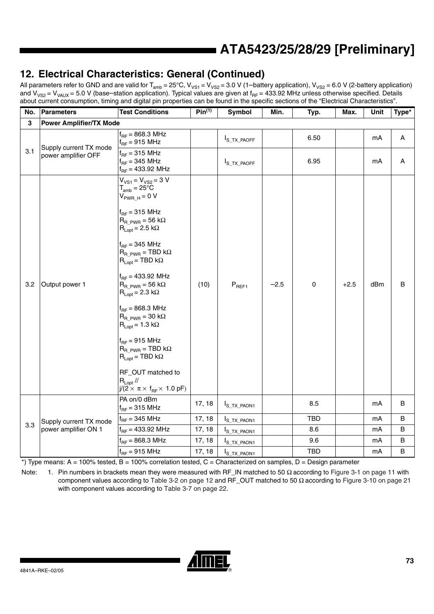## **12. Electrical Characteristics: General (Continued)**

All parameters refer to GND and are valid for T<sub>amb</sub> = 25°C, V<sub>VS1</sub> = V<sub>VS2</sub> = 3.0 V (1–battery application), V<sub>VS2</sub> = 6.0 V (2-battery application) and V<sub>VS2</sub> = V<sub>VAUX</sub> = 5.0 V (base–station application). Typical values are given at f<sub>RF</sub> = 433.92 MHz unless otherwise specified. Details about current consumption, timing and digital pin properties can be found in the specific sections of the "Electrical Characteristics".

| No.          | <b>Parameters</b>              | <b>Test Conditions</b>                                                                                                                                                                                                                                                                                                                                                                                                                                                                                                                                                                                                                                       | Pin <sup>(1)</sup> | Symbol                  | Min.   | Typ.       | Max.   | Unit | Type*   |
|--------------|--------------------------------|--------------------------------------------------------------------------------------------------------------------------------------------------------------------------------------------------------------------------------------------------------------------------------------------------------------------------------------------------------------------------------------------------------------------------------------------------------------------------------------------------------------------------------------------------------------------------------------------------------------------------------------------------------------|--------------------|-------------------------|--------|------------|--------|------|---------|
| $\mathbf{3}$ | <b>Power Amplifier/TX Mode</b> |                                                                                                                                                                                                                                                                                                                                                                                                                                                                                                                                                                                                                                                              |                    |                         |        |            |        |      |         |
|              | Supply current TX mode         | $f_{BF} = 868.3 \text{ MHz}$<br>$f_{BF}$ = 915 MHz                                                                                                                                                                                                                                                                                                                                                                                                                                                                                                                                                                                                           |                    | $I_{S_TX}$ paoff        |        | 6.50       |        | mA   | Α       |
| 3.1          | power amplifier OFF            | $f_{RF}$ = 315 MHz<br>$f_{RF}$ = 345 MHz<br>$f_{RF}$ = 433.92 MHz                                                                                                                                                                                                                                                                                                                                                                                                                                                                                                                                                                                            |                    | I <sub>S_TX_PAOFF</sub> |        | 6.95       |        | mA   | A       |
| 3.2          | Output power 1                 | $V_{VS1} = V_{VS2} = 3 V$<br>$T_{amb} = 25^{\circ}C$<br>$V_{PWR H} = 0 V$<br>$f_{RF}$ = 315 MHz<br>$R_{\rm R~PWR}$ = 56 k $\Omega$<br>$R_{Lopt} = 2.5 k\Omega$<br>$f_{BF}$ = 345 MHz<br>$R_{\rm R-PWR}$ = TBD k $\Omega$<br>$R_{Lopt}$ = TBD k $\Omega$<br>$f_{BF} = 433.92$ MHz<br>$R_{R_PWR}$ = 56 k $\Omega$<br>$R_{Lopt} = 2.3 k\Omega$<br>$f_{BF} = 868.3 \text{ MHz}$<br>$R_{\rm R~PWR}$ = 30 k $\Omega$<br>$R_{Lopt} = 1.3 k\Omega$<br>$f_{BF}$ = 915 MHz<br>$R_{\rm R~PWR}$ = TBD k $\Omega$<br>$\mathsf{R}_{\mathsf{Lopt}}$ = TBD k $\Omega$<br>RF_OUT matched to<br>$R_{Lopt}$ //<br>$j/(2 \times \pi \times f_{\text{RF}} \times 1.0 \text{ pF})$ | (10)               | $P_{REF1}$              | $-2.5$ | $\pmb{0}$  | $+2.5$ | dBm  | $\sf B$ |
|              |                                | PA on/0 dBm<br>$f_{RF}$ = 315 MHz                                                                                                                                                                                                                                                                                                                                                                                                                                                                                                                                                                                                                            | 17, 18             | $I_{S_TX_PAON1}$        |        | 8.5        |        | mA   | B       |
|              | Supply current TX mode         | $f_{RF}$ = 345 MHz                                                                                                                                                                                                                                                                                                                                                                                                                                                                                                                                                                                                                                           | 17, 18             | $I_{S_TX_PAON1}$        |        | TBD        |        | mA   | B       |
| 3.3          | power amplifier ON 1           | $f_{RF}$ = 433.92 MHz                                                                                                                                                                                                                                                                                                                                                                                                                                                                                                                                                                                                                                        | 17, 18             | $I_{S_TX_PAON1}$        |        | 8.6        |        | mA   | B       |
|              |                                | $f_{RF} = 868.3 \text{ MHz}$                                                                                                                                                                                                                                                                                                                                                                                                                                                                                                                                                                                                                                 | 17, 18             | I <sub>S_TX_PAON1</sub> |        | 9.6        |        | mA   | $\sf B$ |
|              |                                | $f_{RF}$ = 915 MHz                                                                                                                                                                                                                                                                                                                                                                                                                                                                                                                                                                                                                                           | 17, 18             | I <sub>S_TX_PAON1</sub> |        | <b>TBD</b> |        | mA   | B       |

 $*$ ) Type means: A = 100% tested, B = 100% correlation tested, C = Characterized on samples, D = Design parameter

Note: 1. Pin numbers in brackets mean they were measured with RF\_IN matched to 50 Ω according to Figure 3-1 on page 11 with component values according to Table 3-2 on page 12 and RF\_OUT matched to 50  $Ω$  according to Figure 3-10 on page 21 with component values according to Table 3-7 on page 22.

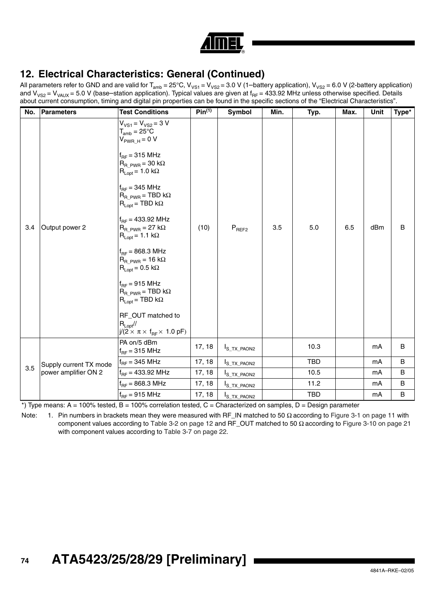

All parameters refer to GND and are valid for T<sub>amb</sub> = 25°C, V<sub>VS1</sub> = V<sub>VS2</sub> = 3.0 V (1–battery application), V<sub>VS2</sub> = 6.0 V (2-battery application) and V<sub>VS2</sub> = V<sub>VAUX</sub> = 5.0 V (base–station application). Typical values are given at f<sub>RF</sub> = 433.92 MHz unless otherwise specified. Details about current consumption, timing and digital pin properties can be found in the specific sections of the "Electrical Characteristics".

| No. | Parameters             | <b>Test Conditions</b>                                                                                                                                                                                                                                                                                                                                                                                                                                                                                                                                                                                                                                             | $Pin^{(1)}$ | Symbol                  | Min. | Typ.       | Max. | Unit | Type*       |
|-----|------------------------|--------------------------------------------------------------------------------------------------------------------------------------------------------------------------------------------------------------------------------------------------------------------------------------------------------------------------------------------------------------------------------------------------------------------------------------------------------------------------------------------------------------------------------------------------------------------------------------------------------------------------------------------------------------------|-------------|-------------------------|------|------------|------|------|-------------|
| 3.4 | Output power 2         | $V_{VS1} = V_{VS2} = 3 V$<br>$T_{amb} = 25^{\circ}C$<br>$V_{PWR H} = 0 V$<br>$f_{RF}$ = 315 MHz<br>$R_{\rm R~PWR}$ = 30 k $\Omega$<br>$R_{Lopt} = 1.0 k\Omega$<br>$f_{RF}$ = 345 MHz<br>$R_{R-PWR}$ = TBD k $\Omega$<br>$\mathsf{R}_{\mathsf{Lopt}} = \mathsf{TBD} \; \mathsf{k}\Omega$<br>$f_{BF} = 433.92$ MHz<br>$R_{\rm R~PWR}$ = 27 k $\Omega$<br>$R_{Lopt} = 1.1 k\Omega$<br>$f_{BF} = 868.3 \text{ MHz}$<br>$R_{\rm R~PWR}$ = 16 k $\Omega$<br>$R_{Lopt} = 0.5 k\Omega$<br>$f_{RF}$ = 915 MHz<br>$R_{R-PWR}$ = TBD k $\Omega$<br>$R_{Lopt}$ = TBD k $\Omega$<br>RF_OUT matched to<br>$R_{Lopt}/I$<br>$j/(2 \times \pi \times f_{BF} \times 1.0 \text{ pF})$ | (10)        | $P_{REF2}$              | 3.5  | 5.0        | 6.5  | dBm  | $\mathsf B$ |
|     |                        | PA on/5 dBm<br>$f_{BF}$ = 315 MHz                                                                                                                                                                                                                                                                                                                                                                                                                                                                                                                                                                                                                                  | 17, 18      | I <sub>S_TX_PAON2</sub> |      | 10.3       |      | mA   | $\sf B$     |
|     | Supply current TX mode | $f_{RF}$ = 345 MHz                                                                                                                                                                                                                                                                                                                                                                                                                                                                                                                                                                                                                                                 | 17, 18      | I <sub>S_TX_PAON2</sub> |      | <b>TBD</b> |      | mA   | B           |
| 3.5 | power amplifier ON 2   | $f_{RF}$ = 433.92 MHz                                                                                                                                                                                                                                                                                                                                                                                                                                                                                                                                                                                                                                              | 17, 18      | I <sub>S_TX_PAON2</sub> |      | 10.5       |      | mA   | B           |
|     |                        | $f_{RF} = 868.3 \text{ MHz}$                                                                                                                                                                                                                                                                                                                                                                                                                                                                                                                                                                                                                                       | 17, 18      | I <sub>S_TX_PAON2</sub> |      | 11.2       |      | mA   | B           |
|     |                        | $f_{RF}$ = 915 MHz                                                                                                                                                                                                                                                                                                                                                                                                                                                                                                                                                                                                                                                 | 17, 18      | I <sub>S_TX_PAON2</sub> |      | <b>TBD</b> |      | mA   | $\sf B$     |

 $*$ ) Type means: A = 100% tested, B = 100% correlation tested, C = Characterized on samples, D = Design parameter

Note: 1. Pin numbers in brackets mean they were measured with RF\_IN matched to 50 Ω according to Figure 3-1 on page 11 with component values according to Table 3-2 on page 12 and RF\_OUT matched to 50 Ω according to Figure 3-10 on page 21 with component values according to Table 3-7 on page 22.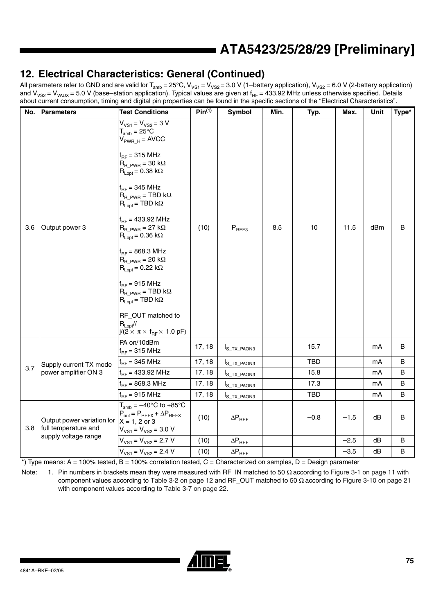### **12. Electrical Characteristics: General (Continued)**

All parameters refer to GND and are valid for T<sub>amb</sub> = 25°C, V<sub>VS1</sub> = V<sub>VS2</sub> = 3.0 V (1–battery application), V<sub>VS2</sub> = 6.0 V (2-battery application) and V<sub>VS2</sub> = V<sub>VAUX</sub> = 5.0 V (base–station application). Typical values are given at f<sub>RF</sub> = 433.92 MHz unless otherwise specified. Details about current consumption, timing and digital pin properties can be found in the specific sections of the "Electrical Characteristics".

| No. | Parameters                                                                 | <b>Test Conditions</b>                                                                                                                                                                                                                                                                                                                                                                                                                                                                                                                                                                                                                                                      | $Pin^{(1)}$ | Symbol                  | Min. | Typ.       | Max.   | Unit | Type*          |
|-----|----------------------------------------------------------------------------|-----------------------------------------------------------------------------------------------------------------------------------------------------------------------------------------------------------------------------------------------------------------------------------------------------------------------------------------------------------------------------------------------------------------------------------------------------------------------------------------------------------------------------------------------------------------------------------------------------------------------------------------------------------------------------|-------------|-------------------------|------|------------|--------|------|----------------|
| 3.6 | Output power 3                                                             | $V_{VS1} = V_{VS2} = 3 V$<br>$T_{amb} = 25^{\circ}C$<br>$V_{\text{PWR\_H}} = \text{AVCC}$<br>$f_{RF}$ = 315 MHz<br>$R_{R_PWR} = 30 k\Omega$<br>$R_{Lopt} = 0.38 \text{ k}\Omega$<br>$f_{RF}$ = 345 MHz<br>$R_{R\_PWR} = TBD k\Omega$<br>$R_{Lopt}$ = TBD k $\Omega$<br>$f_{RF}$ = 433.92 MHz<br>$R_{\rm B-PWR}$ = 27 k $\Omega$<br>$R_{Lopt} = 0.36 \text{ k}\Omega$<br>$f_{BF} = 868.3 \text{ MHz}$<br>$R_{\rm R~PWR}$ = 20 k $\Omega$<br>$R_{Lopt} = 0.22 k\Omega$<br>$f_{RF}$ = 915 MHz<br>$R_{R\_PWR}$ = TBD k $\Omega$<br>$R_{\text{Lopt}} = \text{TBD k}\Omega$<br>RF_OUT matched to<br>$R_{Lopt}/I$<br>$j/(2 \times \pi \times f_{\text{RF}} \times 1.0 \text{ pF})$ | (10)        | ${\sf P}_{\sf REF3}$    | 8.5  | 10         | 11.5   | dBm  | B              |
|     |                                                                            | PA on/10dBm<br>$f_{RF}$ = 315 MHz                                                                                                                                                                                                                                                                                                                                                                                                                                                                                                                                                                                                                                           | 17, 18      | $I_{S_TX_PAON3}$        |      | 15.7       |        | mA   | B              |
| 3.7 | Supply current TX mode                                                     | $f_{RF}$ = 345 MHz                                                                                                                                                                                                                                                                                                                                                                                                                                                                                                                                                                                                                                                          | 17, 18      | I <sub>S_TX_PAON3</sub> |      | <b>TBD</b> |        | mA   | B              |
|     | power amplifier ON 3                                                       | $f_{RF}$ = 433.92 MHz                                                                                                                                                                                                                                                                                                                                                                                                                                                                                                                                                                                                                                                       | 17, 18      | $I_{S_TX_PAON3}$        |      | 15.8       |        | mA   | B              |
|     |                                                                            | $f_{RF} = 868.3 \text{ MHz}$                                                                                                                                                                                                                                                                                                                                                                                                                                                                                                                                                                                                                                                | 17, 18      | $I_{S_TX_PAON3}$        |      | 17.3       |        | mA   | B              |
|     |                                                                            | $f_{RF}$ = 915 MHz                                                                                                                                                                                                                                                                                                                                                                                                                                                                                                                                                                                                                                                          | 17, 18      | I <sub>S_TX_PAON3</sub> |      | <b>TBD</b> |        | mA   | B              |
| 3.8 | Output power variation for<br>full temperature and<br>supply voltage range | $T_{amb} = -40^{\circ}$ C to +85°C<br>$P_{\text{out}} = P_{\text{REFX}} + \Delta P_{\text{REFX}}$<br>$X = 1, 2$ or 3<br>$V_{VS1} = V_{VS2} = 3.0 V$                                                                                                                                                                                                                                                                                                                                                                                                                                                                                                                         | (10)        | $\Delta P_{REF}$        |      | $-0.8$     | $-1.5$ | dB   | $\overline{B}$ |
|     |                                                                            | $V_{VS1} = V_{VS2} = 2.7 V$                                                                                                                                                                                                                                                                                                                                                                                                                                                                                                                                                                                                                                                 | (10)        | $\Delta P_{REF}$        |      |            | $-2.5$ | dB   | B              |
|     |                                                                            | $V_{VS1} = V_{VS2} = 2.4 V$                                                                                                                                                                                                                                                                                                                                                                                                                                                                                                                                                                                                                                                 | (10)        | $\Delta P_{REF}$        |      |            | $-3.5$ | dB   | B              |

 $*$ ) Type means: A = 100% tested, B = 100% correlation tested, C = Characterized on samples, D = Design parameter

Note: 1. Pin numbers in brackets mean they were measured with RF\_IN matched to 50 Ω according to Figure 3-1 on page 11 with component values according to Table 3-2 on page 12 and RF\_OUT matched to 50  $Ω$  according to Figure 3-10 on page 21 with component values according to Table 3-7 on page 22.

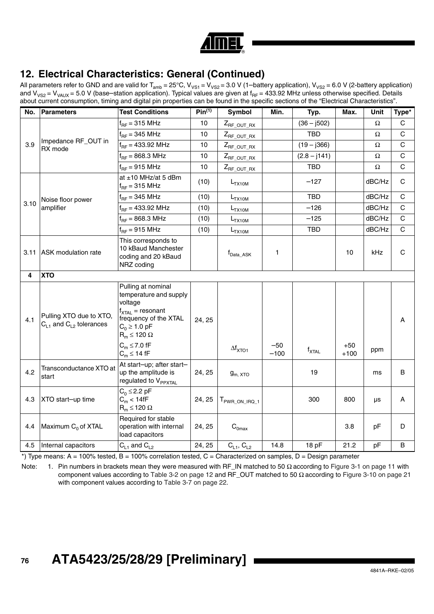

All parameters refer to GND and are valid for T<sub>amb</sub> = 25°C, V<sub>VS1</sub> = V<sub>VS2</sub> = 3.0 V (1–battery application), V<sub>VS2</sub> = 6.0 V (2-battery application) and V<sub>VS2</sub> = V<sub>VAUX</sub> = 5.0 V (base–station application). Typical values are given at f<sub>RF</sub> = 433.92 MHz unless otherwise specified. Details about current consumption, timing and digital pin properties can be found in the specific sections of the "Electrical Characteristics".

| No.  | <b>Parameters</b>                                           | <b>Test Conditions</b>                                                                                                                                        | Pin <sup>(1)</sup> | Symbol                            | Min.            | Typ.              | Max.            | Unit     | Type*        |
|------|-------------------------------------------------------------|---------------------------------------------------------------------------------------------------------------------------------------------------------------|--------------------|-----------------------------------|-----------------|-------------------|-----------------|----------|--------------|
|      |                                                             | $f_{RF}$ = 315 MHz                                                                                                                                            | 10                 | $Z_{RF\_OUT\_RX}$                 |                 | $(36 - j502)$     |                 | Ω        | C            |
|      |                                                             | $f_{BF}$ = 345 MHz                                                                                                                                            | 10                 | $Z_{RF\_OUT\_RX}$                 |                 | <b>TBD</b>        |                 | Ω        | C            |
| 3.9  | Impedance RF_OUT in<br>RX mode                              | $f_{RF} = 433.92$ MHz                                                                                                                                         | 10                 | $Z_{RF\_OUT\_RX}$                 |                 | $(19 - j366)$     |                 | $\Omega$ | $\mathbf C$  |
|      |                                                             | $f_{RF} = 868.3 \text{ MHz}$                                                                                                                                  | 10                 | $Z_{RF\_OUT\_RX}$                 |                 | $(2.8 - j141)$    |                 | Ω        | $\mathsf{C}$ |
|      |                                                             | $f_{RF}$ = 915 MHz                                                                                                                                            | 10                 | $Z_{RF\_OUT\_RX}$                 |                 | <b>TBD</b>        |                 | $\Omega$ | $\mathsf{C}$ |
|      |                                                             | at $\pm$ 10 MHz/at 5 dBm<br>$f_{RF}$ = 315 MHz                                                                                                                | (10)               | $L_{TX10M}$                       |                 | $-127$            |                 | dBC/Hz   | C            |
|      | Noise floor power                                           | $f_{RF}$ = 345 MHz                                                                                                                                            | (10)               | $L_{TX10M}$                       |                 | <b>TBD</b>        |                 | dBC/Hz   | $\mathsf{C}$ |
| 3.10 | amplifier                                                   | $f_{BF}$ = 433.92 MHz                                                                                                                                         | (10)               | $L_{TX10M}$                       |                 | $-126$            |                 | dBC/Hz   | C            |
|      |                                                             | $f_{RF} = 868.3 \text{ MHz}$                                                                                                                                  | (10)               | $L_{TX10M}$                       |                 | $-125$            |                 | dBC/Hz   | $\mathsf{C}$ |
|      |                                                             | $f_{RF}$ = 915 MHz                                                                                                                                            | (10)               | L <sub>TX10M</sub>                |                 | <b>TBD</b>        |                 | dBC/Hz   | $\mathsf{C}$ |
|      | 3.11 ASK modulation rate                                    | This corresponds to<br>10 kBaud Manchester<br>coding and 20 kBaud<br>NRZ coding                                                                               |                    | $f_{\mathsf{Data}\_\mathsf{ASK}}$ | 1               |                   | 10              | kHz      | $\mathsf{C}$ |
| 4    | <b>XTO</b>                                                  |                                                                                                                                                               |                    |                                   |                 |                   |                 |          |              |
| 4.1  | Pulling XTO due to XTO,<br>$C_{L1}$ and $C_{L2}$ tolerances | Pulling at nominal<br>temperature and supply<br>voltage<br>$f_{\text{XTAL}}$ = resonant<br>frequency of the XTAL<br>$C_0 \ge 1.0$ pF<br>$R_m \leq 120 \Omega$ | 24, 25             |                                   |                 |                   |                 |          | A            |
|      |                                                             | $C_m \leq 7.0$ fF<br>$C_m \leq 14$ fF                                                                                                                         |                    | $\Delta f_{\text{XTO1}}$          | $-50$<br>$-100$ | $f_{\text{XTAL}}$ | $+50$<br>$+100$ | ppm      |              |
| 4.2  | Transconductance XTO at<br>start                            | At start-up; after start-<br>up the amplitude is<br>regulated to V <sub>PPXTAL</sub>                                                                          | 24, 25             | $g_{m, \, XTO}$                   |                 | 19                |                 | ms       | B            |
| 4.3  | XTO start-up time                                           | $C_0 \leq 2.2$ pF<br>$C_m < 14fF$<br>$R_m \leq 120 \Omega$                                                                                                    | 24, 25             | T <sub>PWR_ON_IRQ_1</sub>         |                 | 300               | 800             | μs       | A            |
| 4.4  | Maximum C <sub>0</sub> of XTAL                              | Required for stable<br>operation with internal<br>load capacitors                                                                                             | 24, 25             | $\mathrm{C}_{0\text{max}}$        |                 |                   | 3.8             | pF       | D            |
| 4.5  | Internal capacitors                                         | $C_{L1}$ and $C_{L2}$                                                                                                                                         | 24, 25             | $C_{L1}$ , $C_{L2}$               | 14.8            | 18 pF             | 21.2            | pF       | $\sf B$      |

 $*$ ) Type means: A = 100% tested, B = 100% correlation tested, C = Characterized on samples, D = Design parameter

Note: 1. Pin numbers in brackets mean they were measured with RF\_IN matched to 50  $\Omega$  according to Figure 3-1 on page 11 with component values according to Table 3-2 on page 12 and RF\_OUT matched to 50 Ω according to Figure 3-10 on page 21 with component values according to Table 3-7 on page 22.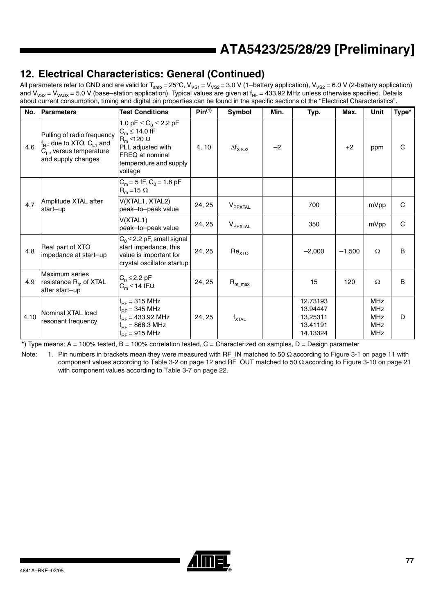### **12. Electrical Characteristics: General (Continued)**

All parameters refer to GND and are valid for T<sub>amb</sub> = 25°C, V<sub>VS1</sub> = V<sub>VS2</sub> = 3.0 V (1–battery application), V<sub>VS2</sub> = 6.0 V (2-battery application) and V<sub>VS2</sub> = V<sub>VAUX</sub> = 5.0 V (base–station application). Typical values are given at f<sub>RF</sub> = 433.92 MHz unless otherwise specified. Details about current consumption, timing and digital pin properties can be found in the specific sections of the "Electrical Characteristics".

| No.  | Parameters                                                                                                           | <b>Test Conditions</b>                                                                                                                                                 | Pin <sup>(1)</sup> | Symbol                       | Min. | Typ.                                                     | Max.     | Unit                                                               | Type*        |
|------|----------------------------------------------------------------------------------------------------------------------|------------------------------------------------------------------------------------------------------------------------------------------------------------------------|--------------------|------------------------------|------|----------------------------------------------------------|----------|--------------------------------------------------------------------|--------------|
| 4.6  | Pulling of radio frequency<br>$f_{RF}$ due to XTO, $C_{L1}$ and<br>$C_{L2}$ versus temperature<br>and supply changes | 1.0 pF $\leq$ C <sub>0</sub> $\leq$ 2.2 pF<br>$C_m \leq 14.0$ fF<br>$R_m \leq 120 \Omega$<br>PLL adjusted with<br>FREQ at nominal<br>temperature and supply<br>voltage | 4, 10              | $\Delta f_{\text{XTO2}}$     | $-2$ |                                                          | $+2$     | ppm                                                                | $\mathsf{C}$ |
|      |                                                                                                                      | $C_m = 5$ fF, $C_0 = 1.8$ pF<br>$R_m = 15 \Omega$                                                                                                                      |                    |                              |      |                                                          |          |                                                                    |              |
| 4.7  | Amplitude XTAL after<br>start-up                                                                                     | V(XTAL1, XTAL2)<br>peak-to-peak value                                                                                                                                  | 24, 25             | $V_{PPXTAL}$                 |      | 700                                                      |          | mVpp                                                               | C            |
|      |                                                                                                                      | V(XTAL1)<br>peak-to-peak value                                                                                                                                         | 24, 25             | <b>V</b> <sub>PPXTAL</sub>   |      | 350                                                      |          | mVpp                                                               | C            |
| 4.8  | Real part of XTO<br>impedance at start-up                                                                            | $C_0 \leq 2.2$ pF, small signal<br>start impedance, this<br>value is important for<br>crystal oscillator startup                                                       | 24, 25             | Re <sub>XTO</sub>            |      | $-2,000$                                                 | $-1,500$ | Ω                                                                  | B            |
| 4.9  | Maximum series<br>resistance $R_m$ of XTAL<br>after start-up                                                         | $C_0 \leq 2.2$ pF<br>$C_m \leq 14$ fF $\Omega$                                                                                                                         | 24, 25             | $R_{m\_max}$                 |      | 15                                                       | 120      | $\Omega$                                                           | B            |
| 4.10 | Nominal XTAL load<br>resonant frequency                                                                              | $f_{BF}$ = 315 MHz<br>$f_{BF}$ = 345 MHz<br>$f_{RF}$ = 433.92 MHz<br>$f_{BF} = 868.3 \text{ MHz}$<br>$f_{RF}$ = 915 MHz                                                | 24, 25             | $\mathsf{f}_{\mathsf{XTAL}}$ |      | 12.73193<br>13.94447<br>13.25311<br>13.41191<br>14.13324 |          | <b>MHz</b><br><b>MHz</b><br><b>MHz</b><br><b>MHz</b><br><b>MHz</b> | D            |

 $*$ ) Type means: A = 100% tested, B = 100% correlation tested, C = Characterized on samples, D = Design parameter

Note: 1. Pin numbers in brackets mean they were measured with RF\_IN matched to 50 Ω according to Figure 3-1 on page 11 with component values according to Table 3-2 on page 12 and RF\_OUT matched to 50  $Ω$  according to Figure 3-10 on page 21 with component values according to Table 3-7 on page 22.

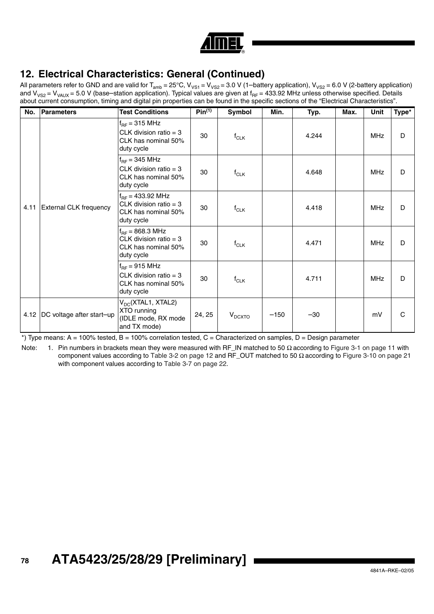

All parameters refer to GND and are valid for T<sub>amb</sub> = 25°C, V<sub>VS1</sub> = V<sub>VS2</sub> = 3.0 V (1–battery application), V<sub>VS2</sub> = 6.0 V (2-battery application) and V<sub>VS2</sub> = V<sub>VAUX</sub> = 5.0 V (base–station application). Typical values are given at f<sub>RF</sub> = 433.92 MHz unless otherwise specified. Details about current consumption, timing and digital pin properties can be found in the specific sections of the "Electrical Characteristics".

| No.  | <b>Parameters</b>         | <b>Test Conditions</b>                                                                        | Pin <sup>(1)</sup> | Symbol             | Min.   | Typ.  | Max. | Unit       | Type*        |
|------|---------------------------|-----------------------------------------------------------------------------------------------|--------------------|--------------------|--------|-------|------|------------|--------------|
|      |                           | $f_{RF}$ = 315 MHz<br>CLK division ratio = $3$<br>CLK has nominal 50%<br>duty cycle           | 30                 | $f_{CLK}$          |        | 4.244 |      | <b>MHz</b> | D            |
| 4.11 | External CLK frequency    | $f_{RF}$ = 345 MHz<br>CLK division ratio = $3$<br>CLK has nominal 50%<br>duty cycle           | 30                 | $f_{CLK}$          |        | 4.648 |      | <b>MHz</b> | D            |
|      |                           | $f_{BF}$ = 433.92 MHz<br>CLK division ratio = $3$<br>CLK has nominal 50%<br>duty cycle        | 30                 | $f_{CLK}$          |        | 4.418 |      | <b>MHz</b> | D            |
|      |                           | $f_{BF} = 868.3 \text{ MHz}$<br>CLK division ratio = $3$<br>CLK has nominal 50%<br>duty cycle | 30                 | $f_{CLK}$          |        | 4.471 |      | <b>MHz</b> | D            |
|      |                           | $f_{RF}$ = 915 MHz<br>CLK division ratio = $3$<br>CLK has nominal 50%<br>duty cycle           | 30                 | $f_{CLK}$          |        | 4.711 |      | <b>MHz</b> | D            |
| 4.12 | DC voltage after start-up | V <sub>DC</sub> (XTAL1, XTAL2)<br>XTO running<br>(IDLE mode, RX mode<br>and TX mode)          | 24, 25             | $V_{D\text{CXTO}}$ | $-150$ | $-30$ |      | mV         | $\mathsf{C}$ |

 $*$ ) Type means: A = 100% tested, B = 100% correlation tested, C = Characterized on samples, D = Design parameter

Note: 1. Pin numbers in brackets mean they were measured with RF\_IN matched to 50 Ω according to Figure 3-1 on page 11 with component values according to Table 3-2 on page 12 and RF\_OUT matched to 50  $Ω$  according to Figure 3-10 on page 21 with component values according to Table 3-7 on page 22.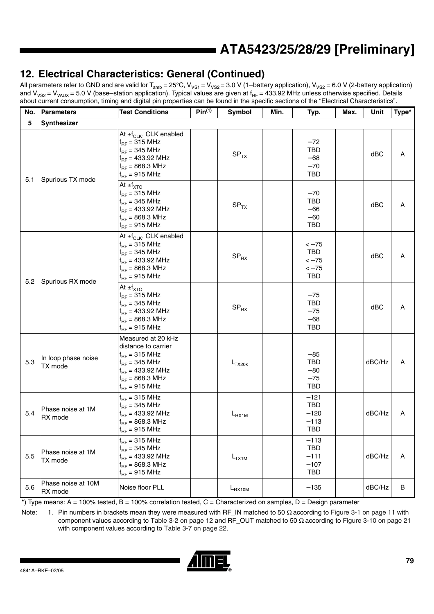## **12. Electrical Characteristics: General (Continued)**

All parameters refer to GND and are valid for T<sub>amb</sub> = 25°C, V<sub>VS1</sub> = V<sub>VS2</sub> = 3.0 V (1–battery application), V<sub>VS2</sub> = 6.0 V (2-battery application) and V<sub>VS2</sub> = V<sub>VAUX</sub> = 5.0 V (base–station application). Typical values are given at f<sub>RF</sub> = 433.92 MHz unless otherwise specified. Details about current consumption, timing and digital pin properties can be found in the specific sections of the "Electrical Characteristics".

| No. | <b>Parameters</b>              | <b>Test Conditions</b>                                                                                                                                        | Pin <sup>(1)</sup> | Symbol             | Min. | Typ.                                                   | Max. | Unit   | Type* |
|-----|--------------------------------|---------------------------------------------------------------------------------------------------------------------------------------------------------------|--------------------|--------------------|------|--------------------------------------------------------|------|--------|-------|
| 5   | Synthesizer                    |                                                                                                                                                               |                    |                    |      |                                                        |      |        |       |
| 5.1 | Spurious TX mode               | At $\pm f_{CLK}$ , CLK enabled<br>$f_{BF}$ = 315 MHz<br>$f_{BF}$ = 345 MHz<br>$f_{RF}$ = 433.92 MHz<br>$f_{BF} = 868.3 \text{ MHz}$<br>$f_{RF}$ = 915 MHz     |                    | SP <sub>TX</sub>   |      | $-72$<br><b>TBD</b><br>$-68$<br>$-70$<br><b>TBD</b>    |      | dBC    | A     |
|     |                                | At $\pm f_{\text{XTO}}$<br>$f_{BF}$ = 315 MHz<br>$f_{BF}$ = 345 MHz<br>$f_{BF}$ = 433.92 MHz<br>$f_{BF} = 868.3 \text{ MHz}$<br>$f_{RF}$ = 915 MHz            |                    | SP <sub>TX</sub>   |      | $-70$<br><b>TBD</b><br>$-66$<br>$-60$<br><b>TBD</b>    |      | dBC    | A     |
|     | Spurious RX mode               | At ±f <sub>CLK</sub> , CLK enabled<br>$f_{BF}$ = 315 MHz<br>$f_{RF}$ = 345 MHz<br>$f_{RF}$ = 433.92 MHz<br>$f_{RF} = 868.3 \text{ MHz}$<br>$f_{RF}$ = 915 MHz |                    | $SP_{RX}$          |      | $<-75$<br>TBD<br>$<-75$<br>$<-75$<br><b>TBD</b>        |      | dBC    | Α     |
| 5.2 |                                | At $\pm f_{\text{XTO}}$<br>$f_{RF}$ = 315 MHz<br>$f_{BF}$ = 345 MHz<br>$f_{BF}$ = 433.92 MHz<br>$f_{BF} = 868.3 \text{ MHz}$<br>$f_{RF}$ = 915 MHz            |                    | $SP_{RX}$          |      | $-75$<br><b>TBD</b><br>$-75$<br>$-68$<br><b>TBD</b>    |      | dBC    | Α     |
| 5.3 | In loop phase noise<br>TX mode | Measured at 20 kHz<br>distance to carrier<br>$f_{BF}$ = 315 MHz<br>$f_{BF}$ = 345 MHz<br>$f_{BF}$ = 433.92 MHz<br>$f_{BF}$ = 868.3 MHz<br>$f_{RF}$ = 915 MHz  |                    | $L_{TX20k}$        |      | $-85$<br><b>TBD</b><br>$-80$<br>$-75$<br><b>TBD</b>    |      | dBC/Hz | Α     |
| 5.4 | Phase noise at 1M<br>RX mode   | $f_{BF}$ = 315 MHz<br>$f_{RF}$ = 345 MHz<br>$f_{RF}$ = 433.92 MHz<br>$f_{BF} = 868.3 \text{ MHz}$<br>$f_{RF}$ = 915 MHz                                       |                    | $L_{\text{RX1M}}$  |      | $-121$<br>TBD<br>$-120$<br>$-113$<br><b>TBD</b>        |      | dBC/Hz | Α     |
| 5.5 | Phase noise at 1M<br>TX mode   | $f_{BF}$ = 315 MHz<br>$f_{BF}$ = 345 MHz<br>$f_{BF} = 433.92$ MHz<br>$f_{RF} = 868.3 \text{ MHz}$<br>$f_{BF}$ = 915 MHz                                       |                    | $L_{TX1M}$         |      | $-113$<br><b>TBD</b><br>$-111$<br>$-107$<br><b>TBD</b> |      | dBC/Hz | Α     |
| 5.6 | Phase noise at 10M<br>RX mode  | Noise floor PLL                                                                                                                                               |                    | $L_{\text{RX10M}}$ |      | $-135$                                                 |      | dBC/Hz | B     |

 $*$ ) Type means: A = 100% tested, B = 100% correlation tested, C = Characterized on samples, D = Design parameter

Note: 1. Pin numbers in brackets mean they were measured with RF\_IN matched to 50 Ω according to Figure 3-1 on page 11 with component values according to Table 3-2 on page 12 and RF\_OUT matched to 50  $Ω$  according to Figure 3-10 on page 21 with component values according to Table 3-7 on page 22.

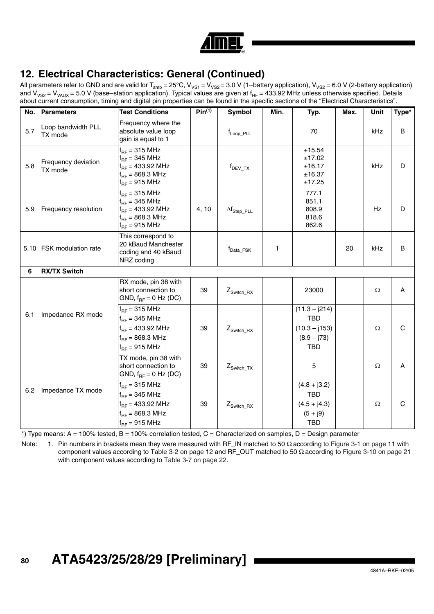

All parameters refer to GND and are valid for T<sub>amb</sub> = 25°C, V<sub>VS1</sub> = V<sub>VS2</sub> = 3.0 V (1–battery application), V<sub>VS2</sub> = 6.0 V (2-battery application) and V<sub>VS2</sub> = V<sub>VAUX</sub> = 5.0 V (base–station application). Typical values are given at f<sub>RF</sub> = 433.92 MHz unless otherwise specified. Details about current consumption, timing and digital pin properties can be found in the specific sections of the "Electrical Characteristics".

| No. | Parameters                     | <b>Test Conditions</b>                                                                                                  | $Pin^{(1)}$ | Symbol                       | Min.         | Typ.                                                                            | Max. | Unit     | Type*        |
|-----|--------------------------------|-------------------------------------------------------------------------------------------------------------------------|-------------|------------------------------|--------------|---------------------------------------------------------------------------------|------|----------|--------------|
| 5.7 | Loop bandwidth PLL<br>TX mode  | Frequency where the<br>absolute value loop<br>gain is equal to 1                                                        |             | $f_{\mathsf{Loop\_PLL}}$     |              | 70                                                                              |      | kHz      | B            |
| 5.8 | Frequency deviation<br>TX mode | $f_{BF}$ = 315 MHz<br>$f_{BF}$ = 345 MHz<br>$f_{RF}$ = 433.92 MHz<br>$f_{RF} = 868.3 \text{ MHz}$<br>$f_{BF}$ = 915 MHz |             | $f_{DEV_TX}$                 |              | ±15.54<br>±17.02<br>±16.17<br>±16.37<br>±17.25                                  |      | kHz      | D            |
| 5.9 | Frequency resolution           | $f_{BF}$ = 315 MHz<br>$f_{BF}$ = 345 MHz<br>$f_{BF}$ = 433.92 MHz<br>$f_{BF} = 868.3 \text{ MHz}$<br>$f_{RF}$ = 915 MHz | 4, 10       | $\Delta f_{\text{Step PLL}}$ |              | 777.1<br>851.1<br>808.9<br>818.6<br>862.6                                       |      | Hz       | D            |
|     | 5.10 FSK modulation rate       | This correspond to<br>20 kBaud Manchester<br>coding and 40 kBaud<br>NRZ coding                                          |             | f <sub>Data</sub> _FSK       | $\mathbf{1}$ |                                                                                 | 20   | kHz      | B            |
| 6   | <b>RX/TX Switch</b>            |                                                                                                                         |             |                              |              |                                                                                 |      |          |              |
|     |                                | RX mode, pin 38 with<br>short connection to<br>GND, $f_{BF} = 0$ Hz (DC)                                                | 39          | $Z_{\text{Switch\_RX}}$      |              | 23000                                                                           |      | $\Omega$ | A            |
| 6.1 | Impedance RX mode              | $f_{RF}$ = 315 MHz<br>$f_{BF}$ = 345 MHz<br>$f_{BF} = 433.92$ MHz<br>$f_{BF} = 868.3 \text{ MHz}$<br>$f_{RF}$ = 915 MHz | 39          | $Z_{\text{Switch\_RX}}$      |              | $(11.3 - j214)$<br><b>TBD</b><br>$(10.3 - j153)$<br>$(8.9 - j73)$<br><b>TBD</b> |      | $\Omega$ | $\mathsf{C}$ |
|     |                                | TX mode, pin 38 with<br>short connection to<br>GND, $f_{RF} = 0$ Hz (DC)                                                | 39          | $Z_{\text{Switch\_TX}}$      |              | 5                                                                               |      | Ω        | A            |
| 6.2 | Impedance TX mode              | $f_{BF}$ = 315 MHz<br>$f_{BF}$ = 345 MHz<br>$f_{RF}$ = 433.92 MHz<br>$f_{BF} = 868.3 \text{ MHz}$<br>$f_{RF}$ = 915 MHz | 39          | $Z_{\text{Switch RX}}$       |              | $(4.8 + j3.2)$<br><b>TBD</b><br>$(4.5 + j4.3)$<br>$(5 + j9)$<br><b>TBD</b>      |      | $\Omega$ | $\mathbf C$  |

\*) Type means: A = 100% tested, B = 100% correlation tested, C = Characterized on samples, D = Design parameter

Note: 1. Pin numbers in brackets mean they were measured with RF\_IN matched to 50 Ω according to Figure 3-1 on page 11 with component values according to Table 3-2 on page 12 and RF\_OUT matched to 50  $Ω$  according to Figure 3-10 on page 21 with component values according to Table 3-7 on page 22.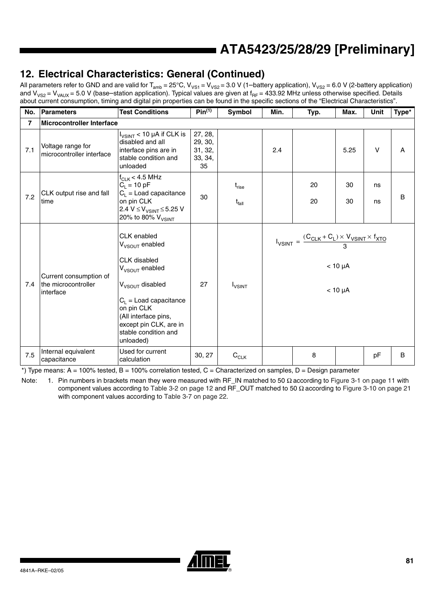## **12. Electrical Characteristics: General (Continued)**

All parameters refer to GND and are valid for T<sub>amb</sub> = 25°C, V<sub>VS1</sub> = V<sub>VS2</sub> = 3.0 V (1–battery application), V<sub>VS2</sub> = 6.0 V (2-battery application) and V<sub>VS2</sub> = V<sub>VAUX</sub> = 5.0 V (base–station application). Typical values are given at f<sub>RF</sub> = 433.92 MHz unless otherwise specified. Details about current consumption, timing and digital pin properties can be found in the specific sections of the "Electrical Characteristics".

| No.            | <b>Parameters</b>                                          | <b>Test Conditions</b>                                                                                                                                                                                                                                  | $Pin^{(1)}$                                    | Symbol                    | Min.                                                                                                                                         | Typ.     | Max.     | Unit     | Type* |
|----------------|------------------------------------------------------------|---------------------------------------------------------------------------------------------------------------------------------------------------------------------------------------------------------------------------------------------------------|------------------------------------------------|---------------------------|----------------------------------------------------------------------------------------------------------------------------------------------|----------|----------|----------|-------|
| $\overline{7}$ | <b>Microcontroller Interface</b>                           |                                                                                                                                                                                                                                                         |                                                |                           |                                                                                                                                              |          |          |          |       |
| 7.1            | Voltage range for<br>microcontroller interface             | $I_{V SINT}$ < 10 µA if CLK is<br>disabled and all<br>interface pins are in<br>stable condition and<br>unloaded                                                                                                                                         | 27, 28,<br>29, 30,<br>31, 32,<br>33, 34,<br>35 |                           | 2.4                                                                                                                                          |          | 5.25     | $\vee$   | A     |
| 7.2            | CLK output rise and fall<br>time                           | $f_{CLK}$ < 4.5 MHz<br>$C_{L} = 10 pF$<br>$C_L$ = Load capacitance<br>on pin CLK<br>2.4 V ≤ V <sub>VSINT</sub> ≤ 5.25 V<br>20% to 80% V <sub>VSINT</sub>                                                                                                | 30                                             | $t_{rise}$<br>$t_{fall}$  |                                                                                                                                              | 20<br>20 | 30<br>30 | ns<br>ns | B     |
| 7.4            | Current consumption of<br>the microcontroller<br>interface | CLK enabled<br>V <sub>VSOUT</sub> enabled<br><b>CLK</b> disabled<br>$V_{VSOUT}$ enabled<br>V <sub>VSOUT</sub> disabled<br>$C_L$ = Load capacitance<br>on pin CLK<br>(All interface pins,<br>except pin CLK, are in<br>stable condition and<br>unloaded) | 27                                             | <b>I</b> <sub>VSINT</sub> | $I_{\text{VSINT}} = \frac{(C_{\text{CLK}} + C_{\text{L}}) \times V_{\text{VSINT}} \times f_{\text{XTO}}}{2}$<br>$< 10 \mu A$<br>$< 10 \mu A$ |          |          |          |       |
| 7.5            | Internal equivalent<br>capacitance                         | Used for current<br>calculation                                                                                                                                                                                                                         | 30, 27                                         | $C_{CLK}$                 |                                                                                                                                              | 8        |          | pF       | B     |

 $*$ ) Type means: A = 100% tested, B = 100% correlation tested, C = Characterized on samples, D = Design parameter

Note: 1. Pin numbers in brackets mean they were measured with RF\_IN matched to 50  $\Omega$  according to Figure 3-1 on page 11 with component values according to Table 3-2 on page 12 and RF\_OUT matched to 50  $Ω$  according to Figure 3-10 on page 21 with component values according to Table 3-7 on page 22.

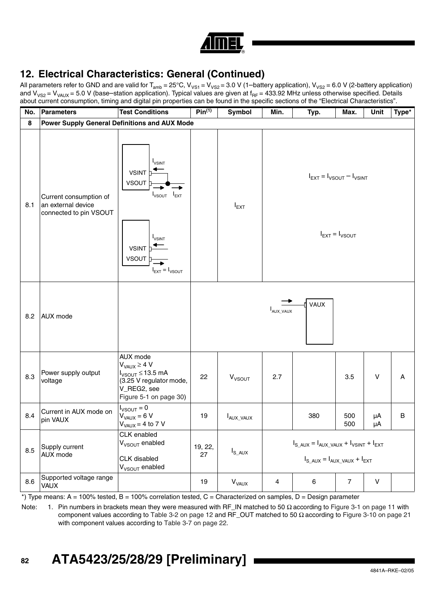| ⋒ |
|---|
|   |

All parameters refer to GND and are valid for T<sub>amb</sub> = 25°C, V<sub>VS1</sub> = V<sub>VS2</sub> = 3.0 V (1–battery application), V<sub>VS2</sub> = 6.0 V (2-battery application) and V<sub>VS2</sub> = V<sub>VAUX</sub> = 5.0 V (base–station application). Typical values are given at f<sub>RF</sub> = 433.92 MHz unless otherwise specified. Details about current consumption, timing and digital pin properties can be found in the specific sections of the "Electrical Characteristics".

| No. | Parameters                                                             | <b>Test Conditions</b>                                                                                                                                                          | Pin <sup>(1)</sup> | Symbol                    | Min.                                                                                          | Typ. | Max.           | Unit         | Type*   |  |
|-----|------------------------------------------------------------------------|---------------------------------------------------------------------------------------------------------------------------------------------------------------------------------|--------------------|---------------------------|-----------------------------------------------------------------------------------------------|------|----------------|--------------|---------|--|
| 8   | <b>Power Supply General Definitions and AUX Mode</b>                   |                                                                                                                                                                                 |                    |                           |                                                                                               |      |                |              |         |  |
| 8.1 | Current consumption of<br>an external device<br>connected to pin VSOUT | <b>I</b> <sub>VSINT</sub><br><b>VSINT</b><br><b>VSOUT</b><br>$I_{VSOUT}$ $I_{EXT}$<br><b>I</b> <sub>VSINT</sub><br><b>VSINT</b><br>VSOUT<br>$I_{\text{EXT}} = I_{\text{VSOUT}}$ |                    | $I_{EXT}$                 | $I_{\text{EXT}} = I_{\text{VSOUT}} - I_{\text{VSINT}}$<br>$I_{\text{EXT}} = I_{\text{VSOUT}}$ |      |                |              |         |  |
| 8.2 | AUX mode                                                               |                                                                                                                                                                                 | VAUX<br>AUX_VAUX   |                           |                                                                                               |      |                |              |         |  |
| 8.3 | Power supply output<br>voltage                                         | AUX mode<br>$V_{VAUX} \ge 4 V$<br>$I_{VSOUT} \leq 13.5$ mA<br>(3.25 V regulator mode,<br>V_REG2, see<br>Figure 5-1 on page 30)                                                  | 22                 | <b>V</b> <sub>VSOUT</sub> | 2.7                                                                                           |      | 3.5            | $\vee$       | A       |  |
| 8.4 | Current in AUX mode on<br>pin VAUX                                     | $I_{VSOUT} = 0$<br>$V_{VAUX} = 6 V$<br>$VVAUX = 4 to 7 V$                                                                                                                       | 19                 | $I_{AUX_VAUX}$            |                                                                                               | 380  | 500<br>500     | μA<br>μA     | $\sf B$ |  |
| 8.5 | Supply current<br>AUX mode                                             | CLK enabled<br>V <sub>VSOUT</sub> enabled<br>CLK disabled<br>V <sub>VSOUT</sub> enabled                                                                                         | 19, 22,<br>27      | $I_{S\_AUX}$              | $I_{S\_AUX} = I_{AUX\_VAUX} + I_{VSINT} + I_{EXT}$<br>$I_{S\_AUX} = I_{AUX\_VAUX} + I_{EXT}$  |      |                |              |         |  |
| 8.6 | Supported voltage range<br>VAUX                                        |                                                                                                                                                                                 | 19                 | <b>V<sub>VAUX</sub></b>   | 4                                                                                             | 6    | $\overline{7}$ | $\mathsf{V}$ |         |  |

 $*$ ) Type means: A = 100% tested, B = 100% correlation tested, C = Characterized on samples, D = Design parameter

Note: 1. Pin numbers in brackets mean they were measured with RF\_IN matched to 50  $\Omega$  according to Figure 3-1 on page 11 with component values according to Table 3-2 on page 12 and RF\_OUT matched to 50  $Ω$  according to Figure 3-10 on page 21 with component values according to Table 3-7 on page 22.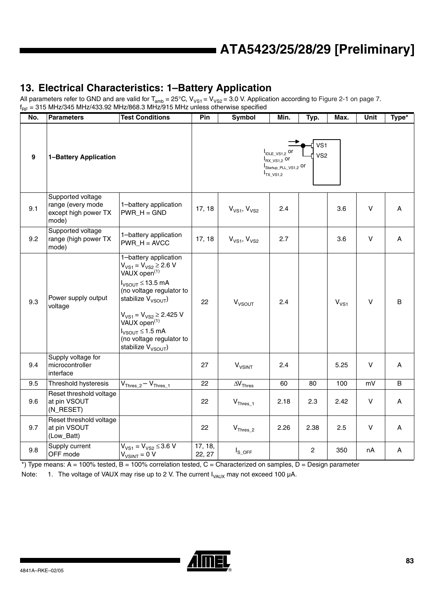## **13. Electrical Characteristics: 1–Battery Application**

All parameters refer to GND and are valid for T $_{\rm amb}$  = 25°C, V<sub>VS1</sub> = V<sub>VS2</sub> = 3.0 V. Application according to [Figure 2-1 on page 7](#page-6-0).  $f_{\sf RF}$  = 315 MHz/345 MHz/433.92 MHz/868.3 MHz/915 MHz unless otherwise specified

| No. | <b>Parameters</b>                                                       | <b>Test Conditions</b>                                                                                                                                                                                                                                                                                            | Pin               | <b>Symbol</b>               | Min.                                                                                                      | Typ.                     | Max.      | Unit         | Type*        |
|-----|-------------------------------------------------------------------------|-------------------------------------------------------------------------------------------------------------------------------------------------------------------------------------------------------------------------------------------------------------------------------------------------------------------|-------------------|-----------------------------|-----------------------------------------------------------------------------------------------------------|--------------------------|-----------|--------------|--------------|
| 9   | 1-Battery Application                                                   |                                                                                                                                                                                                                                                                                                                   |                   |                             | I <sub>IDLE_VS1,2</sub> or<br>$I_{\text{RX}\_V\text{S1},2}$ or<br>Startup_PLL_VS1,2 Or<br>$I_{TX_VSS1,2}$ | d vs1<br>VS <sub>2</sub> |           |              |              |
| 9.1 | Supported voltage<br>range (every mode<br>except high power TX<br>mode) | 1-battery application<br>$PWR_H = GND$                                                                                                                                                                                                                                                                            | 17, 18            | $V_{VS1}$ , $V_{VS2}$       | 2.4                                                                                                       |                          | 3.6       | $\vee$       | A            |
| 9.2 | Supported voltage<br>range (high power TX<br>mode)                      | 1-battery application<br>$PWR_H = AVCC$                                                                                                                                                                                                                                                                           | 17, 18            | $V_{VS1}$ , $V_{VS2}$       | 2.7                                                                                                       |                          | 3.6       | $\vee$       | $\mathsf{A}$ |
| 9.3 | Power supply output<br>voltage                                          | 1-battery application<br>$V_{VS1} = V_{VS2} \ge 2.6 V$<br>VAUX open <sup>(1)</sup><br>$I_{VSOUT} \leq 13.5$ mA<br>(no voltage regulator to<br>stabilize $V_{VSOUT}$<br>$V_{VS1} = V_{VS2} \ge 2.425$ V<br>VAUX open <sup>(1)</sup><br>$I_{VSOUT} \le 1.5$ mA<br>(no voltage regulator to<br>stabilize $V_{VSOUT}$ | 22                | $V_{VSOUT}$                 | 2.4                                                                                                       |                          | $V_{VS1}$ | $\vee$       | $\, {\bf B}$ |
| 9.4 | Supply voltage for<br>microcontroller<br>interface                      |                                                                                                                                                                                                                                                                                                                   | 27                | $V_{VSINT}$                 | 2.4                                                                                                       |                          | 5.25      | V            | A            |
| 9.5 | Threshold hysteresis                                                    | $V_{\text{Thres}\_2} - V_{\text{Thres}\_1}$                                                                                                                                                                                                                                                                       | 22                | $\Delta\rm{V}_{\rm{Thres}}$ | 60                                                                                                        | 80                       | 100       | mV           | B            |
| 9.6 | Reset threshold voltage<br>at pin VSOUT<br>(N_RESET)                    |                                                                                                                                                                                                                                                                                                                   | 22                | $V_{\text{Thres}\_1}$       | 2.18                                                                                                      | 2.3                      | 2.42      | $\vee$       | A            |
| 9.7 | Reset threshold voltage<br>at pin VSOUT<br>(Low_Batt)                   |                                                                                                                                                                                                                                                                                                                   | 22                | $V_{\text{Thres}\_2}$       | 2.26                                                                                                      | 2.38                     | 2.5       | $\mathsf{V}$ | A            |
| 9.8 | Supply current<br>OFF mode                                              | $V_{VS1} = V_{VS2} \leq 3.6 V$<br>$V_{VSINT} = 0 V$                                                                                                                                                                                                                                                               | 17, 18,<br>22, 27 | $I_{S\_OFF}$                |                                                                                                           | $\overline{2}$           | 350       | nA           | A            |

 $*$ ) Type means: A = 100% tested, B = 100% correlation tested, C = Characterized on samples, D = Design parameter

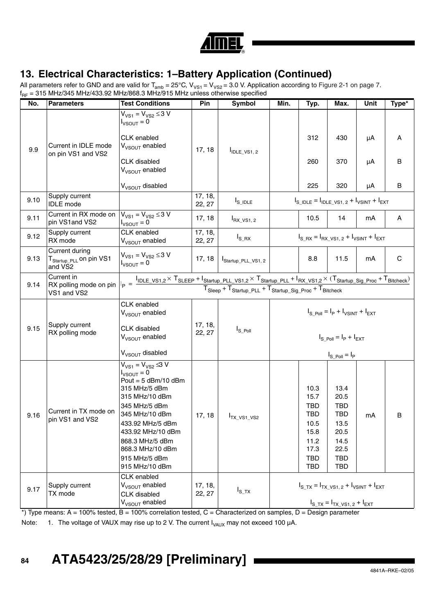

## **13. Electrical Characteristics: 1–Battery Application (Continued)**

All parameters refer to GND and are valid for T<sub>amb</sub> = 25°C, V<sub>VS1</sub> = V<sub>VS2</sub> = 3.0 V. Application according to Figure 2-1 on page 7.  $\rm{f_{RF}}$  = 315 MHz/345 MHz/433.92 MHz/868.3 MHz/915 MHz unless otherwise specified

| No.  | <b>Parameters</b>                                                                         | <b>Test Conditions</b>                                                                                                                                                                                                                                           | Pin               | <b>Symbol</b>                       | Min.                                                                                                                                                                                                                                                                                                                                       | Typ.                                                                                                 | Max.                                                                                                             | Unit     | Type*       |
|------|-------------------------------------------------------------------------------------------|------------------------------------------------------------------------------------------------------------------------------------------------------------------------------------------------------------------------------------------------------------------|-------------------|-------------------------------------|--------------------------------------------------------------------------------------------------------------------------------------------------------------------------------------------------------------------------------------------------------------------------------------------------------------------------------------------|------------------------------------------------------------------------------------------------------|------------------------------------------------------------------------------------------------------------------|----------|-------------|
| 9.9  | Current in IDLE mode<br>on pin VS1 and VS2                                                | $V_{VS1} = V_{VS2} \le 3 V$<br>$I_{VSOUT} = 0$<br>CLK enabled<br>V <sub>VSOUT</sub> enabled<br>CLK disabled                                                                                                                                                      | 17, 18            | $I_{\text{IDLE}_V$ S <sub>1,2</sub> |                                                                                                                                                                                                                                                                                                                                            | 312<br>260                                                                                           | 430<br>370                                                                                                       | μA<br>μA | Α<br>B      |
|      |                                                                                           | V <sub>VSOUT</sub> enabled<br>V <sub>VSOUT</sub> disabled                                                                                                                                                                                                        |                   |                                     |                                                                                                                                                                                                                                                                                                                                            | 225                                                                                                  | 320                                                                                                              | μA       | B           |
| 9.10 | Supply current<br><b>IDLE</b> mode                                                        |                                                                                                                                                                                                                                                                  | 17, 18,<br>22, 27 | $I_{S\_IDLE}$                       |                                                                                                                                                                                                                                                                                                                                            | $I_{S}$ IDLE = $I_{IDLE}$ VS1, 2 + $I_{V SINT}$ + $I_{EXT}$                                          |                                                                                                                  |          |             |
| 9.11 | Current in RX mode on<br>pin VS1and VS2                                                   | $V_{VS1} = V_{VS2} \le 3 V$<br>$I_{VSOUT} = 0$                                                                                                                                                                                                                   | 17, 18            | $I_{RX_VS1,2}$                      |                                                                                                                                                                                                                                                                                                                                            | 10.5                                                                                                 | 14                                                                                                               | mA       | A           |
| 9.12 | Supply current<br>RX mode                                                                 | CLK enabled<br>V <sub>VSOUT</sub> enabled                                                                                                                                                                                                                        | 17, 18,<br>22, 27 | $I_{S_R}$                           |                                                                                                                                                                                                                                                                                                                                            | $I_{S_R} = I_{RX_VS1, 2} + I_{VSINT} + I_{EXT}$                                                      |                                                                                                                  |          |             |
| 9.13 | Current during<br>T <sub>Startup</sub> _ <sub>PLL</sub> on pin VS1<br>and VS <sub>2</sub> | $V_{VS1} = V_{VS2} \le 3 V$<br>$I_{VSOUT} = 0$                                                                                                                                                                                                                   | 17, 18            | Startup_PLL_VS1, 2                  |                                                                                                                                                                                                                                                                                                                                            | 8.8                                                                                                  | 11.5                                                                                                             | mA       | $\mathbf C$ |
| 9.14 | Current in<br>RX polling mode on pin<br>VS1 and VS2                                       |                                                                                                                                                                                                                                                                  |                   |                                     | $I_{\mathsf{P}} = \frac{I_{\mathsf{IDLE\_V S1,2}} \times T_{\mathsf{SLEEP}} + I_{\mathsf{Startup\_PLL\_V S1,2}} \times T_{\mathsf{Startup\_PLL}} + I_{\mathsf{RX\_V S1,2}} \times (T_{\mathsf{Startup\_Sig\_Proc}} + T_{\mathsf{Bitcheck}})}{I_{\mathsf{PIS}}}$<br>$T_{Sleep} + T_{Startup}$ PLL + $T_{Startup}$ Sig Proc + $T_{Bitcheck}$ |                                                                                                      |                                                                                                                  |          |             |
| 9.15 | Supply current<br>RX polling mode                                                         | CLK enabled<br>V <sub>VSOUT</sub> enabled<br><b>CLK</b> disabled<br>V <sub>VSOUT</sub> enabled<br>V <sub>VSOUT</sub> disabled                                                                                                                                    | 17, 18,<br>22, 27 | $I_{S_P}$ <sub>Doll</sub>           |                                                                                                                                                                                                                                                                                                                                            |                                                                                                      | $I_{S. PoII} = I_P + I_{VSINT} + I_{EXT}$<br>$I_S$ Poll = $I_P$ + $I_{EXT}$<br>$I_{S_P}$ <sub>Doll</sub> = $I_P$ |          |             |
| 9.16 | Current in TX mode on<br>pin VS1 and VS2                                                  | $V_{VS1} = V_{VS2} \le 3 V$<br>$I_{VSOUT} = 0$<br>Pout = $5$ dBm/10 dBm<br>315 MHz/5 dBm<br>315 MHz/10 dBm<br>345 MHz/5 dBm<br>345 MHz/10 dBm<br>433.92 MHz/5 dBm<br>433.92 MHz/10 dBm<br>868.3 MHz/5 dBm<br>868.3 MHz/10 dBm<br>915 MHz/5 dBm<br>915 MHz/10 dBm | 17, 18            | T <sub>TX_VS1_VS2</sub>             |                                                                                                                                                                                                                                                                                                                                            | 10.3<br>15.7<br><b>TBD</b><br><b>TBD</b><br>10.5<br>15.8<br>11.2<br>17.3<br><b>TBD</b><br><b>TBD</b> | 13.4<br>20.5<br><b>TBD</b><br><b>TBD</b><br>13.5<br>20.5<br>14.5<br>22.5<br><b>TBD</b><br>TBD                    | mA       | В           |
| 9.17 | Supply current<br>TX mode                                                                 | CLK enabled<br>V <sub>VSOUT</sub> enabled<br><b>CLK</b> disabled<br>V <sub>VSOUT</sub> enabled                                                                                                                                                                   | 17, 18,<br>22, 27 | $I_{S_T X}$                         |                                                                                                                                                                                                                                                                                                                                            |                                                                                                      | $I_{S_T} = I_{TX_VS1, 2} + I_{VSINT} + I_{EXT}$<br>$I_{S_T} = I_{TX_VS1, 2} + I_{EXT}$                           |          |             |

 $*$ ) Type means: A = 100% tested, B = 100% correlation tested, C = Characterized on samples, D = Design parameter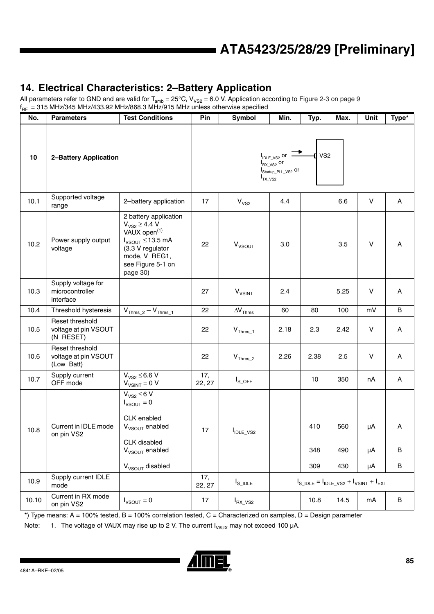## **14. Electrical Characteristics: 2–Battery Application**

All parameters refer to GND and are valid for  $T_{amb} = 25^{\circ}$ C, V<sub>VS2</sub> = 6.0 V. Application according to [Figure 2-3 on page 9](#page-8-0)  $f_{RF}$  = 315 MHz/345 MHz/433.92 MHz/868.3 MHz/915 MHz unless otherwise specified

| No.   | <b>Parameters</b>                                     | <b>Test Conditions</b>                                                                                                                                                     | Pin                                                                                                                   | Symbol                                                                                                                   | Min. | Typ.              | Max.              | Unit           | Type*       |
|-------|-------------------------------------------------------|----------------------------------------------------------------------------------------------------------------------------------------------------------------------------|-----------------------------------------------------------------------------------------------------------------------|--------------------------------------------------------------------------------------------------------------------------|------|-------------------|-------------------|----------------|-------------|
| 10    | 2-Battery Application                                 |                                                                                                                                                                            |                                                                                                                       | VS <sub>2</sub><br>$I_{\text{IDLE_VS2}}$ or<br>$I_{\mathsf{RX}\_\mathsf{VSZ}}$ or<br>Startup_PLL_VS2 Or<br>$I_{TX_1YS2}$ |      |                   |                   |                |             |
| 10.1  | Supported voltage<br>range                            | 2-battery application                                                                                                                                                      | 17                                                                                                                    | V <sub>VS2</sub>                                                                                                         | 4.4  |                   | 6.6               | V              | A           |
| 10.2  | Power supply output<br>voltage                        | 2 battery application<br>$V_{VS2} \ge 4.4 V$<br>VAUX open <sup>(1)</sup><br>$I_{VSOUT} \leq 13.5$ mA<br>(3.3 V regulator<br>mode, V_REG1,<br>see Figure 5-1 on<br>page 30) | 22                                                                                                                    | $V_{VSOUT}$                                                                                                              | 3.0  |                   | 3.5               | V              | Α           |
| 10.3  | Supply voltage for<br>microcontroller<br>interface    |                                                                                                                                                                            | 27                                                                                                                    | <b>V<sub>VSINT</sub></b>                                                                                                 | 2.4  |                   | 5.25              | V              | A           |
| 10.4  | Threshold hysteresis                                  | $V_{\text{Thres}\_2} - V_{\text{Thres}\_1}$                                                                                                                                | 22                                                                                                                    | $\Delta\rm{V}_{\rm{Thres}}$                                                                                              | 60   | 80                | 100               | mV             | B           |
| 10.5  | Reset threshold<br>voltage at pin VSOUT<br>(N_RESET)  |                                                                                                                                                                            | 22                                                                                                                    | $\mathsf{V}_{\mathsf{Thres}\_1}$                                                                                         | 2.18 | 2.3               | 2.42              | $\sf V$        | A           |
| 10.6  | Reset threshold<br>voltage at pin VSOUT<br>(Low_Batt) |                                                                                                                                                                            | 22                                                                                                                    | $V_{\text{Thres}\_2}$                                                                                                    | 2.26 | 2.38              | 2.5               | V              | A           |
| 10.7  | Supply current<br>OFF mode                            | $V_{VS2} \leq 6.6 V$<br>$V_{V SINT} = 0 V$                                                                                                                                 | 17,<br>22, 27                                                                                                         | $I_{S\_OFF}$                                                                                                             |      | 10                | 350               | nA             | A           |
| 10.8  | Current in IDLE mode<br>on pin VS2                    | $V_{VS2} \leq 6 V$<br>$I_{VSOUT} = 0$<br>CLK enabled<br>V <sub>VSOUT</sub> enabled<br>CLK disabled<br>V <sub>VSOUT</sub> enabled<br>$V_{VSOUT}$ disabled                   | 17                                                                                                                    | I <sub>IDLE_VS2</sub>                                                                                                    |      | 410<br>348<br>309 | 560<br>490<br>430 | μA<br>μA<br>μA | Α<br>B<br>B |
| 10.9  | Supply current IDLE<br>mode                           |                                                                                                                                                                            | 17,<br>$I_{S_$ IDLE = $I_{\text{IDLE}_\text{V}SS}$ + $I_{\text{VSINT}}$ + $I_{\text{EXT}}$<br>$I_{S\_IDLE}$<br>22, 27 |                                                                                                                          |      |                   |                   |                |             |
| 10.10 | Current in RX mode<br>on pin VS2                      | $I_{VSOUT} = 0$                                                                                                                                                            | 17                                                                                                                    | $I_{\text{RX}\_ \text{VS2}}$                                                                                             |      | 10.8              | 14.5              | mA             | B           |

 $*$ ) Type means: A = 100% tested, B = 100% correlation tested, C = Characterized on samples, D = Design parameter

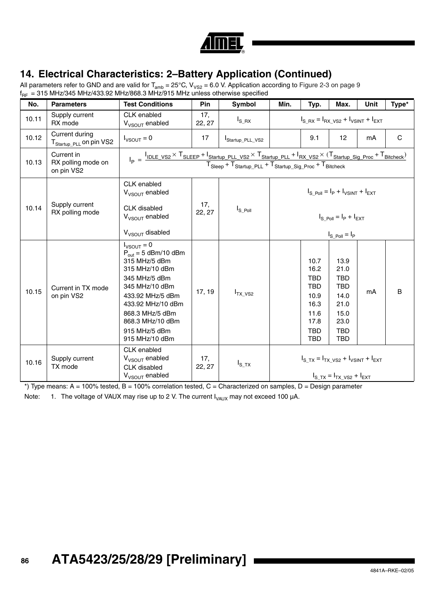

## **14. Electrical Characteristics: 2–Battery Application (Continued)**

All parameters refer to GND and are valid for T<sub>amb</sub> = 25°C, V<sub>VS2</sub> = 6.0 V. Application according to Figure 2-3 on page 9  $\rm{f_{RF}\, = 315}$  MHz/345 MHz/433.92 MHz/868.3 MHz/915 MHz unless otherwise specified

| No.   | <b>Parameters</b>                                     | <b>Test Conditions</b>                                                                                                                                                                                                                      | Pin           | Symbol          | Min.                                                                                                                                                                                                                                                                                                             | Typ.                                                                                                 | Max.                                                                                                 | <b>Unit</b> | Type* |
|-------|-------------------------------------------------------|---------------------------------------------------------------------------------------------------------------------------------------------------------------------------------------------------------------------------------------------|---------------|-----------------|------------------------------------------------------------------------------------------------------------------------------------------------------------------------------------------------------------------------------------------------------------------------------------------------------------------|------------------------------------------------------------------------------------------------------|------------------------------------------------------------------------------------------------------|-------------|-------|
| 10.11 | Supply current<br>RX mode                             | CLK enabled<br>V <sub>VSOUT</sub> enabled                                                                                                                                                                                                   | 17,<br>22, 27 | $I_{S_R}$       |                                                                                                                                                                                                                                                                                                                  |                                                                                                      | $I_{S RX} = I_{RX VS2} + I_{VSINT} + I_{EXT}$                                                        |             |       |
| 10.12 | Current during<br>T <sub>Startup_PLL</sub> on pin VS2 | $I_{VSOUT} = 0$                                                                                                                                                                                                                             | 17            | Startup_PLL_VS2 | 12<br>9.1<br>mA                                                                                                                                                                                                                                                                                                  |                                                                                                      |                                                                                                      |             | C     |
| 10.13 | Current in<br>RX polling mode on<br>on pin VS2        |                                                                                                                                                                                                                                             |               |                 | $I_p = \frac{I_{\text{IDLE\_V S2}} \times T_{\text{SLEEP}} + I_{\text{Startup\_PLL\_V S2}} \times T_{\text{Startup\_PLL}} + I_{\text{RX\_V S2}} \times (T_{\text{Startup\_Sig\_Proc}} + T_{\text{Bitcheck}})}{T_{\text{Sleep}} + T_{\text{Startup\_PLL}} + T_{\text{Startup\_Sig\_Proc}} + T_{\text{Bitcheck}}}$ |                                                                                                      |                                                                                                      |             |       |
| 10.14 | Supply current<br>RX polling mode                     | CLK enabled<br>$V_{V\text{SOLIT}}$ enabled<br><b>CLK</b> disabled<br>$V_{VSOUT}$ enabled<br>$V_{VSOUT}$ disabled                                                                                                                            | 17,<br>22, 27 | $I_{S\_Pol}$    | $I_{S. PoII} = I_P + I_{VSINT} + I_{EXT}$<br>$I_{\rm S\,~Poll} = I_{\rm P} + I_{\rm EXT}$<br>$I_{S_P}$ <sub>Doll</sub> = $I_P$                                                                                                                                                                                   |                                                                                                      |                                                                                                      |             |       |
| 10.15 | Current in TX mode<br>on pin VS2                      | $I_{VSOUT} = 0$<br>$P_{\text{out}} = 5$ dBm/10 dBm<br>315 MHz/5 dBm<br>315 MHz/10 dBm<br>345 MHz/5 dBm<br>345 MHz/10 dBm<br>433.92 MHz/5 dBm<br>433.92 MHz/10 dBm<br>868.3 MHz/5 dBm<br>868.3 MHz/10 dBm<br>915 MHz/5 dBm<br>915 MHz/10 dBm | 17, 19        | $I_{TX_VSS}$    |                                                                                                                                                                                                                                                                                                                  | 10.7<br>16.2<br><b>TBD</b><br><b>TBD</b><br>10.9<br>16.3<br>11.6<br>17.8<br><b>TBD</b><br><b>TBD</b> | 13.9<br>21.0<br><b>TBD</b><br><b>TBD</b><br>14.0<br>21.0<br>15.0<br>23.0<br><b>TBD</b><br><b>TBD</b> | mA          | B     |
| 10.16 | Supply current<br>TX mode                             | CLK enabled<br>$V_{VSOUT}$ enabled<br>CLK disabled<br>V <sub>VSOUT</sub> enabled                                                                                                                                                            | 17,<br>22, 27 | $I_{S\_TX}$     | $I_{S, TX} = I_{TX, VS2} + I_{VSINT} + I_{EXT}$<br>$I_{S, TX} = I_{TX, VS2} + I_{EXT}$                                                                                                                                                                                                                           |                                                                                                      |                                                                                                      |             |       |

\*) Type means: A = 100% tested, B = 100% correlation tested, C = Characterized on samples, D = Design parameter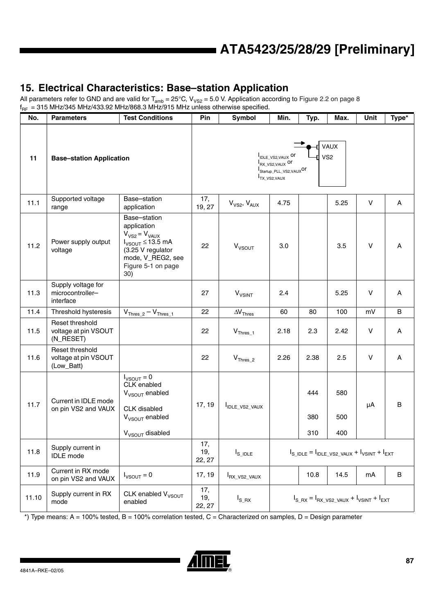## **15. Electrical Characteristics: Base–station Application**

All parameters refer to GND and are valid for  $T_{amb} = 25^{\circ}$ C, V<sub>VS2</sub> = 5.0 V. Application according to [Figure 2.2 on page 8](#page-7-0)  $f_{RF}$  = 315 MHz/345 MHz/433.92 MHz/868.3 MHz $\overline{2}$ 915 MHz unless otherwise specified.

| No.   | <b>Parameters</b>                                     | <b>Test Conditions</b>                                                                                                                                 | Pin                  | Symbol                                                                                                     | Min.                                                                  | Typ.              | Max.              | Unit   | Type* |
|-------|-------------------------------------------------------|--------------------------------------------------------------------------------------------------------------------------------------------------------|----------------------|------------------------------------------------------------------------------------------------------------|-----------------------------------------------------------------------|-------------------|-------------------|--------|-------|
| 11    | <b>Base-station Application</b>                       |                                                                                                                                                        |                      | VAUX<br>IDLE_VS2, VAUX Or<br>VS <sub>2</sub><br>RX_VS2, VAUX Or<br>Startup_PLL_VS2, VAUXOr<br>TX_VS2, VAUX |                                                                       |                   |                   |        |       |
| 11.1  | Supported voltage<br>range                            | Base-station<br>application                                                                                                                            | 17,<br>19, 27        | $V_{VS2}$ , $V_{AUX}$                                                                                      | 4.75                                                                  |                   | 5.25              | $\vee$ | A     |
| 11.2  | Power supply output<br>voltage                        | Base-station<br>application<br>$V_{VS2} = V_{VAUX}$<br>$I_{VSOUT} \leq 13.5$ mA<br>(3.25 V regulator<br>mode, V_REG2, see<br>Figure 5-1 on page<br>30) | 22                   | $V_{VSOUT}$                                                                                                | 3.0                                                                   |                   | 3.5               | $\vee$ | A     |
| 11.3  | Supply voltage for<br>microcontroller-<br>interface   |                                                                                                                                                        | 27                   | $V_{VSINT}$                                                                                                | 2.4                                                                   |                   | 5.25              | $\vee$ | A     |
| 11.4  | Threshold hysteresis                                  | $V_{\text{Thres}\_2} - V_{\text{Thres}\_1}$                                                                                                            | 22                   | $\Delta V$ <sub>Thres</sub>                                                                                | 60                                                                    | 80                | 100               | mV     | B     |
| 11.5  | Reset threshold<br>voltage at pin VSOUT<br>(N_RESET)  |                                                                                                                                                        | 22                   | $V_{\text{Thres}\_1}$                                                                                      | 2.18                                                                  | 2.3               | 2.42              | $\vee$ | Α     |
| 11.6  | Reset threshold<br>voltage at pin VSOUT<br>(Low_Batt) |                                                                                                                                                        | 22                   | $V_{\text{Thres}\_2}$                                                                                      | 2.26                                                                  | 2.38              | 2.5               | $\vee$ | Α     |
| 11.7  | Current in IDLE mode<br>on pin VS2 and VAUX           | $I_{VSOUT} = 0$<br>CLK enabled<br>V <sub>VSOUT</sub> enabled<br>CLK disabled<br>$V_{VSOUT}$ enabled<br>$V_{VSOUT}$ disabled                            | 17, 19               | I <sub>IDLE_VS2_VAUX</sub>                                                                                 |                                                                       | 444<br>380<br>310 | 580<br>500<br>400 | μA     | B     |
| 11.8  | Supply current in<br><b>IDLE</b> mode                 |                                                                                                                                                        | 17,<br>19,<br>22, 27 | $I_{S\_IDLE}$                                                                                              | $I_{S\_IDLE} = I_{IDLE\_V S2\_VAUX} + I_{VSINT} + I_{EXT}$            |                   |                   |        |       |
| 11.9  | Current in RX mode<br>on pin VS2 and VAUX             | $I_{VSOUT} = 0$                                                                                                                                        | 17, 19               | RX_VS2_VAUX                                                                                                |                                                                       | 10.8              | 14.5              | mA     | B     |
| 11.10 | Supply current in RX<br>mode                          | CLK enabled V <sub>VSOUT</sub><br>enabled                                                                                                              | 17,<br>19,<br>22, 27 | $I_{\rm S\_RX}$                                                                                            | $I_{S_R}$ = $I_{RX_V}$ vs <sub>2_VAUX</sub> + $I_{VSINT}$ + $I_{EXT}$ |                   |                   |        |       |

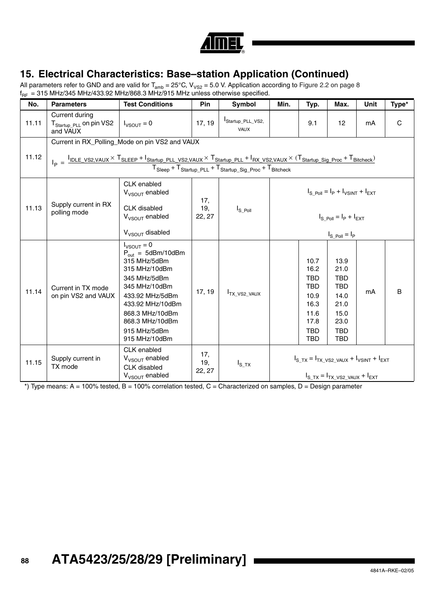

## **15. Electrical Characteristics: Base–station Application (Continued)**

All parameters refer to GND and are valid for T<sub>amb</sub> = 25°C, V<sub>VS2</sub> = 5.0 V. Application according to Figure 2.2 on page 8  $\rm{f_{RF}\, = 315}$  MHz/345 MHz/433.92 MHz/868.3 MHz/915 MHz unless otherwise specified.

| No.   | <b>Parameters</b>                                                 | <b>Test Conditions</b>                                                                                                                                                                                                            | Pin                  | <b>Symbol</b>                                                          | Min.                                                                                                                                                                                                                                               | Typ.                                                                                                 | Max.                                                                                                 | Unit                                                                  | Type* |  |
|-------|-------------------------------------------------------------------|-----------------------------------------------------------------------------------------------------------------------------------------------------------------------------------------------------------------------------------|----------------------|------------------------------------------------------------------------|----------------------------------------------------------------------------------------------------------------------------------------------------------------------------------------------------------------------------------------------------|------------------------------------------------------------------------------------------------------|------------------------------------------------------------------------------------------------------|-----------------------------------------------------------------------|-------|--|
| 11.11 | Current during<br>$T_{\text{Startup PLL}}$ on pin VS2<br>and VAUX | $I_{VSOUT} = 0$                                                                                                                                                                                                                   | 17, 19               | Startup_PLL_VS2,<br>VAUX                                               |                                                                                                                                                                                                                                                    | 9.1                                                                                                  | 12                                                                                                   | mA                                                                    | C     |  |
| 11.12 |                                                                   | Current in RX_Polling_Mode on pin VS2 and VAUX                                                                                                                                                                                    |                      | $T_{Sleep} + T_{Startup\_PLL} + T_{Startup\_Sig\_Proc} + T_{Bitcheck}$ | $I_{\mathsf{D}} = \frac{I_{\mathsf{IDLE\_VSZ,VAUX}} \times T_{\mathsf{SLEEP}} + I_{\mathsf{Startup\_PLL\_VSZ,VAUX}} \times T_{\mathsf{Startup\_PLL}} + I_{\mathsf{RX\_VSZ,VAUX}} \times (T_{\mathsf{Startup\_Sig\_Proc}} + T_{\mathsf{Bitcheck}})$ |                                                                                                      |                                                                                                      |                                                                       |       |  |
| 11.13 | Supply current in RX<br>polling mode                              | CLK enabled<br>$V_{VSOUT}$ enabled<br><b>CLK</b> disabled<br>V <sub>VSOUT</sub> enabled<br>$V_{VSOUT}$ disabled                                                                                                                   | 17,<br>19,<br>22, 27 | $I_{S_P}$ <sub>Oll</sub>                                               | $I_S_{P0II} = I_P + I_{VSINT} + I_{EXT}$<br>$I_{S. Poli} = I_P + I_{EXT}$<br>$I_{S_P}$ <sub>Oll</sub> = $I_P$                                                                                                                                      |                                                                                                      |                                                                                                      |                                                                       |       |  |
| 11.14 | Current in TX mode<br>on pin VS2 and VAUX                         | $I_{VSOUT} = 0$<br>$P_{\text{out}} = 5$ dBm/10dBm<br>315 MHz/5dBm<br>315 MHz/10dBm<br>345 MHz/5dBm<br>345 MHz/10dBm<br>433.92 MHz/5dBm<br>433.92 MHz/10dBm<br>868.3 MHz/10dBm<br>868.3 MHz/10dBm<br>915 MHz/5dBm<br>915 MHz/10dBm | 17, 19               | <sup>I</sup> TX VS2 VAUX                                               |                                                                                                                                                                                                                                                    | 10.7<br>16.2<br><b>TBD</b><br><b>TBD</b><br>10.9<br>16.3<br>11.6<br>17.8<br><b>TBD</b><br><b>TBD</b> | 13.9<br>21.0<br><b>TBD</b><br><b>TBD</b><br>14.0<br>21.0<br>15.0<br>23.0<br><b>TBD</b><br><b>TBD</b> | mA                                                                    | B     |  |
| 11.15 | Supply current in<br>TX mode                                      | CLK enabled<br>$V_{VSOUT}$ enabled<br><b>CLK</b> disabled<br>V <sub>VSOUT</sub> enabled                                                                                                                                           | 17,<br>19,<br>22, 27 | $I_{S_T X}$                                                            |                                                                                                                                                                                                                                                    |                                                                                                      | $I_{S, TX} = I_{TX, VS2, VAUX} + I_{EXT}$                                                            | $I_{\rm S, TX} = I_{\rm TX, VSZ, VAUX} + I_{\rm VSINT} + I_{\rm EXT}$ |       |  |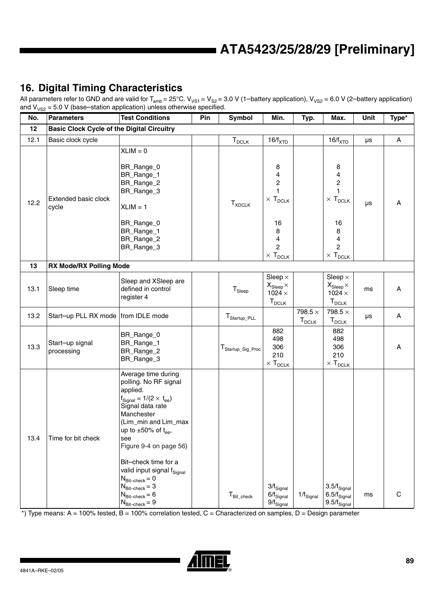## **16. Digital Timing Characteristics**

All parameters refer to GND and are valid for T<sub>amb</sub> = 25°C.  $V_{VS1}$  =  $V_{S2}$  = 3.0 V (1–battery application),  $V_{VS2}$  = 6.0 V (2–battery application) and  $V_{VSS}$  = 5.0 V (base–station application) unless otherwise specified.

| ےت ∨<br>No. | <b>Parameters</b>                                 | <b>Test Conditions</b>                                                                                                                                                                                                                                                                                                                                                                                                                     | Pin | Symbol                        | Min.                                                                                                  | Typ.                         | Max.                                                                                                  | Unit | Type*       |
|-------------|---------------------------------------------------|--------------------------------------------------------------------------------------------------------------------------------------------------------------------------------------------------------------------------------------------------------------------------------------------------------------------------------------------------------------------------------------------------------------------------------------------|-----|-------------------------------|-------------------------------------------------------------------------------------------------------|------------------------------|-------------------------------------------------------------------------------------------------------|------|-------------|
| 12          | <b>Basic Clock Cycle of the Digital Circuitry</b> |                                                                                                                                                                                                                                                                                                                                                                                                                                            |     |                               |                                                                                                       |                              |                                                                                                       |      |             |
| 12.1        | Basic clock cycle                                 |                                                                                                                                                                                                                                                                                                                                                                                                                                            |     | $\mathsf{T}_{\mathsf{DCLK}}$  | $16/f_{\text{XTO}}$                                                                                   |                              | $16/f_{\text{XTO}}$                                                                                   | μs   | A           |
|             | Extended basic clock                              | $XLIM = 0$<br>BR_Range_0<br>BR_Range_1<br>BR_Range_2<br>BR_Range_3                                                                                                                                                                                                                                                                                                                                                                         |     |                               | 8<br>4<br>$\overline{\mathbf{c}}$<br>$\mathbf{1}$                                                     |                              | 8<br>4<br>$\overline{\mathbf{c}}$<br>$\mathbf{1}$                                                     |      |             |
| 12.2        | cycle                                             | $XLIM = 1$<br>BR_Range_0<br>BR_Range_1<br>BR_Range_2<br>BR_Range_3                                                                                                                                                                                                                                                                                                                                                                         |     | $\mathsf{T}_{\mathsf{XDCLK}}$ | $\times$ $\mathsf{T}_{\mathsf{DCLK}}$<br>16<br>8<br>4<br>$\overline{c}$<br>$\times$ T <sub>DCLK</sub> |                              | $\times$ $\mathsf{T}_{\mathsf{DCLK}}$<br>16<br>8<br>4<br>$\overline{c}$<br>$\times$ T <sub>DCLK</sub> | μs   | A           |
| 13          | <b>RX Mode/RX Polling Mode</b>                    |                                                                                                                                                                                                                                                                                                                                                                                                                                            |     |                               |                                                                                                       |                              |                                                                                                       |      |             |
| 13.1        | Sleep time                                        | Sleep and XSleep are<br>defined in control<br>register 4                                                                                                                                                                                                                                                                                                                                                                                   |     | ${\sf T}_{\sf Sleep}$         | Sleep $\times$<br>$X_{Sleep} \times$<br>$1024 \times$<br>$T_{DCLK}$                                   |                              | Sleep $\times$<br>$X_{\text{Sleep}} \times$<br>$1024 \times$<br>$T_{DCLK}$                            | ms   | Α           |
| 13.2        | Start-up PLL RX mode   from IDLE mode             |                                                                                                                                                                                                                                                                                                                                                                                                                                            |     | $T_{\text{Startup\_PLL}}$     |                                                                                                       | 798.5 $\times$<br>$T_{DCLK}$ | 798.5 $\times$<br>$T_{DCLK}$                                                                          | μs   | Α           |
| 13.3        | Start-up signal<br>processing                     | BR_Range_0<br>BR_Range_1<br>BR_Range_2<br>BR_Range_3                                                                                                                                                                                                                                                                                                                                                                                       |     | T <sub>Startup_Sig_Proc</sub> | 882<br>498<br>306<br>210<br>$\times T_{DCLK}$                                                         |                              | 882<br>498<br>306<br>210<br>$\times$ T <sub>DCLK</sub>                                                |      | Α           |
| 13.4        | Time for bit check                                | Average time during<br>polling. No RF signal<br>applied.<br>$f_{\text{Signal}} = 1/(2 \times t_{\text{ee}})$<br>Signal data rate<br>Manchester<br>(Lim_min and Lim_max<br>up to $\pm 50\%$ of t <sub>ee</sub> ,<br>see<br>Figure 9-4 on page 56)<br>Bit-check time for a<br>valid input signal f <sub>Signal</sub><br>$N_{\text{Bit–check}} = 0$<br>$N_{\text{Bit–check}} = 3$<br>$N_{\text{Bit-check}} = 6$<br>$N_{\text{Bit-check}} = 9$ |     | ${\sf T}_{\sf Bit\_check}$    | $3/f_{\rm Signal}$<br>$6/f_{\rm Signal}$<br>$9/f_{\text{Signal}}$                                     | $1/f_{\rm Signal}$           | $3.5/f_{\text{Signal}}$<br>$6.5/f_{\text{Signal}}$<br>$9.5/f_{\text{Signal}}$                         | ms   | $\mathbf C$ |

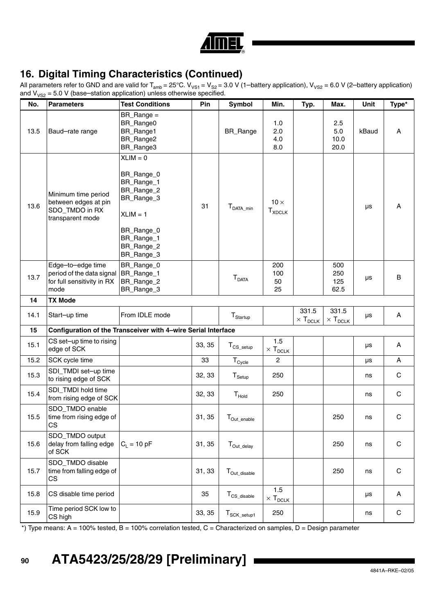|  | Â |
|--|---|

## **16. Digital Timing Characteristics (Continued)**

All parameters refer to GND and are valid for T<sub>amb</sub> = 25°C.  $V_{VS1}$  =  $V_{S2}$  = 3.0 V (1–battery application),  $V_{VS2}$  = 6.0 V (2–battery application) and  $V_{VSS}$  = 5.0 V (base–station application) unless otherwise specified. 

| No.  | <b>Parameters</b>                                                                               | <b>Test Conditions</b>                                                                                                                   | Pin    | Symbol                   | Min.                                         | Typ.                                           | Max.                                | Unit  | Type*       |
|------|-------------------------------------------------------------------------------------------------|------------------------------------------------------------------------------------------------------------------------------------------|--------|--------------------------|----------------------------------------------|------------------------------------------------|-------------------------------------|-------|-------------|
| 13.5 | Baud-rate range                                                                                 | $BR\_Range =$<br>BR_Range0<br>BR_Range1<br>BR_Range2<br>BR_Range3                                                                        |        | BR_Range                 | 1.0<br>2.0<br>4.0<br>8.0                     |                                                | 2.5<br>5.0<br>10.0<br>20.0          | kBaud | Α           |
| 13.6 | Minimum time period<br>between edges at pin<br>SDO_TMDO in RX<br>transparent mode               | $XLIM = 0$<br>BR_Range_0<br>BR_Range_1<br>BR_Range_2<br>BR_Range_3<br>$XLIM = 1$<br>BR_Range_0<br>BR_Range_1<br>BR_Range_2<br>BR_Range_3 | 31     | $T_{DATA\_min}$          | $10 \times$<br>$\mathsf{T}_{\mathsf{XDCLK}}$ |                                                |                                     | μs    | A           |
| 13.7 | Edge-to-edge time<br>period of the data signal BR_Range_1<br>for full sensitivity in RX<br>mode | BR_Range_0<br>BR_Range_2<br>BR_Range_3                                                                                                   |        | $T_{DATA}$               | 200<br>100<br>50<br>25                       |                                                | 500<br>250<br>125<br>62.5           | μs    | $\sf B$     |
| 14   | <b>TX Mode</b>                                                                                  |                                                                                                                                          |        |                          |                                              |                                                |                                     |       |             |
| 14.1 | Start-up time                                                                                   | From IDLE mode                                                                                                                           |        | $T_{\text{Startup}}$     |                                              | 331.5<br>$\times$ $\mathsf{T}_{\mathsf{DCLK}}$ | 331.5<br>$\times$ T <sub>DCLK</sub> | μs    | Α           |
| 15   |                                                                                                 | Configuration of the Transceiver with 4-wire Serial Interface                                                                            |        |                          |                                              |                                                |                                     |       |             |
| 15.1 | CS set-up time to rising<br>edge of SCK                                                         |                                                                                                                                          | 33, 35 | $T_{CS\_setup}$          | 1.5<br>$\times$ $\mathsf{T}_{\mathsf{DCLK}}$ |                                                |                                     | μs    | Α           |
| 15.2 | SCK cycle time                                                                                  |                                                                                                                                          | 33     | $T_{\text{Cycle}}$       | $\overline{2}$                               |                                                |                                     | μs    | A           |
| 15.3 | SDI_TMDI set-up time<br>to rising edge of SCK                                                   |                                                                                                                                          | 32, 33 | $T_{\text{Setup}}$       | 250                                          |                                                |                                     | ns    | $\mathsf C$ |
| 15.4 | SDI_TMDI hold time<br>from rising edge of SCK                                                   |                                                                                                                                          | 32, 33 | $T_{\text{Hold}}$        | 250                                          |                                                |                                     | ns    | $\mathsf C$ |
| 15.5 | SDO_TMDO enable<br>time from rising edge of<br>CS.                                              |                                                                                                                                          | 31, 35 | T <sub>Out_enable</sub>  |                                              |                                                | 250                                 | ns    | $\mathbf C$ |
| 15.6 | SDO_TMDO output<br>delay from falling edge<br>of SCK                                            | $C_1 = 10 pF$                                                                                                                            | 31, 35 | $T_{Out\_delay}$         |                                              |                                                | 250                                 | ns    | $\mathsf C$ |
| 15.7 | SDO_TMDO disable<br>time from falling edge of<br>CS                                             |                                                                                                                                          | 31, 33 | T <sub>Out_disable</sub> |                                              |                                                | 250                                 | ns    | $\mathsf C$ |
| 15.8 | CS disable time period                                                                          |                                                                                                                                          | 35     | $T_{CS\_disable}$        | 1.5<br>$\times$ $\mathsf{T}_{\mathsf{DCLK}}$ |                                                |                                     | μs    | A           |
| 15.9 | Time period SCK low to<br>CS high                                                               |                                                                                                                                          | 33, 35 | $T_{\text{SCK\_setup1}}$ | 250                                          |                                                |                                     | ns    | $\mathsf C$ |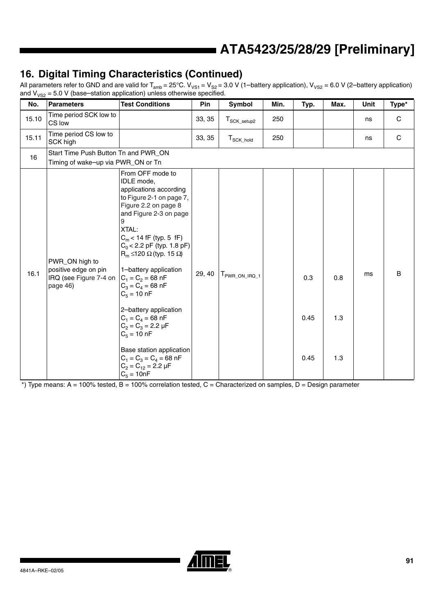## **16. Digital Timing Characteristics (Continued)**

All parameters refer to GND and are valid for T<sub>amb</sub> = 25°C.  $V_{VS1}$  =  $V_{S2}$  = 3.0 V (1–battery application),  $V_{VS2}$  = 6.0 V (2–battery application) and  $V_{VSS}$  = 5.0 V (base–station application) unless otherwise specified.

| No.   | <b>Parameters</b>                                                            | <b>Test Conditions</b>                                                                                                                                                                                                                                                                                                                                                                                                                                                                                                                                          | Pin    | Symbol                    | Min. | Typ.                | Max.              | Unit | Type*       |
|-------|------------------------------------------------------------------------------|-----------------------------------------------------------------------------------------------------------------------------------------------------------------------------------------------------------------------------------------------------------------------------------------------------------------------------------------------------------------------------------------------------------------------------------------------------------------------------------------------------------------------------------------------------------------|--------|---------------------------|------|---------------------|-------------------|------|-------------|
| 15.10 | Time period SCK low to<br>CS low                                             |                                                                                                                                                                                                                                                                                                                                                                                                                                                                                                                                                                 | 33, 35 | $T_{\text{SCK\_setup2}}$  | 250  |                     |                   | ns   | $\mathbf C$ |
| 15.11 | Time period CS low to<br>SCK high                                            |                                                                                                                                                                                                                                                                                                                                                                                                                                                                                                                                                                 | 33, 35 | $T_{\text{SCK\_hold}}$    | 250  |                     |                   | ns   | C           |
| 16    | Start Time Push Button Tn and PWR_ON                                         |                                                                                                                                                                                                                                                                                                                                                                                                                                                                                                                                                                 |        |                           |      |                     |                   |      |             |
|       | Timing of wake-up via PWR_ON or Tn                                           |                                                                                                                                                                                                                                                                                                                                                                                                                                                                                                                                                                 |        |                           |      |                     |                   |      |             |
| 16.1  | PWR_ON high to<br>positive edge on pin<br>IRQ (see Figure 7-4 on<br>page 46) | From OFF mode to<br><b>IDLE</b> mode,<br>applications according<br>to Figure 2-1 on page 7,<br>Figure 2.2 on page 8<br>and Figure 2-3 on page<br>9<br>XTAL:<br>$C_m$ < 14 fF (typ. 5 fF)<br>$C_0$ < 2.2 pF (typ. 1.8 pF)<br>$R_m \le 120 \Omega$ (typ. 15 $\Omega$ )<br>1-battery application<br>$C_1 = C_2 = 68$ nF<br>$C_3 = C_4 = 68$ nF<br>$C_5 = 10 nF$<br>2-battery application<br>$C_1 = C_4 = 68$ nF<br>$C_2 = C_3 = 2.2 \mu F$<br>$C_5 = 10 nF$<br>Base station application<br>$C_1 = C_3 = C_4 = 68$ nF<br>$C_2 = C_{12} = 2.2 \mu F$<br>$C_5 = 10nF$ | 29, 40 | T <sub>PWR_ON_IRQ_1</sub> |      | 0.3<br>0.45<br>0.45 | 0.8<br>1.3<br>1.3 | ms   | B           |

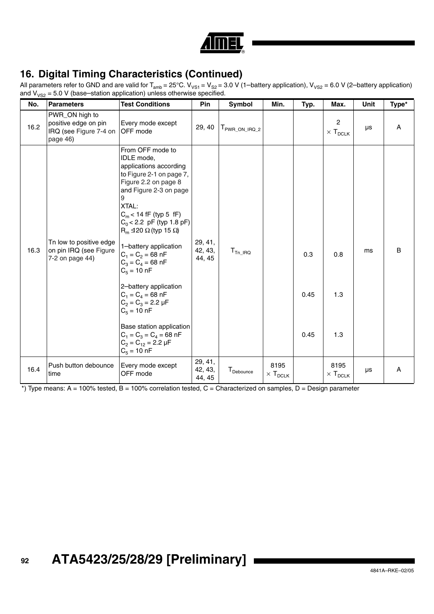|  |  | н |
|--|--|---|

## **16. Digital Timing Characteristics (Continued)**

All parameters refer to GND and are valid for T<sub>amb</sub> = 25°C.  $V_{VS1}$  =  $V_{S2}$  = 3.0 V (1–battery application),  $V_{VS2}$  = 6.0 V (2–battery application) and  $V_{VSS}$  = 5.0 V (base–station application) unless otherwise specified.

| No.  | <b>Parameters</b>                                                            | <b>Test Conditions</b>                                                                                                                                                                                                                                                                                                                                                                                                                                                                                                                                            | Pin                          | <b>Symbol</b>  | Min.                                  | Typ.                | Max.                               | Unit | Type* |
|------|------------------------------------------------------------------------------|-------------------------------------------------------------------------------------------------------------------------------------------------------------------------------------------------------------------------------------------------------------------------------------------------------------------------------------------------------------------------------------------------------------------------------------------------------------------------------------------------------------------------------------------------------------------|------------------------------|----------------|---------------------------------------|---------------------|------------------------------------|------|-------|
| 16.2 | PWR_ON high to<br>positive edge on pin<br>IRQ (see Figure 7-4 on<br>page 46) | Every mode except<br><b>OFF</b> mode                                                                                                                                                                                                                                                                                                                                                                                                                                                                                                                              | 29, 40                       | FWR ON IRQ 2   |                                       |                     | 2<br>$\times$ T <sub>DCLK</sub>    | μs   | A     |
| 16.3 | Tn low to positive edge<br>on pin IRQ (see Figure<br>7-2 on page 44)         | From OFF mode to<br>IDLE mode,<br>applications according<br>to Figure 2-1 on page 7,<br>Figure 2.2 on page 8<br>and Figure 2-3 on page<br>9<br>XTAL:<br>$C_m$ < 14 fF (typ 5 fF)<br>$C_0$ < 2.2 pF (typ 1.8 pF)<br>$R_m \trianglelefteq 20 \Omega$ (typ 15 $\Omega$ )<br>1-battery application<br>$C_1 = C_2 = 68$ nF<br>$C_3 = C_4 = 68$ nF<br>$C_5 = 10$ nF<br>2-battery application<br>$C_1 = C_4 = 68$ nF<br>$C_2 = C_3 = 2.2 \mu F$<br>$C_5 = 10$ nF<br>Base station application<br>$C_1 = C_3 = C_4 = 68$ nF<br>$C_2 = C_{12} = 2.2 \mu F$<br>$C_5 = 10 nF$ | 29, 41,<br>42, 43,<br>44, 45 | $T_{Tn\_IRQ}$  |                                       | 0.3<br>0.45<br>0.45 | 0.8<br>1.3<br>1.3                  | ms   | B     |
| 16.4 | Push button debounce<br>time                                                 | Every mode except<br>OFF mode                                                                                                                                                                                                                                                                                                                                                                                                                                                                                                                                     | 29, 41,<br>42, 43,<br>44, 45 | $T_{Debounce}$ | 8195<br>$\times$ ${\sf T}_{\sf DCLK}$ |                     | 8195<br>$\times$ T <sub>DCLK</sub> | μs   | Α     |

 $*$ ) Type means: A = 100% tested, B = 100% correlation tested, C = Characterized on samples, D = Design parameter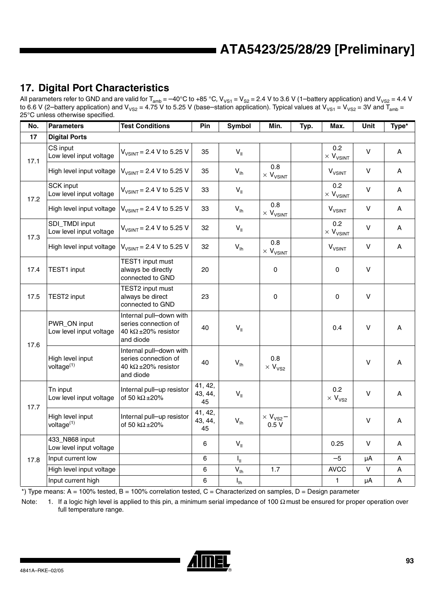## **17. Digital Port Characteristics**

All parameters refer to GND and are valid for T<sub>amb</sub> = –40°C to +85 °C, V<sub>VS1</sub> = V<sub>S2</sub> = 2.4 V to 3.6 V (1–battery application) and V<sub>VS2</sub> = 4.4 V to 6.6 V (2–battery application) and V<sub>VS2</sub> = 4.75 V to 5.25 V (base–station application). Typical values at V<sub>VS1</sub> = V<sub>VS2</sub> = 3V and T<sub>amb</sub> = 25°C unless otherwise specified.

| No.  | <b>Parameters</b>                           | <b>Test Conditions</b>                                                                      | Pin                      | Symbol          | Min.                                 | Typ. | Max.                                 | Unit         | Type* |
|------|---------------------------------------------|---------------------------------------------------------------------------------------------|--------------------------|-----------------|--------------------------------------|------|--------------------------------------|--------------|-------|
| 17   | <b>Digital Ports</b>                        |                                                                                             |                          |                 |                                      |      |                                      |              |       |
| 17.1 | CS input<br>Low level input voltage         | $V_{VSINT} = 2.4 V to 5.25 V$                                                               | 35                       | $V_{\parallel}$ |                                      |      | 0.2<br>$\times$ $V_{V S INT}$        | V            | Α     |
|      | High level input voltage                    | $V_{V SINT}$ = 2.4 V to 5.25 V                                                              | 35                       | $V_{\text{lh}}$ | 0.8<br>$\times$ $V_{\text{VSINT}}$   |      | <b>V<sub>VSINT</sub></b>             | $\mathsf{V}$ | A     |
| 17.2 | <b>SCK input</b><br>Low level input voltage | $V_{VSINT} = 2.4 V$ to 5.25 V                                                               | 33                       | $V_{\parallel}$ |                                      |      | 0.2<br>$\times$ $\rm V_{\rm V SINT}$ | $\vee$       | A     |
|      | High level input voltage                    | $V_{V SINT}$ = 2.4 V to 5.25 V                                                              | 33                       | $V_{\text{lh}}$ | 0.8<br>$\times$ $\rm V_{\rm V SINT}$ |      | <b>V<sub>VSINT</sub></b>             | V            | Α     |
| 17.3 | SDI_TMDI input<br>Low level input voltage   | $V_{V SINT}$ = 2.4 V to 5.25 V                                                              | 32                       | $V_{\parallel}$ |                                      |      | 0.2<br>$\times$ $V_{\text{VSINT}}$   | $\mathsf{V}$ | Α     |
|      | High level input voltage                    | $V_{VSINT} = 2.4 V$ to 5.25 V                                                               | 32                       | $V_{lh}$        | 0.8<br>$\times$ $V_{V S INT}$        |      | <b>V<sub>VSINT</sub></b>             | $\vee$       | A     |
| 17.4 | <b>TEST1</b> input                          | TEST1 input must<br>always be directly<br>connected to GND                                  | 20                       |                 | 0                                    |      | 0                                    | $\vee$       |       |
| 17.5 | TEST2 input                                 | TEST2 input must<br>always be direct<br>connected to GND                                    | 23                       |                 | 0                                    |      | 0                                    | $\mathsf{V}$ |       |
| 17.6 | PWR_ON input<br>Low level input voltage     | Internal pull-down with<br>series connection of<br>40 k $\Omega$ ±20% resistor<br>and diode | 40                       | $V_{II}$        |                                      |      | 0.4                                  | $\vee$       | Α     |
|      | High level input<br>voltage <sup>(1)</sup>  | Internal pull-down with<br>series connection of<br>40 k $\Omega$ ±20% resistor<br>and diode | 40                       | $V_{\text{lh}}$ | 0.8<br>$\times$ $V_{VS2}$            |      |                                      | $\vee$       | A     |
| 17.7 | Tn input<br>Low level input voltage         | Internal pull-up resistor<br>of 50 k $\Omega$ ±20%                                          | 41, 42,<br>43, 44,<br>45 | $V_{\parallel}$ |                                      |      | 0.2<br>$\times$ $V_{VS2}$            | V            | Α     |
|      | High level input<br>voltage <sup>(1)</sup>  | Internal pull-up resistor<br>of 50 k $\Omega$ ±20%                                          | 41, 42,<br>43, 44,<br>45 | $V_{\text{lh}}$ | $\times$ V <sub>VS2</sub> -<br>0.5V  |      |                                      | $\mathsf{V}$ | Α     |
|      | 433_N868 input<br>Low level input voltage   |                                                                                             | 6                        | $V_{\parallel}$ |                                      |      | 0.25                                 | $\mathsf{V}$ | Α     |
| 17.8 | Input current low                           |                                                                                             | 6                        | $I_{\rm H}$     |                                      |      | $-5$                                 | μA           | A     |
|      | High level input voltage                    |                                                                                             | 6                        | $V_{\text{lh}}$ | 1.7                                  |      | <b>AVCC</b>                          | V            | А     |
|      | Input current high                          |                                                                                             | 6                        | $I_{\text{lh}}$ |                                      |      | $\mathbf{1}$                         | μA           | A     |

 $*$ ) Type means: A = 100% tested, B = 100% correlation tested, C = Characterized on samples, D = Design parameter

Note: 1. If a logic high level is applied to this pin, a minimum serial impedance of 100 Ω must be ensured for proper operation over full temperature range.

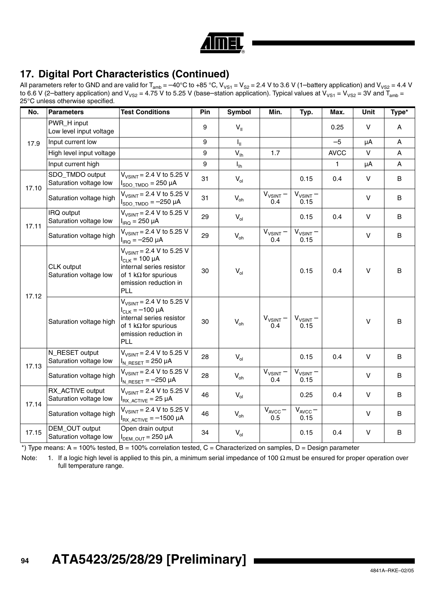

## **17. Digital Port Characteristics (Continued)**

All parameters refer to GND and are valid for T<sub>amb</sub> = –40°C to +85 °C, V<sub>VS1</sub> = V<sub>S2</sub> = 2.4 V to 3.6 V (1–battery application) and V<sub>VS2</sub> = 4.4 V to 6.6 V (2–battery application) and V<sub>VS2</sub> = 4.75 V to 5.25 V (base–station application). Typical values at V<sub>VS1</sub> = V<sub>VS2</sub> = 3V and T<sub>amb</sub> = 25°C unless otherwise specified.

| No.   | <b>Parameters</b>                          | <b>Test Conditions</b>                                                                                                                              | Pin | <b>Symbol</b>   | Min.                      | Typ.                       | Max.         | <b>Unit</b>  | Type* |
|-------|--------------------------------------------|-----------------------------------------------------------------------------------------------------------------------------------------------------|-----|-----------------|---------------------------|----------------------------|--------------|--------------|-------|
| 17.9  | PWR_H input<br>Low level input voltage     |                                                                                                                                                     | 9   | $V_{\parallel}$ |                           |                            | 0.25         | $\vee$       | A     |
|       | Input current low                          |                                                                                                                                                     | 9   | $I_{\rm H}$     |                           |                            | $-5$         | μA           | A     |
|       | High level input voltage                   |                                                                                                                                                     | 9   | $V_{\text{lh}}$ | 1.7                       |                            | <b>AVCC</b>  | $\vee$       | A     |
|       | Input current high                         |                                                                                                                                                     | 9   | $I_{\text{In}}$ |                           |                            | $\mathbf{1}$ | μA           | A     |
| 17.10 | SDO_TMDO output<br>Saturation voltage low  | $V_{VSINT}$ = 2.4 V to 5.25 V<br>$I_{SDO TMDO} = 250 \mu A$                                                                                         | 31  | $V_{ol}$        |                           | 0.15                       | 0.4          | $\vee$       | B     |
|       | Saturation voltage high                    | $V_{V SINT}$ = 2.4 V to 5.25 V<br>$I_{SDO\_TMDO} = -250 \mu A$                                                                                      | 31  | $V_{oh}$        | $V_{VSINT}$ -<br>0.4      | $V_{VSINT}$ -<br>0.15      |              | $\vee$       | B     |
| 17.11 | IRQ output<br>Saturation voltage low       | $V_{V SINT} = 2.4 V to 5.25 V$<br>$I_{\text{IRQ}} = 250 \mu A$                                                                                      | 29  | $V_{ol}$        |                           | 0.15                       | 0.4          | $\vee$       | B     |
|       | Saturation voltage high                    | $V_{VSINT} = 2.4 V$ to 5.25 V<br>$I_{IRQ} = -250 \mu A$                                                                                             | 29  | $V_{oh}$        | $V_{VSINT}$ -<br>0.4      | $V_{VSINT}$ -<br>0.15      |              | $\vee$       | B     |
| 17.12 | CLK output<br>Saturation voltage low       | $V_{V SINT}$ = 2.4 V to 5.25 V<br>$I_{CLK}$ = 100 µA<br>internal series resistor<br>of 1 k $\Omega$ for spurious<br>emission reduction in<br>PLL    | 30  | $V_{ol}$        |                           | 0.15                       | 0.4          | $\vee$       | B     |
|       | Saturation voltage high                    | $V_{VSINT}$ = 2.4 V to 5.25 V<br>$I_{CLK} = -100 \mu A$<br>internal series resistor<br>of 1 k $\Omega$ for spurious<br>emission reduction in<br>PLL | 30  | $V_{oh}$        | $V_{VSINT}$ -<br>0.4      | $V_{VSINT}$ –<br>0.15      |              | $\vee$       | B     |
| 17.13 | N_RESET output<br>Saturation voltage low   | $V_{V SINT}$ = 2.4 V to 5.25 V<br>$I_{N\_RESET} = 250 \mu A$                                                                                        | 28  | $V_{ol}$        |                           | 0.15                       | 0.4          | $\vee$       | B     |
|       | Saturation voltage high                    | $V_{V SINT}$ = 2.4 V to 5.25 V<br>$I_{N\_RESET} = -250 \mu A$                                                                                       | 28  | $V_{oh}$        | $V_{VSINT}$ -<br>0.4      | $V_{VSINT}$ -<br>0.15      |              | $\mathsf{V}$ | B     |
| 17.14 | RX_ACTIVE output<br>Saturation voltage low | $V_{V SINT}$ = 2.4 V to 5.25 V<br>$I_{RX \, ACTIVE}$ = 25 µA                                                                                        | 46  | $V_{ol}$        |                           | 0.25                       | 0.4          | $\mathsf{V}$ | B     |
|       | Saturation voltage high                    | $V_{V SINT}$ = 2.4 V to 5.25 V<br>$I_{RX\_ACTIVE} = -1500 \mu A$                                                                                    | 46  | $V_{oh}$        | $V_{\text{AVCC}}-$<br>0.5 | $V_{\text{AVCC}}-$<br>0.15 |              | V            | B     |
| 17.15 | DEM_OUT output<br>Saturation voltage low   | Open drain output<br>$I_{DEM\_OUT} = 250 \mu A$                                                                                                     | 34  | $V_{ol}$        |                           | 0.15                       | 0.4          | V            | B     |

 $*$ ) Type means: A = 100% tested, B = 100% correlation tested, C = Characterized on samples, D = Design parameter

Note: 1. If a logic high level is applied to this pin, a minimum serial impedance of 100 Ω must be ensured for proper operation over full temperature range.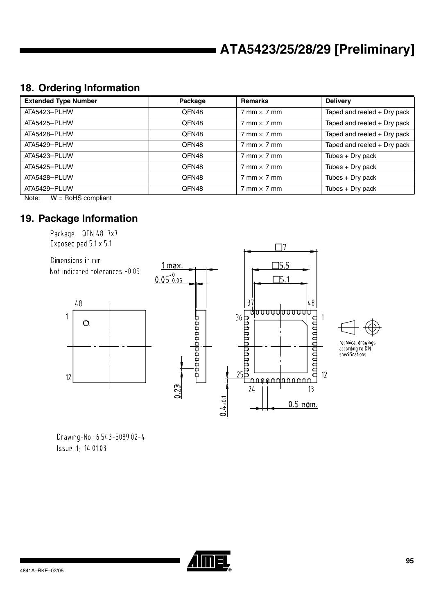## **18. Ordering Information**

| <b>Extended Type Number</b>       | Package | <b>Remarks</b>                     | <b>Delivery</b>             |
|-----------------------------------|---------|------------------------------------|-----------------------------|
| ATA5423-PLHW                      | QFN48   | $7 \text{ mm} \times 7 \text{ mm}$ | Taped and reeled + Dry pack |
| ATA5425-PLHW                      | QFN48   | $7 \text{ mm} \times 7 \text{ mm}$ | Taped and reeled + Dry pack |
| ATA5428-PLHW                      | QFN48   | $7 \text{ mm} \times 7 \text{ mm}$ | Taped and reeled + Dry pack |
| ATA5429-PLHW                      | QFN48   | $7 \text{ mm} \times 7 \text{ mm}$ | Taped and reeled + Dry pack |
| ATA5423-PLUW                      | QFN48   | $7 \text{ mm} \times 7 \text{ mm}$ | Tubes + Dry pack            |
| ATA5425-PLUW                      | QFN48   | $7$ mm $\times$ 7 mm               | Tubes $+$ Dry pack          |
| ATA5428-PLUW                      | QFN48   | $7$ mm $\times$ 7 mm               | Tubes $+$ Dry pack          |
| ATA5429-PLUW<br>$\cdots$ $\cdots$ | QFN48   | $7 \text{ mm} \times 7 \text{ mm}$ | Tubes $+$ Dry pack          |

Note: W = RoHS compliant

### **19. Package Information**

Package QFN 48 7x7 Exposed pad 5.1 x 5.1





technical drawings<br>according to DIN<br>specifications

Drawing-No. 6543-5089.02-4 Issue 1, 14.01.03

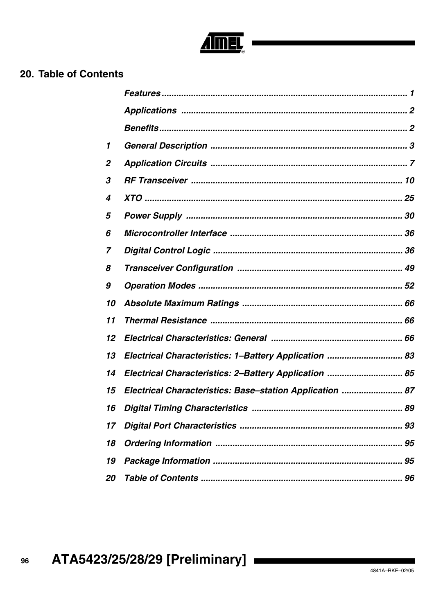# EL,

## 20. Table of Contents

| 1                |                                                          |
|------------------|----------------------------------------------------------|
| $\boldsymbol{2}$ |                                                          |
| 3                |                                                          |
| 4                |                                                          |
| 5                |                                                          |
| 6                |                                                          |
| 7                |                                                          |
| 8                |                                                          |
| 9                |                                                          |
| 10               |                                                          |
| 11               |                                                          |
| 12               |                                                          |
| 13               | Electrical Characteristics: 1-Battery Application  83    |
| 14               | Electrical Characteristics: 2-Battery Application  85    |
| 15               | Electrical Characteristics: Base-station Application  87 |
| 16               |                                                          |
| 17               |                                                          |
| 18               |                                                          |
| 19               |                                                          |
| 20               |                                                          |